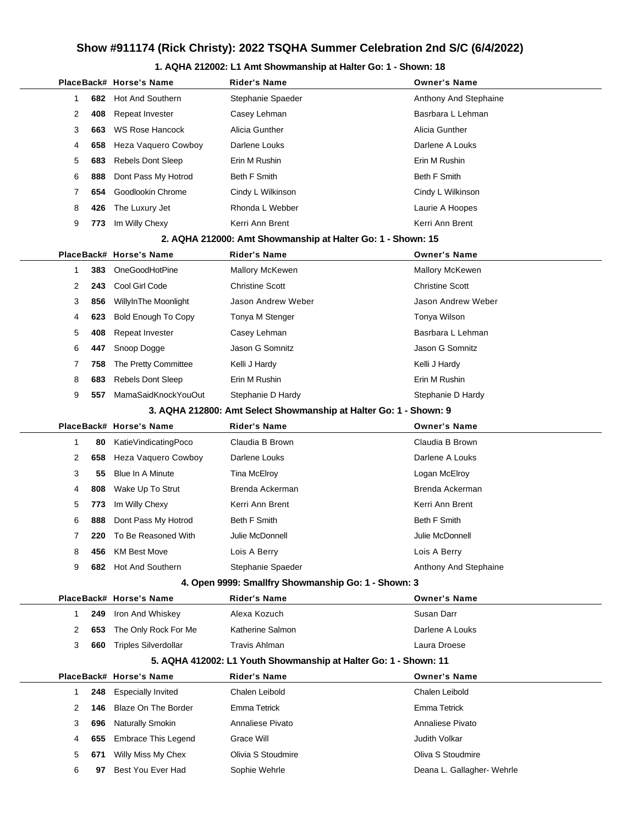## **Show #911174 (Rick Christy): 2022 TSQHA Summer Celebration 2nd S/C (6/4/2022)**

### **1. AQHA 212002: L1 Amt Showmanship at Halter Go: 1 - Shown: 18**

|                                                             |                |     | PlaceBack# Horse's Name     | <b>Rider's Name</b>                                               | <b>Owner's Name</b>        |  |  |  |
|-------------------------------------------------------------|----------------|-----|-----------------------------|-------------------------------------------------------------------|----------------------------|--|--|--|
|                                                             | 1              | 682 | <b>Hot And Southern</b>     | Stephanie Spaeder                                                 | Anthony And Stephaine      |  |  |  |
|                                                             | 2              | 408 | Repeat Invester             | Casey Lehman                                                      | Basrbara L Lehman          |  |  |  |
|                                                             | 3              | 663 | <b>WS Rose Hancock</b>      | Alicia Gunther                                                    | Alicia Gunther             |  |  |  |
|                                                             | 4              | 658 | Heza Vaquero Cowboy         | Darlene Louks                                                     | Darlene A Louks            |  |  |  |
|                                                             | 5              | 683 | <b>Rebels Dont Sleep</b>    | Erin M Rushin                                                     | Erin M Rushin              |  |  |  |
|                                                             | 6              | 888 | Dont Pass My Hotrod         | Beth F Smith                                                      | Beth F Smith               |  |  |  |
|                                                             | 7              | 654 | Goodlookin Chrome           | Cindy L Wilkinson                                                 | Cindy L Wilkinson          |  |  |  |
|                                                             | 8              | 426 | The Luxury Jet              | Rhonda L Webber                                                   | Laurie A Hoopes            |  |  |  |
|                                                             | 9              | 773 | Im Willy Chexy              | Kerri Ann Brent                                                   | Kerri Ann Brent            |  |  |  |
| 2. AQHA 212000: Amt Showmanship at Halter Go: 1 - Shown: 15 |                |     |                             |                                                                   |                            |  |  |  |
|                                                             |                |     | PlaceBack# Horse's Name     | <b>Rider's Name</b>                                               | <b>Owner's Name</b>        |  |  |  |
|                                                             | 1              | 383 | OneGoodHotPine              | <b>Mallory McKewen</b>                                            | Mallory McKewen            |  |  |  |
|                                                             | $\overline{2}$ | 243 | Cool Girl Code              | <b>Christine Scott</b>                                            | <b>Christine Scott</b>     |  |  |  |
|                                                             | 3              | 856 | WillyInThe Moonlight        | Jason Andrew Weber                                                | Jason Andrew Weber         |  |  |  |
|                                                             | 4              | 623 | <b>Bold Enough To Copy</b>  | Tonya M Stenger                                                   | Tonya Wilson               |  |  |  |
|                                                             | 5              | 408 | Repeat Invester             | Casey Lehman                                                      | Basrbara L Lehman          |  |  |  |
|                                                             | 6              | 447 | Snoop Dogge                 | Jason G Somnitz                                                   | Jason G Somnitz            |  |  |  |
|                                                             | 7              | 758 | The Pretty Committee        | Kelli J Hardy                                                     | Kelli J Hardy              |  |  |  |
|                                                             | 8              | 683 | <b>Rebels Dont Sleep</b>    | Erin M Rushin                                                     | Erin M Rushin              |  |  |  |
|                                                             | 9              | 557 | MamaSaidKnockYouOut         | Stephanie D Hardy                                                 | Stephanie D Hardy          |  |  |  |
|                                                             |                |     |                             | 3. AQHA 212800: Amt Select Showmanship at Halter Go: 1 - Shown: 9 |                            |  |  |  |
|                                                             |                |     | PlaceBack# Horse's Name     | <b>Rider's Name</b>                                               | <b>Owner's Name</b>        |  |  |  |
|                                                             | 1              | 80  | KatieVindicatingPoco        | Claudia B Brown                                                   | Claudia B Brown            |  |  |  |
|                                                             | 2              | 658 | Heza Vaquero Cowboy         | Darlene Louks                                                     | Darlene A Louks            |  |  |  |
|                                                             | 3              | 55  | <b>Blue In A Minute</b>     | Tina McElroy                                                      | Logan McElroy              |  |  |  |
|                                                             | 4              | 808 | Wake Up To Strut            | Brenda Ackerman                                                   | Brenda Ackerman            |  |  |  |
|                                                             | 5              | 773 | Im Willy Chexy              | Kerri Ann Brent                                                   | Kerri Ann Brent            |  |  |  |
|                                                             | 6              | 888 | Dont Pass My Hotrod         | <b>Beth F Smith</b>                                               | <b>Beth F Smith</b>        |  |  |  |
|                                                             | 7              | 220 | To Be Reasoned With         | Julie McDonnell                                                   | Julie McDonnell            |  |  |  |
|                                                             | 8              | 456 | <b>KM Best Move</b>         | Lois A Berry                                                      | Lois A Berry               |  |  |  |
|                                                             | 9              | 682 | <b>Hot And Southern</b>     | Stephanie Spaeder                                                 | Anthony And Stephaine      |  |  |  |
|                                                             |                |     |                             | 4. Open 9999: Smallfry Showmanship Go: 1 - Shown: 3               |                            |  |  |  |
|                                                             |                |     | PlaceBack# Horse's Name     | <b>Rider's Name</b>                                               | <b>Owner's Name</b>        |  |  |  |
|                                                             | 1              | 249 | Iron And Whiskey            | Alexa Kozuch                                                      | Susan Darr                 |  |  |  |
|                                                             | 2              | 653 | The Only Rock For Me        | Katherine Salmon                                                  | Darlene A Louks            |  |  |  |
|                                                             | 3              | 660 | <b>Triples Silverdollar</b> | <b>Travis Ahlman</b>                                              | Laura Droese               |  |  |  |
|                                                             |                |     |                             | 5. AQHA 412002: L1 Youth Showmanship at Halter Go: 1 - Shown: 11  |                            |  |  |  |
|                                                             |                |     | PlaceBack# Horse's Name     | <b>Rider's Name</b>                                               | <b>Owner's Name</b>        |  |  |  |
|                                                             | $\mathbf{1}$   | 248 | <b>Especially Invited</b>   | Chalen Leibold                                                    | Chalen Leibold             |  |  |  |
|                                                             | 2              | 146 | <b>Blaze On The Border</b>  | Emma Tetrick                                                      | Emma Tetrick               |  |  |  |
|                                                             | 3              | 696 | Naturally Smokin            | Annaliese Pivato                                                  | Annaliese Pivato           |  |  |  |
|                                                             | 4              | 655 | <b>Embrace This Legend</b>  | Grace Will                                                        | Judith Volkar              |  |  |  |
|                                                             | 5              | 671 | Willy Miss My Chex          | Olivia S Stoudmire                                                | Oliva S Stoudmire          |  |  |  |
|                                                             | 6              | 97  | Best You Ever Had           | Sophie Wehrle                                                     | Deana L. Gallagher- Wehrle |  |  |  |
|                                                             |                |     |                             |                                                                   |                            |  |  |  |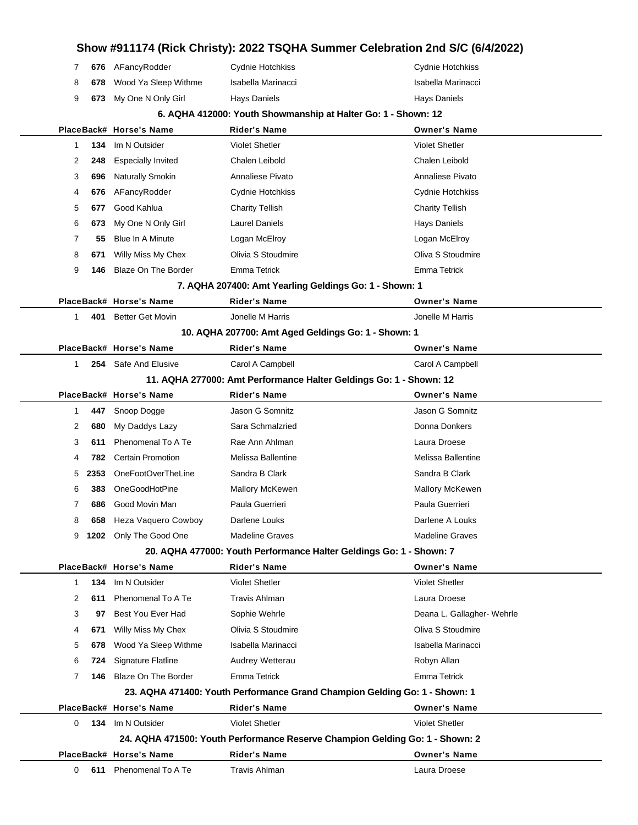|   |      |                            |                                                               | Show #911174 (Rick Christy): 2022 TSQHA Summer Celebration 2nd S/C (6/4/2022) |
|---|------|----------------------------|---------------------------------------------------------------|-------------------------------------------------------------------------------|
| 7 |      | 676 AFancyRodder           | <b>Cydnie Hotchkiss</b>                                       | <b>Cydnie Hotchkiss</b>                                                       |
| 8 | 678  | Wood Ya Sleep Withme       | Isabella Marinacci                                            | Isabella Marinacci                                                            |
| 9 | 673  | My One N Only Girl         | Hays Daniels                                                  | <b>Hays Daniels</b>                                                           |
|   |      |                            | 6. AQHA 412000: Youth Showmanship at Halter Go: 1 - Shown: 12 |                                                                               |
|   |      | PlaceBack# Horse's Name    | Rider's Name                                                  | <b>Owner's Name</b>                                                           |
| 1 | 134  | Im N Outsider              | <b>Violet Shetler</b>                                         | <b>Violet Shetler</b>                                                         |
| 2 | 248  | <b>Especially Invited</b>  | Chalen Leibold                                                | Chalen Leibold                                                                |
| 3 | 696  | Naturally Smokin           | Annaliese Pivato                                              | Annaliese Pivato                                                              |
| 4 | 676  | AFancyRodder               | Cydnie Hotchkiss                                              | Cydnie Hotchkiss                                                              |
| 5 | 677  | Good Kahlua                | <b>Charity Tellish</b>                                        | <b>Charity Tellish</b>                                                        |
| 6 | 673  | My One N Only Girl         | <b>Laurel Daniels</b>                                         | <b>Hays Daniels</b>                                                           |
| 7 | 55   | <b>Blue In A Minute</b>    | Logan McElroy                                                 | Logan McElroy                                                                 |
| 8 | 671  | Willy Miss My Chex         | Olivia S Stoudmire                                            | Oliva S Stoudmire                                                             |
| 9 | 146  | Blaze On The Border        | <b>Emma Tetrick</b>                                           | <b>Emma Tetrick</b>                                                           |
|   |      |                            | 7. AQHA 207400: Amt Yearling Geldings Go: 1 - Shown: 1        |                                                                               |
|   |      | PlaceBack# Horse's Name    | <b>Rider's Name</b>                                           | <b>Owner's Name</b>                                                           |
| 1 | 401  | <b>Better Get Movin</b>    | Jonelle M Harris                                              | Jonelle M Harris                                                              |
|   |      |                            | 10. AQHA 207700: Amt Aged Geldings Go: 1 - Shown: 1           |                                                                               |
|   |      | PlaceBack# Horse's Name    | Rider's Name                                                  | <b>Owner's Name</b>                                                           |
| 1 | 254  | Safe And Elusive           | Carol A Campbell                                              | Carol A Campbell                                                              |
|   |      |                            |                                                               | 11. AQHA 277000: Amt Performance Halter Geldings Go: 1 - Shown: 12            |
|   |      | PlaceBack# Horse's Name    | <b>Rider's Name</b>                                           | <b>Owner's Name</b>                                                           |
| 1 | 447  | Snoop Dogge                | Jason G Somnitz                                               | Jason G Somnitz                                                               |
| 2 | 680  | My Daddys Lazy             | Sara Schmalzried                                              | Donna Donkers                                                                 |
| 3 | 611  | Phenomenal To A Te         | Rae Ann Ahlman                                                | Laura Droese                                                                  |
| 4 | 782  | <b>Certain Promotion</b>   | Melissa Ballentine                                            | Melissa Ballentine                                                            |
| 5 | 2353 | OneFootOverTheLine         | Sandra B Clark                                                | Sandra B Clark                                                                |
| 6 | 383  | OneGoodHotPine             | Mallory McKewen                                               | <b>Mallory McKewen</b>                                                        |
| 7 | 686  | Good Movin Man             | Paula Guerrieri                                               | Paula Guerrieri                                                               |
| 8 | 658  | <b>Heza Vaguero Cowboy</b> | Darlene Louks                                                 | Darlene A Louks                                                               |
| 9 |      | 1202 Only The Good One     | <b>Madeline Graves</b>                                        | <b>Madeline Graves</b>                                                        |
|   |      |                            |                                                               | 20. AQHA 477000: Youth Performance Halter Geldings Go: 1 - Shown: 7           |
|   |      | PlaceBack# Horse's Name    | <b>Rider's Name</b>                                           | <b>Owner's Name</b>                                                           |
| 1 | 134  | Im N Outsider              | <b>Violet Shetler</b>                                         | <b>Violet Shetler</b>                                                         |
| 2 | 611  | Phenomenal To A Te         | Travis Ahlman                                                 | Laura Droese                                                                  |
| 3 | 97   | Best You Ever Had          | Sophie Wehrle                                                 | Deana L. Gallagher- Wehrle                                                    |
| 4 | 671  | Willy Miss My Chex         | Olivia S Stoudmire                                            | Oliva S Stoudmire                                                             |
| 5 | 678  | Wood Ya Sleep Withme       | Isabella Marinacci                                            | Isabella Marinacci                                                            |
| 6 | 724  | Signature Flatline         | Audrey Wetterau                                               | Robyn Allan                                                                   |
| 7 | 146  | Blaze On The Border        | <b>Emma Tetrick</b>                                           | Emma Tetrick                                                                  |
|   |      |                            |                                                               | 23. AQHA 471400: Youth Performance Grand Champion Gelding Go: 1 - Shown: 1    |
|   |      | PlaceBack# Horse's Name    | <b>Rider's Name</b>                                           | <b>Owner's Name</b>                                                           |
| 0 |      | 134 Im N Outsider          | <b>Violet Shetler</b>                                         | <b>Violet Shetler</b>                                                         |
|   |      |                            |                                                               | 24. AQHA 471500: Youth Performance Reserve Champion Gelding Go: 1 - Shown: 2  |
|   |      | PlaceBack# Horse's Name    | <b>Rider's Name</b>                                           | <b>Owner's Name</b>                                                           |
| 0 | 611  | Phenomenal To A Te         | <b>Travis Ahlman</b>                                          | Laura Droese                                                                  |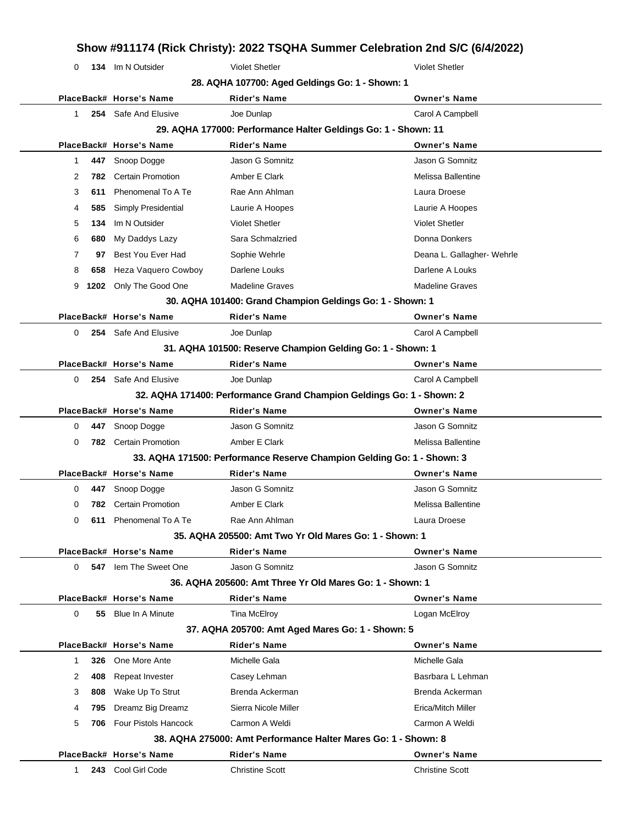## **Show #911174 (Rick Christy): 2022 TSQHA Summer Celebration 2nd S/C (6/4/2022)** 0 **134** Im N Outsider Violet Shetler Violet Shetler **28. AQHA 107700: Aged Geldings Go: 1 - Shown: 1 PlaceBack# Horse's Name Rider's Name Owner's Name** 1 **254** Safe And Elusive **Carol A Campbell** Joe Dunlap Carol A Campbell Carol A Campbell **29. AQHA 177000: Performance Halter Geldings Go: 1 - Shown: 11 PlaceBack# Horse's Name Rider's Name Owner's Name** 1 **447** Snoop Dogge Jason G Somnitz Jason G Somnitz 2 **782** Certain Promotion **Amber E Clark** Melissa Ballentine 3 **611** Phenomenal To A Te Rae Ann Ahlman Laura Droese Rates of the Race Ann Ahlman 4 **585** Simply Presidential Laurie A Hoopes Laurie A Hoopes 5 **134** Im N Outsider Violet Shetler Violet Shetler 6 **680** My Daddys Lazy Sara Schmalzried **Communist Connains Connains Donna** Donna Donkers 7 **97** Best You Ever Had Sophie Wehrle **Deana L. Gallagher- Wehrle** Deana L. Gallagher- Wehrle 8 **658** Heza Vaquero Cowboy Darlene Louks **Darlene A Louks** Darlene A Louks 9 **1202** Only The Good One Madeline Graves Madeline Graves Madeline Graves **30. AQHA 101400: Grand Champion Geldings Go: 1 - Shown: 1 PlaceBack# Horse's Name Rider's Name Owner's Name** 0 **254** Safe And Elusive **Joe Dunlap Carol A Campbell** Carol A Campbell **31. AQHA 101500: Reserve Champion Gelding Go: 1 - Shown: 1 PlaceBack# Horse's Name Rider's Name Owner's Name** 0 **254** Safe And Elusive **Joe Dunlap Carol A Campbell** Carol A Campbell **32. AQHA 171400: Performance Grand Champion Geldings Go: 1 - Shown: 2 PlaceBack# Horse's Name Rider's Name Owner's Name** 0 **447** Snoop Dogge Jason G Somnitz Jason G Somnitz 0 **782** Certain Promotion **Amber E Clark** Melissa Ballentine **33. AQHA 171500: Performance Reserve Champion Gelding Go: 1 - Shown: 3 PlaceBack# Horse's Name Rider's Name Owner's Name** 0 **447** Snoop Dogge Jason G Somnitz Jason G Somnitz 0 **782** Certain Promotion **Amber E Clark** Melissa Ballentine 0 **611** Phenomenal To A Te Rae Ann Ahlman **Construct Construct Construct Construct** Laura Droese **35. AQHA 205500: Amt Two Yr Old Mares Go: 1 - Shown: 1 PlaceBack# Horse's Name Rider's Name Owner's Name** 0 **547** Iem The Sweet One Jason G Somnitz **Jason G Somnitz** Jason G Somnitz **36. AQHA 205600: Amt Three Yr Old Mares Go: 1 - Shown: 1 PlaceBack# Horse's Name Rider's Name Owner's Name** 0 **55** Blue In A Minute Tina McElroy **Communist Communist Communist Communist Communist Communist Communist Communist Communist Communist Communist Communist Communist Communist Communist Communist Communist Communist Comm 37. AQHA 205700: Amt Aged Mares Go: 1 - Shown: 5 PlaceBack# Horse's Name Rider's Name Owner's Name** 1 **326** One More Ante **Michelle Gala** Michelle Gala Michelle Gala 2 408 Repeat Invester **Casey Lehman** Basrbara L Lehman 3 **808** Wake Up To Strut Brenda Ackerman Brenda Ackerman Brenda Ackerman 4 **795** Dreamz Big Dreamz Sierra Nicole Miller **Example 2018** Erica/Mitch Miller

**38. AQHA 275000: Amt Performance Halter Mares Go: 1 - Shown: 8**

5 **706** Four Pistols Hancock Carmon A Weldi Carmon A Weldi Carmon A Weldi

**PlaceBack# Horse's Name Rider's Name Owner's Name** 1 **243** Cool Girl Code Christine Scott Christine Scott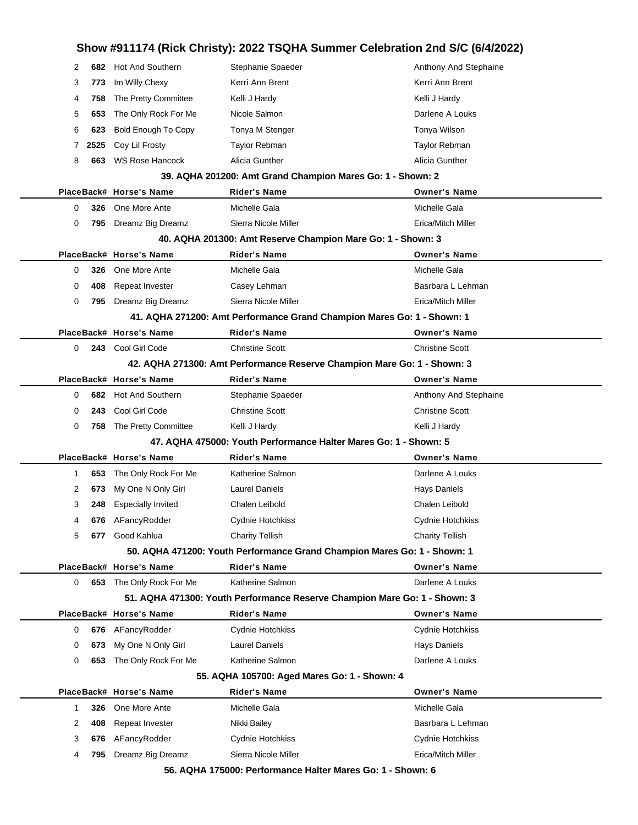# **Show #911174 (Rick Christy): 2022 TSQHA Summer Celebration 2nd S/C (6/4/2022)**

| 2 | 682  | <b>Hot And Southern</b>    | Stephanie Spaeder                                                         | Anthony And Stephaine  |
|---|------|----------------------------|---------------------------------------------------------------------------|------------------------|
| 3 | 773  | Im Willy Chexy             | Kerri Ann Brent                                                           | Kerri Ann Brent        |
| 4 | 758  | The Pretty Committee       | Kelli J Hardy                                                             | Kelli J Hardy          |
| 5 | 653  | The Only Rock For Me       | Nicole Salmon                                                             | Darlene A Louks        |
| 6 | 623  | <b>Bold Enough To Copy</b> | Tonya M Stenger                                                           | Tonya Wilson           |
| 7 | 2525 | Coy Lil Frosty             | <b>Taylor Rebman</b>                                                      | Taylor Rebman          |
| 8 | 663  | <b>WS Rose Hancock</b>     | Alicia Gunther                                                            | Alicia Gunther         |
|   |      |                            | 39. AQHA 201200: Amt Grand Champion Mares Go: 1 - Shown: 2                |                        |
|   |      | PlaceBack# Horse's Name    | Rider's Name                                                              | <b>Owner's Name</b>    |
| 0 | 326  | One More Ante              | Michelle Gala                                                             | Michelle Gala          |
| 0 |      | 795 Dreamz Big Dreamz      | Sierra Nicole Miller                                                      | Erica/Mitch Miller     |
|   |      |                            | 40. AQHA 201300: Amt Reserve Champion Mare Go: 1 - Shown: 3               |                        |
|   |      | PlaceBack# Horse's Name    | Rider's Name                                                              | <b>Owner's Name</b>    |
| 0 | 326  | One More Ante              | Michelle Gala                                                             | Michelle Gala          |
| 0 | 408  | Repeat Invester            | Casey Lehman                                                              | Basrbara L Lehman      |
| 0 | 795  | Dreamz Big Dreamz          | Sierra Nicole Miller                                                      | Erica/Mitch Miller     |
|   |      |                            | 41. AQHA 271200: Amt Performance Grand Champion Mares Go: 1 - Shown: 1    |                        |
|   |      | PlaceBack# Horse's Name    | <b>Rider's Name</b>                                                       | <b>Owner's Name</b>    |
| 0 |      | 243 Cool Girl Code         | <b>Christine Scott</b>                                                    | <b>Christine Scott</b> |
|   |      |                            | 42. AQHA 271300: Amt Performance Reserve Champion Mare Go: 1 - Shown: 3   |                        |
|   |      | PlaceBack# Horse's Name    | Rider's Name                                                              | <b>Owner's Name</b>    |
| 0 | 682  | Hot And Southern           | Stephanie Spaeder                                                         | Anthony And Stephaine  |
| 0 | 243  | Cool Girl Code             | <b>Christine Scott</b>                                                    | <b>Christine Scott</b> |
| 0 | 758  | The Pretty Committee       | Kelli J Hardy                                                             | Kelli J Hardy          |
|   |      |                            | 47. AQHA 475000: Youth Performance Halter Mares Go: 1 - Shown: 5          |                        |
|   |      | PlaceBack# Horse's Name    | Rider's Name                                                              | <b>Owner's Name</b>    |
| 1 | 653  | The Only Rock For Me       | Katherine Salmon                                                          | Darlene A Louks        |
| 2 | 673  | My One N Only Girl         | <b>Laurel Daniels</b>                                                     | <b>Hays Daniels</b>    |
| 3 | 248  | <b>Especially Invited</b>  | Chalen Leibold                                                            | Chalen Leibold         |
| 4 |      | 676 AFancyRodder           | Cydnie Hotchkiss                                                          | Cydnie Hotchkiss       |
| 5 | 677  | Good Kahlua                | <b>Charity Tellish</b>                                                    | <b>Charity Tellish</b> |
|   |      |                            | 50. AQHA 471200: Youth Performance Grand Champion Mares Go: 1 - Shown: 1  |                        |
|   |      | PlaceBack# Horse's Name    | Rider's Name                                                              | <b>Owner's Name</b>    |
| 0 |      | 653 The Only Rock For Me   | Katherine Salmon                                                          | Darlene A Louks        |
|   |      |                            | 51. AQHA 471300: Youth Performance Reserve Champion Mare Go: 1 - Shown: 3 |                        |
|   |      | PlaceBack# Horse's Name    | <b>Rider's Name</b>                                                       | <b>Owner's Name</b>    |
| 0 | 676  | AFancyRodder               | Cydnie Hotchkiss                                                          | Cydnie Hotchkiss       |
| 0 | 673  | My One N Only Girl         | <b>Laurel Daniels</b>                                                     | <b>Hays Daniels</b>    |
| 0 | 653  | The Only Rock For Me       | Katherine Salmon                                                          | Darlene A Louks        |
|   |      |                            | 55. AQHA 105700: Aged Mares Go: 1 - Shown: 4                              |                        |
|   |      | PlaceBack# Horse's Name    | Rider's Name                                                              | <b>Owner's Name</b>    |
| 1 | 326  | One More Ante              | Michelle Gala                                                             | Michelle Gala          |
| 2 | 408  | Repeat Invester            | Nikki Bailey                                                              | Basrbara L Lehman      |
| 3 | 676  | AFancyRodder               | Cydnie Hotchkiss                                                          | Cydnie Hotchkiss       |
| 4 | 795  | Dreamz Big Dreamz          | Sierra Nicole Miller                                                      | Erica/Mitch Miller     |
|   |      |                            | 56. AOHA 175000: Performance Halter Mares Co: 1 - Shown: 6                |                        |

**56. AQHA 175000: Performance Halter Mares Go: 1 - Shown: 6**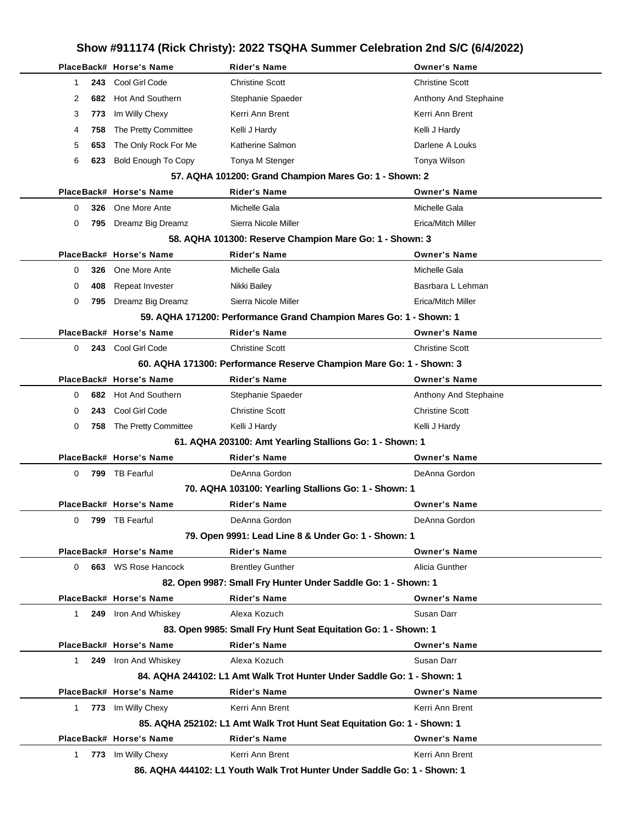## **Show #911174 (Rick Christy): 2022 TSQHA Summer Celebration 2nd S/C (6/4/2022) PlaceBack# Horse's Name Rider's Name Owner's Name** 1 **243** Cool Girl Code Christine Scott Christine Scott 2 **682** Hot And Southern Stephanie Spaeder Stephanie Stephanie Anthony And Stephaine 3 773 Im Willy Chexy **Kerri Ann Brent** Kerri Ann Brent Kerri Ann Brent 4 **758** The Pretty Committee Kelli J Hardy Kelli J Hardy Kelli J Hardy Kelli J Hardy 5 **653** The Only Rock For Me Katherine Salmon National County Research Darlene A Louks 6 623 Bold Enough To Copy Tonya M Stenger Tomya Tomya Wilson **57. AQHA 101200: Grand Champion Mares Go: 1 - Shown: 2 PlaceBack# Horse's Name Rider's Name Owner's Name** 0 **326** One More Ante Michelle Gala Michelle Gala 0 795 Dreamz Big Dreamz Sierra Nicole Miller **Example 20 Sierra 1996** Erica/Mitch Miller **58. AQHA 101300: Reserve Champion Mare Go: 1 - Shown: 3 PlaceBack# Horse's Name Rider's Name Owner's Name** 0 **326** One More Ante **Michelle Gala** Michelle Gala Michelle Gala 0 **408** Repeat Invester **Nikki Bailey Basrbara L Lehman** Basrbara L Lehman 0 **795** Dreamz Big Dreamz Sierra Nicole Miller Erica/Mitch Miller **59. AQHA 171200: Performance Grand Champion Mares Go: 1 - Shown: 1 PlaceBack# Horse's Name Rider's Name Owner's Name** 0 **243** Cool Girl Code Christine Scott Christine Scott **60. AQHA 171300: Performance Reserve Champion Mare Go: 1 - Shown: 3 PlaceBack# Horse's Name Rider's Name Owner's Name** 0 **682** Hot And Southern Stephanie Spaeder Spaeder Anthony And Stephaine 0 **243** Cool Girl Code Christine Scott Christine Scott 0 758 The Pretty Committee Kelli J Hardy Kelli and young Kelli J Hardy Kelli J Hardy **61. AQHA 203100: Amt Yearling Stallions Go: 1 - Shown: 1 PlaceBack# Horse's Name Rider's Name Owner's Name** 0 **799** TB Fearful DeAnna Gordon DeAnna Gordon **70. AQHA 103100: Yearling Stallions Go: 1 - Shown: 1 PlaceBack# Horse's Name Rider's Name Owner's Name** 0 **799** TB Fearful DeAnna Gordon DeAnna Gordon **79. Open 9991: Lead Line 8 & Under Go: 1 - Shown: 1 PlaceBack# Horse's Name Rider's Name Owner's Name** 0 **663** WS Rose Hancock **Brentley Gunther Alicia Gunther Alicia Gunther** Alicia Gunther **82. Open 9987: Small Fry Hunter Under Saddle Go: 1 - Shown: 1 PlaceBack# Horse's Name Rider's Name Owner's Name** 1 **249** Iron And Whiskey **Alexa Kozuch Susan Darr** Susan Darr **83. Open 9985: Small Fry Hunt Seat Equitation Go: 1 - Shown: 1 PlaceBack# Horse's Name Rider's Name Owner's Name** 1 **249** Iron And Whiskey **Alexa Kozuch Susan Darr** Susan Darr **84. AQHA 244102: L1 Amt Walk Trot Hunter Under Saddle Go: 1 - Shown: 1 PlaceBack# Horse's Name Rider's Name Owner's Name** 1 773 Im Willy Chexy **Kerri Ann Brent** Kerri Ann Brent Kerri Ann Brent **85. AQHA 252102: L1 Amt Walk Trot Hunt Seat Equitation Go: 1 - Shown: 1 PlaceBack# Horse's Name Rider's Name Owner's Name** 1 773 Im Willy Chexy **Kerri Ann Brent Kerri Ann Brent** Kerri Ann Brent

**86. AQHA 444102: L1 Youth Walk Trot Hunter Under Saddle Go: 1 - Shown: 1**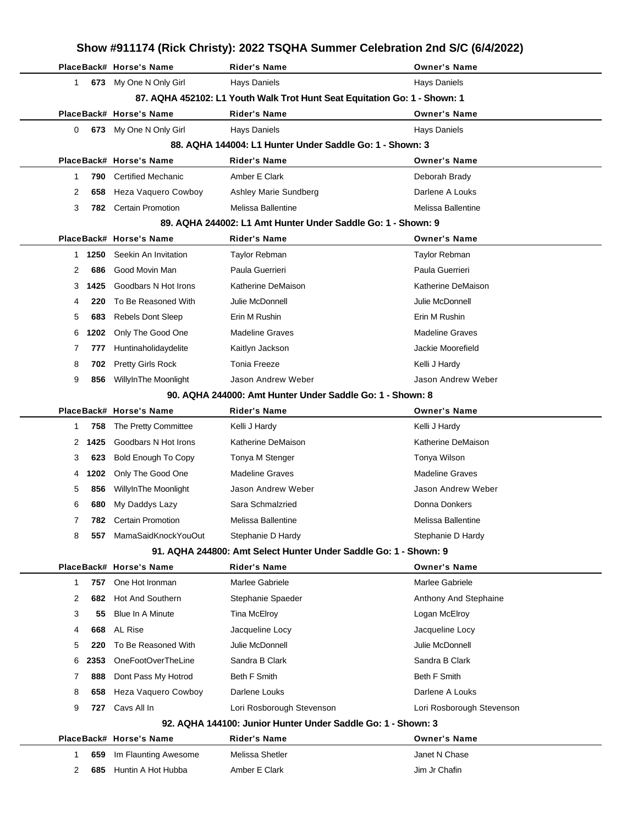|   |      |                            | Show #911174 (Rick Christy): 2022 TSQHA Summer Celebration 2nd S/C (6/4/2022) |                           |
|---|------|----------------------------|-------------------------------------------------------------------------------|---------------------------|
|   |      | PlaceBack# Horse's Name    | <b>Rider's Name</b>                                                           | <b>Owner's Name</b>       |
| 1 |      | 673 My One N Only Girl     | Hays Daniels                                                                  | <b>Hays Daniels</b>       |
|   |      |                            | 87. AQHA 452102: L1 Youth Walk Trot Hunt Seat Equitation Go: 1 - Shown: 1     |                           |
|   |      | PlaceBack# Horse's Name    | Rider's Name                                                                  | <b>Owner's Name</b>       |
| 0 |      | 673 My One N Only Girl     | <b>Hays Daniels</b>                                                           | <b>Hays Daniels</b>       |
|   |      |                            | 88. AQHA 144004: L1 Hunter Under Saddle Go: 1 - Shown: 3                      |                           |
|   |      | PlaceBack# Horse's Name    | <b>Rider's Name</b>                                                           | <b>Owner's Name</b>       |
| 1 | 790  | <b>Certified Mechanic</b>  | Amber E Clark                                                                 | Deborah Brady             |
| 2 | 658  | Heza Vaquero Cowboy        | Ashley Marie Sundberg                                                         | Darlene A Louks           |
| 3 | 782  | <b>Certain Promotion</b>   | Melissa Ballentine                                                            | Melissa Ballentine        |
|   |      |                            | 89. AQHA 244002: L1 Amt Hunter Under Saddle Go: 1 - Shown: 9                  |                           |
|   |      | PlaceBack# Horse's Name    | Rider's Name                                                                  | <b>Owner's Name</b>       |
| 1 | 1250 | Seekin An Invitation       | Taylor Rebman                                                                 | <b>Taylor Rebman</b>      |
| 2 | 686  | Good Movin Man             | Paula Guerrieri                                                               | Paula Guerrieri           |
| 3 | 1425 | Goodbars N Hot Irons       | Katherine DeMaison                                                            | Katherine DeMaison        |
| 4 | 220  | To Be Reasoned With        | Julie McDonnell                                                               | Julie McDonnell           |
| 5 | 683  | <b>Rebels Dont Sleep</b>   | Erin M Rushin                                                                 | Erin M Rushin             |
| 6 | 1202 | Only The Good One          | <b>Madeline Graves</b>                                                        | <b>Madeline Graves</b>    |
| 7 | 777  | Huntinaholidaydelite       | Kaitlyn Jackson                                                               | Jackie Moorefield         |
| 8 | 702  | <b>Pretty Girls Rock</b>   | <b>Tonia Freeze</b>                                                           | Kelli J Hardy             |
| 9 | 856  | WillyInThe Moonlight       | Jason Andrew Weber                                                            | Jason Andrew Weber        |
|   |      |                            | 90. AQHA 244000: Amt Hunter Under Saddle Go: 1 - Shown: 8                     |                           |
|   |      | PlaceBack# Horse's Name    | Rider's Name                                                                  | <b>Owner's Name</b>       |
| 1 | 758  | The Pretty Committee       | Kelli J Hardy                                                                 | Kelli J Hardy             |
| 2 | 1425 | Goodbars N Hot Irons       | Katherine DeMaison                                                            | Katherine DeMaison        |
| 3 | 623  | <b>Bold Enough To Copy</b> | Tonya M Stenger                                                               | Tonya Wilson              |
| 4 | 1202 | Only The Good One          | <b>Madeline Graves</b>                                                        | <b>Madeline Graves</b>    |
| 5 | 856  | WillyInThe Moonlight       | Jason Andrew Weber                                                            | Jason Andrew Weber        |
| 6 |      | 680 My Daddys Lazy         | Sara Schmalzried                                                              | Donna Donkers             |
| 7 | 782. | <b>Certain Promotion</b>   | Melissa Ballentine                                                            | Melissa Ballentine        |
| 8 | 557  | MamaSaidKnockYouOut        | Stephanie D Hardy                                                             | Stephanie D Hardy         |
|   |      |                            | 91. AQHA 244800: Amt Select Hunter Under Saddle Go: 1 - Shown: 9              |                           |
|   |      | PlaceBack# Horse's Name    | <b>Rider's Name</b>                                                           | <b>Owner's Name</b>       |
| 1 | 757  | One Hot Ironman            | Marlee Gabriele                                                               | Marlee Gabriele           |
| 2 | 682  | <b>Hot And Southern</b>    | Stephanie Spaeder                                                             | Anthony And Stephaine     |
| 3 | 55   | Blue In A Minute           | Tina McElroy                                                                  | Logan McElroy             |
| 4 | 668  | AL Rise                    | Jacqueline Locy                                                               | Jacqueline Locy           |
| 5 | 220  | To Be Reasoned With        | Julie McDonnell                                                               | Julie McDonnell           |
| 6 | 2353 | OneFootOverTheLine         | Sandra B Clark                                                                | Sandra B Clark            |
| 7 | 888  | Dont Pass My Hotrod        | Beth F Smith                                                                  | <b>Beth F Smith</b>       |
| 8 | 658  | Heza Vaquero Cowboy        | Darlene Louks                                                                 | Darlene A Louks           |
| 9 | 727  | Cavs All In                | Lori Rosborough Stevenson                                                     | Lori Rosborough Stevenson |
|   |      |                            | 92. AQHA 144100: Junior Hunter Under Saddle Go: 1 - Shown: 3                  |                           |
|   |      | PlaceBack# Horse's Name    | Rider's Name                                                                  | <b>Owner's Name</b>       |
| 1 | 659  | Im Flaunting Awesome       | Melissa Shetler                                                               | Janet N Chase             |
| 2 | 685  | Huntin A Hot Hubba         | Amber E Clark                                                                 | Jim Jr Chafin             |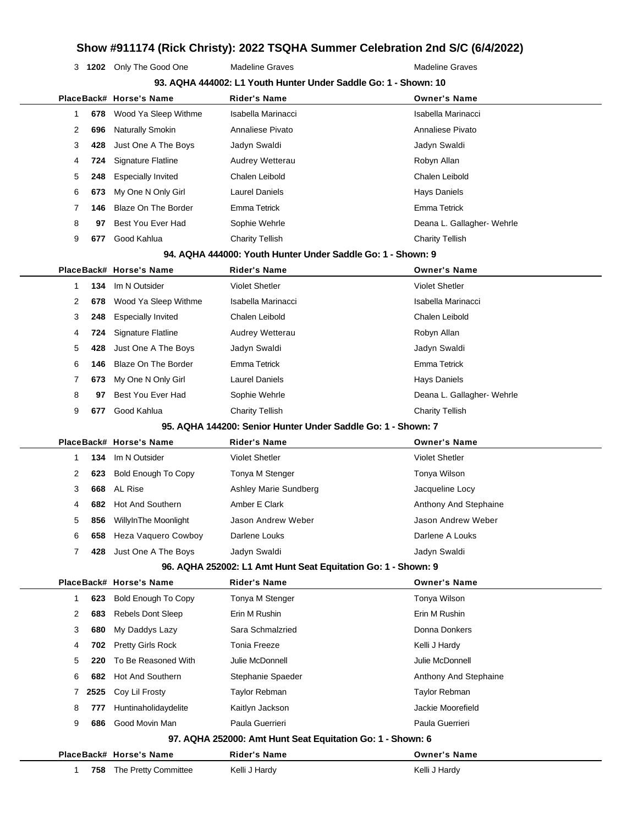# **Show #911174 (Rick Christy): 2022 TSQHA Summer Celebration 2nd S/C (6/4/2022)**

**1202** Only The Good One Madeline Graves Madeline Graves Madeline Graves

|              |      | PlaceBack# Horse's Name    | Rider's Name                                                  | <b>Owner's Name</b>        |
|--------------|------|----------------------------|---------------------------------------------------------------|----------------------------|
| 1            | 678  | Wood Ya Sleep Withme       | Isabella Marinacci                                            | Isabella Marinacci         |
| 2            | 696  | <b>Naturally Smokin</b>    | Annaliese Pivato                                              | Annaliese Pivato           |
| 3            | 428  | Just One A The Boys        | Jadyn Swaldi                                                  | Jadyn Swaldi               |
| 4            | 724  | Signature Flatline         | Audrey Wetterau                                               | Robyn Allan                |
| 5            | 248  | <b>Especially Invited</b>  | Chalen Leibold                                                | Chalen Leibold             |
| 6            | 673  | My One N Only Girl         | <b>Laurel Daniels</b>                                         | <b>Hays Daniels</b>        |
| 7            | 146  | <b>Blaze On The Border</b> | <b>Emma Tetrick</b>                                           | <b>Emma Tetrick</b>        |
| 8            | 97   | Best You Ever Had          | Sophie Wehrle                                                 | Deana L. Gallagher- Wehrle |
| 9            | 677  | Good Kahlua                | <b>Charity Tellish</b>                                        | <b>Charity Tellish</b>     |
|              |      |                            | 94. AQHA 444000: Youth Hunter Under Saddle Go: 1 - Shown: 9   |                            |
|              |      | PlaceBack# Horse's Name    | <b>Rider's Name</b>                                           | <b>Owner's Name</b>        |
| 1            | 134  | Im N Outsider              | <b>Violet Shetler</b>                                         | <b>Violet Shetler</b>      |
| 2            | 678  | Wood Ya Sleep Withme       | Isabella Marinacci                                            | Isabella Marinacci         |
| 3            | 248  | <b>Especially Invited</b>  | Chalen Leibold                                                | Chalen Leibold             |
| 4            | 724  | <b>Signature Flatline</b>  | Audrey Wetterau                                               | Robyn Allan                |
| 5            | 428  | Just One A The Boys        | Jadyn Swaldi                                                  | Jadyn Swaldi               |
| 6            | 146  | <b>Blaze On The Border</b> | Emma Tetrick                                                  | <b>Emma Tetrick</b>        |
| 7            | 673  | My One N Only Girl         | <b>Laurel Daniels</b>                                         | <b>Hays Daniels</b>        |
| 8            | 97   | Best You Ever Had          | Sophie Wehrle                                                 | Deana L. Gallagher- Wehrle |
| 9            | 677  | Good Kahlua                | <b>Charity Tellish</b>                                        | <b>Charity Tellish</b>     |
|              |      |                            | 95. AQHA 144200: Senior Hunter Under Saddle Go: 1 - Shown: 7  |                            |
|              |      | PlaceBack# Horse's Name    | Rider's Name                                                  | <b>Owner's Name</b>        |
| $\mathbf{1}$ | 134  | Im N Outsider              | <b>Violet Shetler</b>                                         | <b>Violet Shetler</b>      |
| 2            | 623  | <b>Bold Enough To Copy</b> | Tonya M Stenger                                               | Tonya Wilson               |
| 3            | 668  | AL Rise                    | Ashley Marie Sundberg                                         | Jacqueline Locy            |
| 4            | 682  | Hot And Southern           | Amber E Clark                                                 | Anthony And Stephaine      |
| 5            |      |                            |                                                               |                            |
|              | 856  | WillyInThe Moonlight       | Jason Andrew Weber                                            | Jason Andrew Weber         |
| 6            | 658  | Heza Vaquero Cowboy        | Darlene Louks                                                 | Darlene A Louks            |
| 7            |      | 428 Just One A The Boys    | Jadyn Swaldi                                                  | Jadyn Swaldi               |
|              |      |                            | 96. AQHA 252002: L1 Amt Hunt Seat Equitation Go: 1 - Shown: 9 |                            |
|              |      | PlaceBack# Horse's Name    | <b>Rider's Name</b>                                           | <b>Owner's Name</b>        |
| 1            | 623  | <b>Bold Enough To Copy</b> | Tonya M Stenger                                               | Tonya Wilson               |
| 2            | 683  | <b>Rebels Dont Sleep</b>   | Erin M Rushin                                                 | Erin M Rushin              |
| 3            | 680  | My Daddys Lazy             | Sara Schmalzried                                              | Donna Donkers              |
| 4            | 702  | Pretty Girls Rock          | <b>Tonia Freeze</b>                                           | Kelli J Hardy              |
| 5            | 220  | To Be Reasoned With        | Julie McDonnell                                               | Julie McDonnell            |
| 6            | 682  | <b>Hot And Southern</b>    | Stephanie Spaeder                                             | Anthony And Stephaine      |
| 7            | 2525 | Coy Lil Frosty             | Taylor Rebman                                                 | Taylor Rebman              |
| 8            | 777  | Huntinaholidaydelite       | Kaitlyn Jackson                                               | Jackie Moorefield          |
| 9            | 686  | Good Movin Man             | Paula Guerrieri                                               | Paula Guerrieri            |
|              |      |                            | 97. AQHA 252000: Amt Hunt Seat Equitation Go: 1 - Shown: 6    |                            |
|              |      | PlaceBack# Horse's Name    | <b>Rider's Name</b>                                           | <b>Owner's Name</b>        |
| 1            | 758  | The Pretty Committee       | Kelli J Hardy                                                 | Kelli J Hardy              |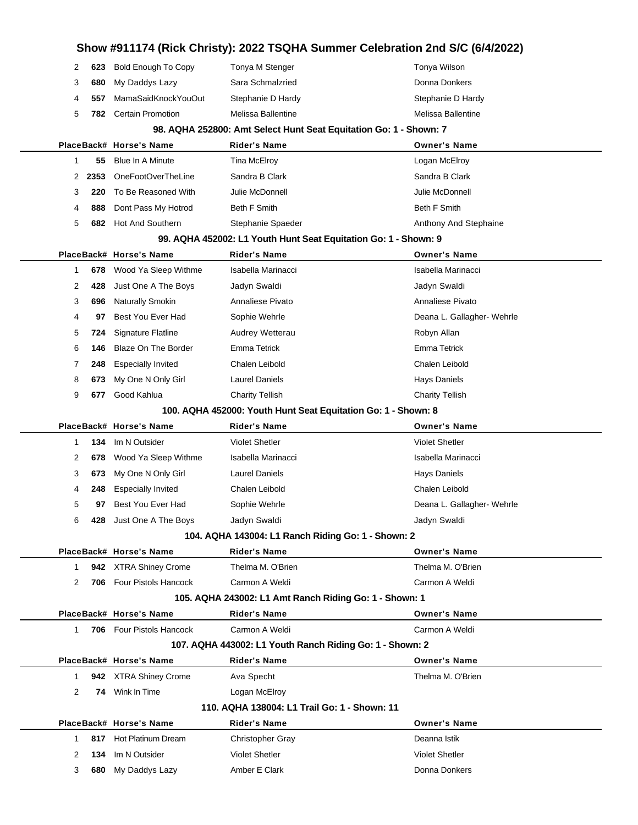|        |            |                                 |                                                                   | Show #911174 (Rick Christy): 2022 TSQHA Summer Celebration 2nd S/C (6/4/2022) |  |
|--------|------------|---------------------------------|-------------------------------------------------------------------|-------------------------------------------------------------------------------|--|
| 2      | 623        | Bold Enough To Copy             | Tonya M Stenger                                                   | Tonya Wilson                                                                  |  |
| 3      | 680        | My Daddys Lazy                  | Sara Schmalzried                                                  | Donna Donkers                                                                 |  |
| 4      | 557        | MamaSaidKnockYouOut             | Stephanie D Hardy                                                 | Stephanie D Hardy                                                             |  |
| 5      | 782        | <b>Certain Promotion</b>        | Melissa Ballentine                                                | Melissa Ballentine                                                            |  |
|        |            |                                 | 98. AQHA 252800: Amt Select Hunt Seat Equitation Go: 1 - Shown: 7 |                                                                               |  |
|        |            | PlaceBack# Horse's Name         | <b>Rider's Name</b>                                               | <b>Owner's Name</b>                                                           |  |
| 1      | 55         | Blue In A Minute                | <b>Tina McElroy</b>                                               | Logan McElroy                                                                 |  |
| 2      | 2353       | OneFootOverTheLine              | Sandra B Clark                                                    | Sandra B Clark                                                                |  |
| 3      | 220        | To Be Reasoned With             | Julie McDonnell                                                   | Julie McDonnell                                                               |  |
| 4      | 888        | Dont Pass My Hotrod             | <b>Beth F Smith</b>                                               | <b>Beth F Smith</b>                                                           |  |
| 5      | 682        | <b>Hot And Southern</b>         | Stephanie Spaeder                                                 | Anthony And Stephaine                                                         |  |
|        |            |                                 | 99. AQHA 452002: L1 Youth Hunt Seat Equitation Go: 1 - Shown: 9   |                                                                               |  |
|        |            | PlaceBack# Horse's Name         | <b>Rider's Name</b>                                               | <b>Owner's Name</b>                                                           |  |
| 1      |            | 678 Wood Ya Sleep Withme        | Isabella Marinacci                                                | Isabella Marinacci                                                            |  |
| 2      | 428        | Just One A The Boys             | Jadyn Swaldi                                                      | Jadyn Swaldi                                                                  |  |
| 3      | 696        | Naturally Smokin                | Annaliese Pivato                                                  | Annaliese Pivato                                                              |  |
| 4      | 97         | Best You Ever Had               | Sophie Wehrle                                                     | Deana L. Gallagher- Wehrle                                                    |  |
| 5      | 724        | <b>Signature Flatline</b>       | Audrey Wetterau                                                   | Robyn Allan                                                                   |  |
| 6      | 146        | <b>Blaze On The Border</b>      | Emma Tetrick                                                      | <b>Emma Tetrick</b>                                                           |  |
| 7      | 248        | <b>Especially Invited</b>       | Chalen Leibold                                                    | Chalen Leibold                                                                |  |
| 8      | 673        | My One N Only Girl              | <b>Laurel Daniels</b>                                             | <b>Hays Daniels</b>                                                           |  |
| 9      | 677        | Good Kahlua                     | <b>Charity Tellish</b>                                            | <b>Charity Tellish</b>                                                        |  |
|        |            |                                 | 100. AQHA 452000: Youth Hunt Seat Equitation Go: 1 - Shown: 8     |                                                                               |  |
|        |            | PlaceBack# Horse's Name         | <b>Rider's Name</b>                                               | <b>Owner's Name</b>                                                           |  |
|        |            |                                 |                                                                   |                                                                               |  |
| 1      | 134        | Im N Outsider                   | Violet Shetler                                                    | <b>Violet Shetler</b>                                                         |  |
| 2      | 678        | Wood Ya Sleep Withme            | Isabella Marinacci                                                | Isabella Marinacci                                                            |  |
| 3      | 673        | My One N Only Girl              | <b>Laurel Daniels</b>                                             | <b>Hays Daniels</b>                                                           |  |
| 4      | 248        | <b>Especially Invited</b>       | Chalen Leibold                                                    | Chalen Leibold                                                                |  |
| 5      | 97         | Best You Ever Had               | Sophie Wehrle                                                     | Deana L. Gallagher- Wehrle                                                    |  |
| 6      |            | 428 Just One A The Boys         | Jadyn Swaldi                                                      | Jadyn Swaldi                                                                  |  |
|        |            |                                 | 104. AQHA 143004: L1 Ranch Riding Go: 1 - Shown: 2                |                                                                               |  |
|        |            | PlaceBack# Horse's Name         | <b>Rider's Name</b>                                               | <b>Owner's Name</b>                                                           |  |
| 1      |            | 942 XTRA Shiney Crome           | Thelma M. O'Brien                                                 | Thelma M. O'Brien                                                             |  |
| 2      | 706        | <b>Four Pistols Hancock</b>     | Carmon A Weldi                                                    | Carmon A Weldi                                                                |  |
|        |            |                                 | 105. AQHA 243002: L1 Amt Ranch Riding Go: 1 - Shown: 1            |                                                                               |  |
|        |            | PlaceBack# Horse's Name         | <b>Rider's Name</b>                                               | <b>Owner's Name</b>                                                           |  |
| 1      |            | <b>706</b> Four Pistols Hancock | Carmon A Weldi                                                    | Carmon A Weldi                                                                |  |
|        |            |                                 | 107. AQHA 443002: L1 Youth Ranch Riding Go: 1 - Shown: 2          |                                                                               |  |
|        |            | PlaceBack# Horse's Name         | <b>Rider's Name</b>                                               | <b>Owner's Name</b>                                                           |  |
| 1      |            | 942 XTRA Shiney Crome           | Ava Specht                                                        | Thelma M. O'Brien                                                             |  |
| 2      |            | 74 Wink In Time                 | Logan McElroy                                                     |                                                                               |  |
|        |            |                                 | 110. AQHA 138004: L1 Trail Go: 1 - Shown: 11                      |                                                                               |  |
|        |            | PlaceBack# Horse's Name         | Rider's Name                                                      | <b>Owner's Name</b>                                                           |  |
| 1      | 817        | Hot Platinum Dream              | <b>Christopher Gray</b>                                           | Deanna Istik                                                                  |  |
| 2<br>3 | 134<br>680 | Im N Outsider<br>My Daddys Lazy | <b>Violet Shetler</b><br>Amber E Clark                            | <b>Violet Shetler</b><br>Donna Donkers                                        |  |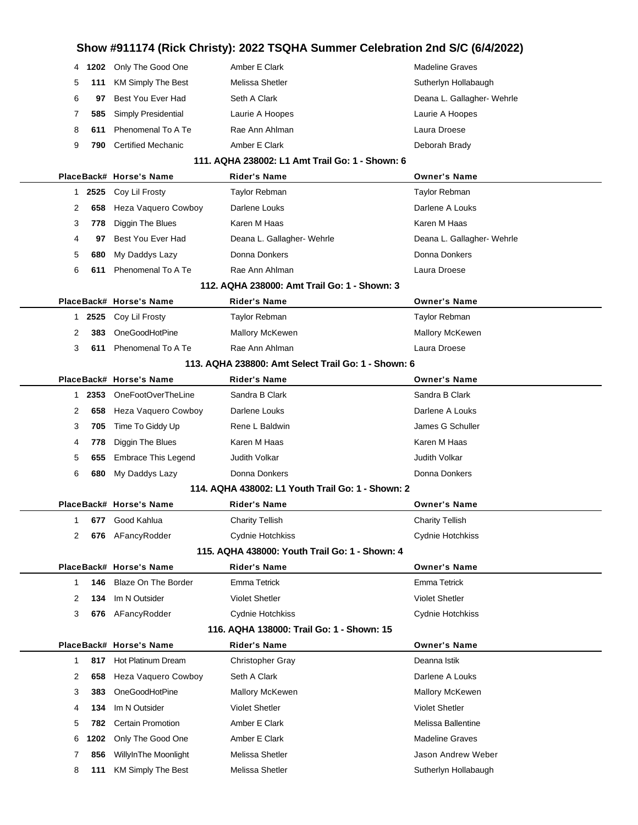## **Show #911174 (Rick Christy): 2022 TSQHA Summer Celebration 2nd S/C (6/4/2022)**

| 4          | 1202 Only The Good One     | Amber E Clark                                       | <b>Madeline Graves</b>     |
|------------|----------------------------|-----------------------------------------------------|----------------------------|
| 5<br>111   | <b>KM Simply The Best</b>  | Melissa Shetler                                     | Sutherlyn Hollabaugh       |
| 6<br>97    | Best You Ever Had          | Seth A Clark                                        | Deana L. Gallagher- Wehrle |
| 7<br>585   | Simply Presidential        | Laurie A Hoopes                                     | Laurie A Hoopes            |
| 8<br>611   | Phenomenal To A Te         | Rae Ann Ahlman                                      | Laura Droese               |
| 9<br>790   | <b>Certified Mechanic</b>  | Amber E Clark                                       | Deborah Brady              |
|            |                            | 111, AQHA 238002: L1 Amt Trail Go: 1 - Shown: 6     |                            |
|            | PlaceBack# Horse's Name    | <b>Rider's Name</b>                                 | <b>Owner's Name</b>        |
| 2525<br>1  | Coy Lil Frosty             | <b>Taylor Rebman</b>                                | Taylor Rebman              |
| 2<br>658   | Heza Vaquero Cowboy        | Darlene Louks                                       | Darlene A Louks            |
| 3<br>778   | Diggin The Blues           | Karen M Haas                                        | Karen M Haas               |
| 4<br>97    | Best You Ever Had          | Deana L. Gallagher- Wehrle                          | Deana L. Gallagher- Wehrle |
| 5<br>680   | My Daddys Lazy             | Donna Donkers                                       | Donna Donkers              |
| 6<br>611   | Phenomenal To A Te         | Rae Ann Ahlman                                      | Laura Droese               |
|            |                            | 112. AQHA 238000: Amt Trail Go: 1 - Shown: 3        |                            |
|            | PlaceBack# Horse's Name    | <b>Rider's Name</b>                                 | <b>Owner's Name</b>        |
| 2525<br>1. | Coy Lil Frosty             | <b>Taylor Rebman</b>                                | Taylor Rebman              |
| 2<br>383   | OneGoodHotPine             | <b>Mallory McKewen</b>                              | Mallory McKewen            |
| 3<br>611   | Phenomenal To A Te         | Rae Ann Ahlman                                      | Laura Droese               |
|            |                            | 113. AQHA 238800: Amt Select Trail Go: 1 - Shown: 6 |                            |
|            | PlaceBack# Horse's Name    | Rider's Name                                        | <b>Owner's Name</b>        |
| 2353<br>1. | OneFootOverTheLine         | Sandra B Clark                                      | Sandra B Clark             |
| 658<br>2   | Heza Vaquero Cowboy        | Darlene Louks                                       | Darlene A Louks            |
| 3<br>705   | Time To Giddy Up           | Rene L Baldwin                                      | James G Schuller           |
| 4<br>778   | Diggin The Blues           | Karen M Haas                                        | Karen M Haas               |
| 5<br>655   | <b>Embrace This Legend</b> | Judith Volkar                                       | Judith Volkar              |
| 6<br>680   | My Daddys Lazy             | Donna Donkers                                       | Donna Donkers              |
|            |                            | 114. AQHA 438002: L1 Youth Trail Go: 1 - Shown: 2   |                            |
|            | PlaceBack# Horse's Name    | <b>Rider's Name</b>                                 | <b>Owner's Name</b>        |
|            | 677 Good Kahlua            | <b>Charity Tellish</b>                              | <b>Charity Tellish</b>     |
| 2          | 676 AFancyRodder           | Cydnie Hotchkiss                                    | Cydnie Hotchkiss           |
|            |                            | 115. AQHA 438000: Youth Trail Go: 1 - Shown: 4      |                            |
|            | PlaceBack# Horse's Name    | Rider's Name                                        | <b>Owner's Name</b>        |
| 146<br>1   | Blaze On The Border        | <b>Emma Tetrick</b>                                 | <b>Emma Tetrick</b>        |
| 2<br>134   | Im N Outsider              | <b>Violet Shetler</b>                               | <b>Violet Shetler</b>      |
| 3<br>676   | AFancyRodder               | Cydnie Hotchkiss                                    | Cydnie Hotchkiss           |
|            |                            | 116. AQHA 138000: Trail Go: 1 - Shown: 15           |                            |
|            | PlaceBack# Horse's Name    | <b>Rider's Name</b>                                 | <b>Owner's Name</b>        |
| 817<br>1   | Hot Platinum Dream         | <b>Christopher Gray</b>                             | Deanna Istik               |
| 2<br>658   | Heza Vaquero Cowboy        | Seth A Clark                                        | Darlene A Louks            |
| 3<br>383   | OneGoodHotPine             | <b>Mallory McKewen</b>                              | <b>Mallory McKewen</b>     |
| 4<br>134   | Im N Outsider              | <b>Violet Shetler</b>                               | <b>Violet Shetler</b>      |
| 5<br>782   | Certain Promotion          | Amber E Clark                                       | Melissa Ballentine         |
| 6<br>1202  | Only The Good One          | Amber E Clark                                       | <b>Madeline Graves</b>     |
| 856<br>7   | WillyInThe Moonlight       | Melissa Shetler                                     | Jason Andrew Weber         |
| 8<br>111   | <b>KM Simply The Best</b>  | Melissa Shetler                                     | Sutherlyn Hollabaugh       |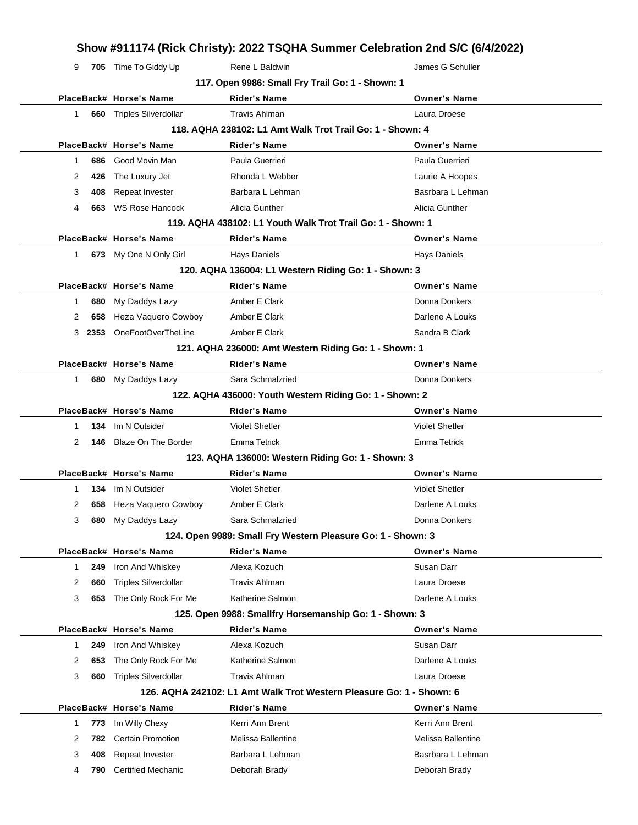### **Show #911174 (Rick Christy): 2022 TSQHA Summer Celebration 2nd S/C (6/4/2022)** 9 **705** Time To Giddy Up **Rene L Baldwin** Rene 1 and Schuller **117. Open 9986: Small Fry Trail Go: 1 - Shown: 1 PlaceBack# Horse's Name Rider's Name Owner's Name** 1 **660** Triples Silverdollar Travis Ahlman Laura Droese Laura Droese **118. AQHA 238102: L1 Amt Walk Trot Trail Go: 1 - Shown: 4 PlaceBack# Horse's Name Rider's Name Owner's Name** 1 **686** Good Movin Man **Paula Guerrieri** Paula Guerrieri Paula Guerrieri 2 **426** The Luxury Jet **Rhonda L Webber Rhonda L Webber Laurie A Hoopes** 3 **408** Repeat Invester **Barbara L Lehman** Basrbara L Lehman Basrbara L Lehman 4 **663** WS Rose Hancock Alicia Gunther **Alicia Gunther** Alicia Gunther **119. AQHA 438102: L1 Youth Walk Trot Trail Go: 1 - Shown: 1 PlaceBack# Horse's Name Rider's Name Owner's Name** 1 **673** My One N Only Girl Hays Daniels Hays Daniels Hays Daniels Hays Daniels **120. AQHA 136004: L1 Western Riding Go: 1 - Shown: 3 PlaceBack# Horse's Name Rider's Name Owner's Name** 1 **680** My Daddys Lazy **Amber E Clark Clark Clark Donna Donkers** 2 **658** Heza Vaquero Cowboy Amber E Clark **Darlene A Louks** Darlene A Louks 3 **2353** OneFootOverTheLine Amber E Clark Amber Amber Amber Sandra B Clark **121. AQHA 236000: Amt Western Riding Go: 1 - Shown: 1 PlaceBack# Horse's Name Rider's Name Owner's Name** 1 **680** My Daddys Lazy Sara Schmalzried **Communist Connains Communist Communist Connains Donna Donkers 122. AQHA 436000: Youth Western Riding Go: 1 - Shown: 2 PlaceBack# Horse's Name Rider's Name Owner's Name** 1 **134** Im N Outsider Violet Shetler Violet Shetler 2 **146** Blaze On The Border Emma Tetrick Emma Tetrick **123. AQHA 136000: Western Riding Go: 1 - Shown: 3 PlaceBack# Horse's Name Rider's Name Owner's Name** 1 **134** Im N Outsider Violet Shetler Violet Shetler 2 658 Heza Vaquero Cowboy Amber E Clark **Darlene A Louks** Darlene A Louks 3 **680** My Daddys Lazy Sara Schmalzried **Sara Schmalzried** Donna Donkers **124. Open 9989: Small Fry Western Pleasure Go: 1 - Shown: 3 PlaceBack# Horse's Name Rider's Name Owner's Name** 1 **249** Iron And Whiskey **Alexa Kozuch Susan Darr** Susan Darr 2 **660** Triples Silverdollar Travis Ahlman Laura Droese Laura Droese 3 **653** The Only Rock For Me Katherine Salmon Darlene A Louks **125. Open 9988: Smallfry Horsemanship Go: 1 - Shown: 3 PlaceBack# Horse's Name Rider's Name Owner's Name** 1 **249** Iron And Whiskey **Alexa Kozuch Susan Darr** Susan Darr 2 **653** The Only Rock For Me Katherine Salmon National Darlene A Louks 3 **660** Triples Silverdollar Travis Ahlman Laura Droese Laura Droese **126. AQHA 242102: L1 Amt Walk Trot Western Pleasure Go: 1 - Shown: 6 PlaceBack# Horse's Name Rider's Name Owner's Name** 1 773 Im Willy Chexy **Kerri Ann Brent** Kerri Ann Brent Kerri Ann Brent 2 **782** Certain Promotion Melissa Ballentine Melissa Ballentine 3 **408** Repeat Invester Barbara L Lehman Basrbara L Lehman 4 **790** Certified Mechanic **Deborah Brady Communist Communist Communist Communist Communist Communist Communist Communist Communist Communist Communist Communist Communist Communist Communist Communist Communist Communist**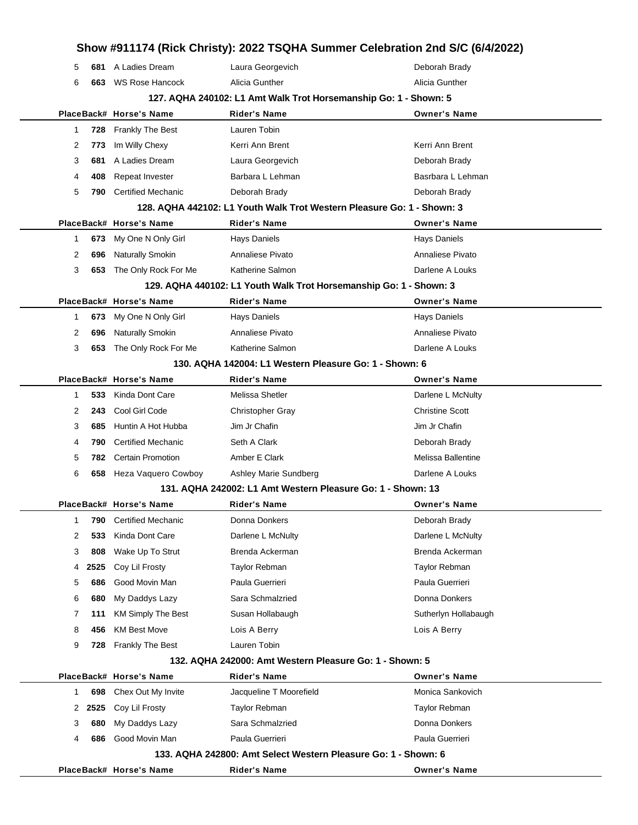|             |      |                           | Show #911174 (Rick Christy): 2022 TSQHA Summer Celebration 2nd S/C (6/4/2022) |                        |
|-------------|------|---------------------------|-------------------------------------------------------------------------------|------------------------|
| 5           | 681  | A Ladies Dream            | Laura Georgevich                                                              | Deborah Brady          |
| 6           | 663  | <b>WS Rose Hancock</b>    | Alicia Gunther                                                                | Alicia Gunther         |
|             |      |                           | 127. AQHA 240102: L1 Amt Walk Trot Horsemanship Go: 1 - Shown: 5              |                        |
|             |      | PlaceBack# Horse's Name   | <b>Rider's Name</b>                                                           | <b>Owner's Name</b>    |
| 1           | 728  | Frankly The Best          | Lauren Tobin                                                                  |                        |
| 2           | 773  | Im Willy Chexy            | Kerri Ann Brent                                                               | Kerri Ann Brent        |
| 3           | 681  | A Ladies Dream            | Laura Georgevich                                                              | Deborah Brady          |
| 4           | 408  | Repeat Invester           | Barbara L Lehman                                                              | Basrbara L Lehman      |
| 5           | 790  | <b>Certified Mechanic</b> | Deborah Brady                                                                 | Deborah Brady          |
|             |      |                           | 128. AQHA 442102: L1 Youth Walk Trot Western Pleasure Go: 1 - Shown: 3        |                        |
|             |      | PlaceBack# Horse's Name   | <b>Rider's Name</b>                                                           | <b>Owner's Name</b>    |
| $\mathbf 1$ | 673  | My One N Only Girl        | Hays Daniels                                                                  | Hays Daniels           |
| 2           | 696  | <b>Naturally Smokin</b>   | Annaliese Pivato                                                              | Annaliese Pivato       |
| 3           | 653  | The Only Rock For Me      | Katherine Salmon                                                              | Darlene A Louks        |
|             |      |                           | 129. AQHA 440102: L1 Youth Walk Trot Horsemanship Go: 1 - Shown: 3            |                        |
|             |      | PlaceBack# Horse's Name   | Rider's Name                                                                  | <b>Owner's Name</b>    |
| $\mathbf 1$ | 673  | My One N Only Girl        | Hays Daniels                                                                  | <b>Hays Daniels</b>    |
| 2           | 696  | Naturally Smokin          | Annaliese Pivato                                                              | Annaliese Pivato       |
| 3           | 653  | The Only Rock For Me      | Katherine Salmon                                                              | Darlene A Louks        |
|             |      |                           | 130. AQHA 142004: L1 Western Pleasure Go: 1 - Shown: 6                        |                        |
|             |      | PlaceBack# Horse's Name   | Rider's Name                                                                  | <b>Owner's Name</b>    |
| 1           | 533  | Kinda Dont Care           | Melissa Shetler                                                               | Darlene L McNulty      |
| 2           | 243  | Cool Girl Code            | <b>Christopher Gray</b>                                                       | <b>Christine Scott</b> |
| 3           | 685  | Huntin A Hot Hubba        | Jim Jr Chafin                                                                 | Jim Jr Chafin          |
| 4           | 790  | <b>Certified Mechanic</b> | Seth A Clark                                                                  | Deborah Brady          |
| 5           | 782  | <b>Certain Promotion</b>  | Amber E Clark                                                                 | Melissa Ballentine     |
| 6           | 658  | Heza Vaquero Cowboy       | Ashley Marie Sundberg                                                         | Darlene A Louks        |
|             |      |                           | 131, AQHA 242002: L1 Amt Western Pleasure Go: 1 - Shown: 13                   |                        |
|             |      | PlaceBack# Horse's Name   | Rider's Name                                                                  | <b>Owner's Name</b>    |
| 1           | 790  | <b>Certified Mechanic</b> | Donna Donkers                                                                 | Deborah Brady          |
| 2           | 533  | Kinda Dont Care           | Darlene L McNulty                                                             | Darlene L McNulty      |
| 3           | 808  | Wake Up To Strut          | Brenda Ackerman                                                               | Brenda Ackerman        |
| 4           | 2525 | Coy Lil Frosty            | <b>Taylor Rebman</b>                                                          | Taylor Rebman          |
| 5           | 686  | Good Movin Man            | Paula Guerrieri                                                               | Paula Guerrieri        |
| 6           | 680  | My Daddys Lazy            | Sara Schmalzried                                                              | Donna Donkers          |
| 7           | 111  | <b>KM Simply The Best</b> | Susan Hollabaugh                                                              | Sutherlyn Hollabaugh   |
| 8           | 456  | <b>KM Best Move</b>       | Lois A Berry                                                                  | Lois A Berry           |
| 9           | 728  | <b>Frankly The Best</b>   | Lauren Tobin                                                                  |                        |
|             |      |                           | 132. AQHA 242000: Amt Western Pleasure Go: 1 - Shown: 5                       |                        |
|             |      | PlaceBack# Horse's Name   | Rider's Name                                                                  | <b>Owner's Name</b>    |
| $\mathbf 1$ | 698  | Chex Out My Invite        | Jacqueline T Moorefield                                                       | Monica Sankovich       |
| 2           | 2525 | Coy Lil Frosty            | Taylor Rebman                                                                 | Taylor Rebman          |
| 3           | 680  | My Daddys Lazy            | Sara Schmalzried                                                              | Donna Donkers          |
| 4           | 686  | Good Movin Man            | Paula Guerrieri                                                               | Paula Guerrieri        |
|             |      |                           | 133. AQHA 242800: Amt Select Western Pleasure Go: 1 - Shown: 6                |                        |
|             |      | PlaceBack# Horse's Name   | Rider's Name                                                                  | <b>Owner's Name</b>    |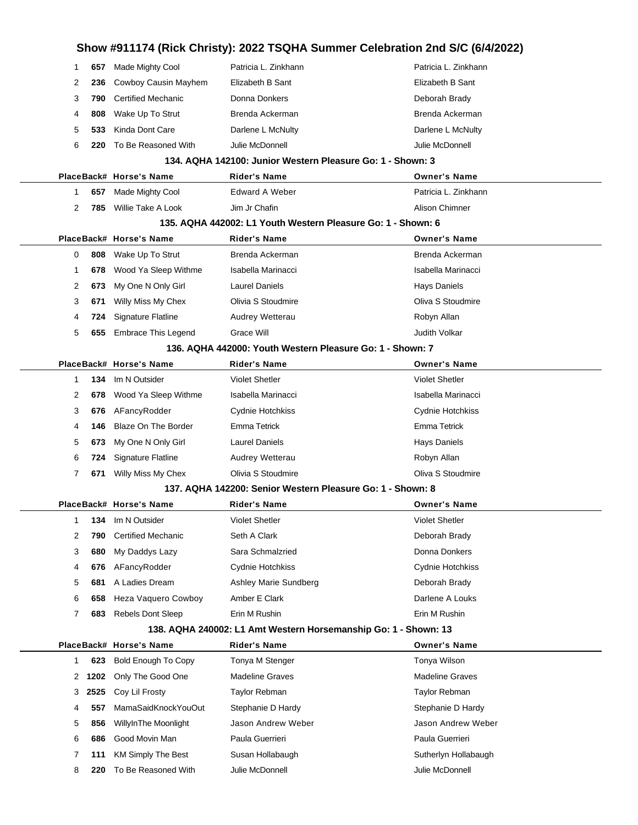|              |      |                            | Show #911174 (Rick Christy): 2022 TSQHA Summer Celebration 2nd S/C (6/4/2022) |                        |
|--------------|------|----------------------------|-------------------------------------------------------------------------------|------------------------|
| 1            | 657  | Made Mighty Cool           | Patricia L. Zinkhann                                                          | Patricia L. Zinkhann   |
| 2            | 236  | Cowboy Causin Mayhem       | Elizabeth B Sant                                                              | Elizabeth B Sant       |
| 3            | 790  | <b>Certified Mechanic</b>  | Donna Donkers                                                                 | Deborah Brady          |
| 4            | 808  | Wake Up To Strut           | Brenda Ackerman                                                               | Brenda Ackerman        |
| 5            | 533  | Kinda Dont Care            | Darlene L McNulty                                                             | Darlene L McNulty      |
| 6            | 220  | To Be Reasoned With        | Julie McDonnell                                                               | Julie McDonnell        |
|              |      |                            | 134. AQHA 142100: Junior Western Pleasure Go: 1 - Shown: 3                    |                        |
|              |      | PlaceBack# Horse's Name    | Rider's Name                                                                  | <b>Owner's Name</b>    |
| 1            | 657  | Made Mighty Cool           | <b>Edward A Weber</b>                                                         | Patricia L. Zinkhann   |
| 2            | 785  | Willie Take A Look         | Jim Jr Chafin                                                                 | Alison Chimner         |
|              |      |                            | 135. AQHA 442002: L1 Youth Western Pleasure Go: 1 - Shown: 6                  |                        |
|              |      | PlaceBack# Horse's Name    | Rider's Name                                                                  | <b>Owner's Name</b>    |
| 0            | 808  | Wake Up To Strut           | Brenda Ackerman                                                               | Brenda Ackerman        |
| 1            | 678  | Wood Ya Sleep Withme       | Isabella Marinacci                                                            | Isabella Marinacci     |
| 2            | 673  | My One N Only Girl         | Laurel Daniels                                                                | Hays Daniels           |
| 3            | 671  | Willy Miss My Chex         | Olivia S Stoudmire                                                            | Oliva S Stoudmire      |
| 4            | 724  | <b>Signature Flatline</b>  | Audrey Wetterau                                                               | Robyn Allan            |
| 5            | 655  | <b>Embrace This Legend</b> | Grace Will                                                                    | <b>Judith Volkar</b>   |
|              |      |                            | 136. AQHA 442000: Youth Western Pleasure Go: 1 - Shown: 7                     |                        |
|              |      | PlaceBack# Horse's Name    | Rider's Name                                                                  | <b>Owner's Name</b>    |
| $\mathbf{1}$ | 134  | Im N Outsider              | <b>Violet Shetler</b>                                                         | <b>Violet Shetler</b>  |
| 2            | 678  | Wood Ya Sleep Withme       | Isabella Marinacci                                                            | Isabella Marinacci     |
| 3            | 676  | AFancyRodder               | Cydnie Hotchkiss                                                              | Cydnie Hotchkiss       |
| 4            | 146  | Blaze On The Border        | Emma Tetrick                                                                  | Emma Tetrick           |
| 5            | 673  | My One N Only Girl         | <b>Laurel Daniels</b>                                                         | Hays Daniels           |
| 6            | 724  | <b>Signature Flatline</b>  | Audrey Wetterau                                                               | Robyn Allan            |
| 7            | 671  | Willy Miss My Chex         | Olivia S Stoudmire                                                            | Oliva S Stoudmire      |
|              |      |                            | 137, AQHA 142200: Senior Western Pleasure Go: 1 - Shown: 8                    |                        |
|              |      | PlaceBack# Horse's Name    | Rider's Name                                                                  | <b>Owner's Name</b>    |
| $\mathbf{1}$ | 134  | Im N Outsider              | <b>Violet Shetler</b>                                                         | <b>Violet Shetler</b>  |
| 2            | 790  | <b>Certified Mechanic</b>  | Seth A Clark                                                                  | Deborah Brady          |
| 3            | 680  | My Daddys Lazy             | Sara Schmalzried                                                              | Donna Donkers          |
| 4            | 676  | AFancyRodder               | Cydnie Hotchkiss                                                              | Cydnie Hotchkiss       |
| 5            | 681  | A Ladies Dream             | Ashley Marie Sundberg                                                         | Deborah Brady          |
| 6            | 658  | <b>Heza Vaquero Cowboy</b> | Amber E Clark                                                                 | Darlene A Louks        |
| 7            | 683  | <b>Rebels Dont Sleep</b>   | Erin M Rushin                                                                 | Erin M Rushin          |
|              |      |                            | 138. AQHA 240002: L1 Amt Western Horsemanship Go: 1 - Shown: 13               |                        |
|              |      | PlaceBack# Horse's Name    | Rider's Name                                                                  | <b>Owner's Name</b>    |
| $\mathbf{1}$ | 623  | Bold Enough To Copy        | Tonya M Stenger                                                               | Tonya Wilson           |
| 2            | 1202 | Only The Good One          | <b>Madeline Graves</b>                                                        | <b>Madeline Graves</b> |
| 3            | 2525 | Coy Lil Frosty             | Taylor Rebman                                                                 | Taylor Rebman          |
| 4            | 557  | MamaSaidKnockYouOut        | Stephanie D Hardy                                                             | Stephanie D Hardy      |
| 5            | 856  | WillyInThe Moonlight       | Jason Andrew Weber                                                            | Jason Andrew Weber     |
| 6            | 686  | Good Movin Man             | Paula Guerrieri                                                               | Paula Guerrieri        |
| 7            | 111  | <b>KM Simply The Best</b>  | Susan Hollabaugh                                                              | Sutherlyn Hollabaugh   |
| 8            | 220  | To Be Reasoned With        | Julie McDonnell                                                               | Julie McDonnell        |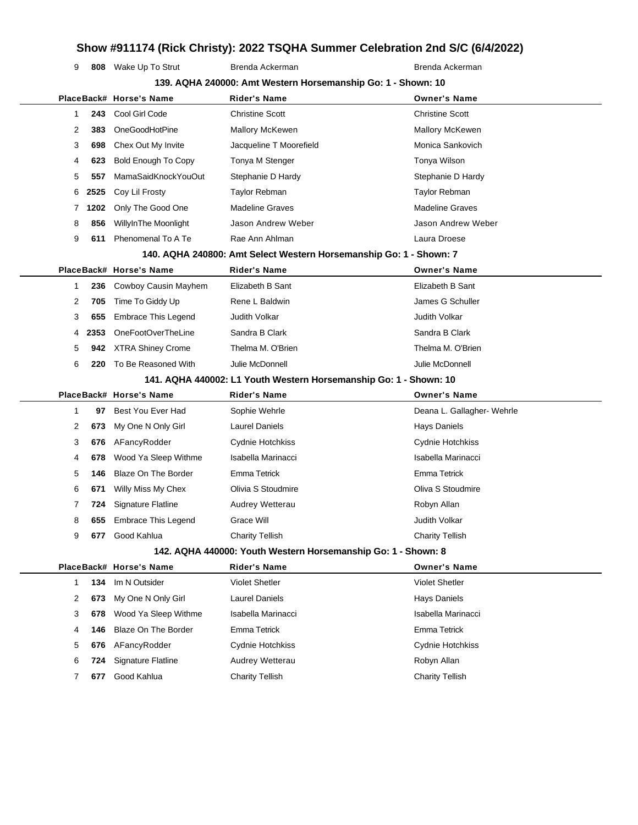## **Show #911174 (Rick Christy): 2022 TSQHA Summer Celebration 2nd S/C (6/4/2022)**

**139. AQHA 240000: Amt Western Horsemanship Go: 1 - Shown: 10**

**808** Wake Up To Strut Brenda Ackerman Brenda Ackerman Brenda Ackerman

|    |      | PlaceBack# Horse's Name    | <b>Rider's Name</b>                                                | <b>Owner's Name</b>        |
|----|------|----------------------------|--------------------------------------------------------------------|----------------------------|
| 1. | 243  | Cool Girl Code             | <b>Christine Scott</b>                                             | <b>Christine Scott</b>     |
| 2  | 383  | OneGoodHotPine             | <b>Mallory McKewen</b>                                             | <b>Mallory McKewen</b>     |
| 3  | 698  | Chex Out My Invite         | Jacqueline T Moorefield                                            | Monica Sankovich           |
| 4  | 623  | <b>Bold Enough To Copy</b> | Tonya M Stenger                                                    | Tonya Wilson               |
| 5  | 557  | MamaSaidKnockYouOut        | Stephanie D Hardy                                                  | Stephanie D Hardy          |
| 6  | 2525 | Coy Lil Frosty             | Taylor Rebman                                                      | <b>Taylor Rebman</b>       |
| 7  | 1202 | Only The Good One          | <b>Madeline Graves</b>                                             | <b>Madeline Graves</b>     |
| 8  | 856  | WillyInThe Moonlight       | Jason Andrew Weber                                                 | Jason Andrew Weber         |
| 9  | 611  | Phenomenal To A Te         | Rae Ann Ahlman                                                     | Laura Droese               |
|    |      |                            | 140. AQHA 240800: Amt Select Western Horsemanship Go: 1 - Shown: 7 |                            |
|    |      | PlaceBack# Horse's Name    | Rider's Name                                                       | <b>Owner's Name</b>        |
| 1  | 236  | Cowboy Causin Mayhem       | Elizabeth B Sant                                                   | Elizabeth B Sant           |
| 2  | 705  | Time To Giddy Up           | Rene L Baldwin                                                     | James G Schuller           |
| 3  | 655  | <b>Embrace This Legend</b> | Judith Volkar                                                      | Judith Volkar              |
| 4  | 2353 | OneFootOverTheLine         | Sandra B Clark                                                     | Sandra B Clark             |
| 5  | 942  | <b>XTRA Shiney Crome</b>   | Thelma M. O'Brien                                                  | Thelma M. O'Brien          |
| 6  | 220  | To Be Reasoned With        | Julie McDonnell                                                    | Julie McDonnell            |
|    |      |                            | 141. AQHA 440002: L1 Youth Western Horsemanship Go: 1 - Shown: 10  |                            |
|    |      | PlaceBack# Horse's Name    | Rider's Name                                                       | <b>Owner's Name</b>        |
| 1  | 97   | Best You Ever Had          | Sophie Wehrle                                                      | Deana L. Gallagher- Wehrle |
| 2  | 673  | My One N Only Girl         | <b>Laurel Daniels</b>                                              | <b>Hays Daniels</b>        |
| 3  | 676  | AFancyRodder               | Cydnie Hotchkiss                                                   | Cydnie Hotchkiss           |
| 4  | 678  | Wood Ya Sleep Withme       | Isabella Marinacci                                                 | Isabella Marinacci         |
| 5  | 146  | <b>Blaze On The Border</b> | <b>Emma Tetrick</b>                                                | Emma Tetrick               |
| 6  | 671  | Willy Miss My Chex         | Olivia S Stoudmire                                                 | Oliva S Stoudmire          |
| 7  | 724  | Signature Flatline         | Audrey Wetterau                                                    | Robyn Allan                |
| 8  | 655  | <b>Embrace This Legend</b> | Grace Will                                                         | Judith Volkar              |
| 9  | 677  | Good Kahlua                | <b>Charity Tellish</b>                                             | <b>Charity Tellish</b>     |
|    |      |                            | 142. AQHA 440000: Youth Western Horsemanship Go: 1 - Shown: 8      |                            |
|    |      | PlaceBack# Horse's Name    | <b>Rider's Name</b>                                                | <b>Owner's Name</b>        |
| 1. | 134  | Im N Outsider              | <b>Violet Shetler</b>                                              | <b>Violet Shetler</b>      |
| 2  | 673  | My One N Only Girl         | <b>Laurel Daniels</b>                                              | <b>Hays Daniels</b>        |
| 3  | 678  | Wood Ya Sleep Withme       | Isabella Marinacci                                                 | Isabella Marinacci         |
| 4  | 146  | <b>Blaze On The Border</b> | Emma Tetrick                                                       | Emma Tetrick               |
| 5  | 676  | AFancyRodder               | Cydnie Hotchkiss                                                   | Cydnie Hotchkiss           |
| 6  | 724  | Signature Flatline         | Audrey Wetterau                                                    | Robyn Allan                |
| 7  | 677  | Good Kahlua                | <b>Charity Tellish</b>                                             | <b>Charity Tellish</b>     |
|    |      |                            |                                                                    |                            |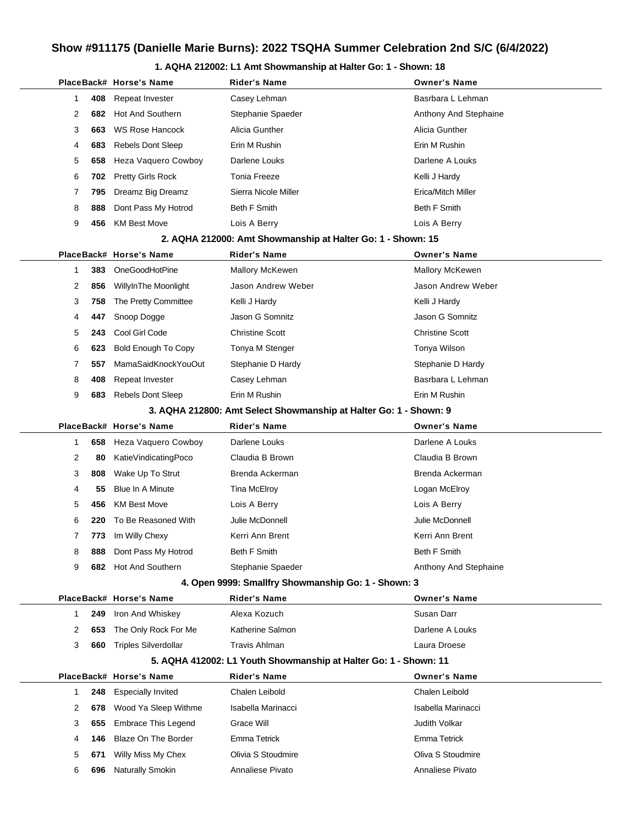### **1. AQHA 212002: L1 Amt Showmanship at Halter Go: 1 - Shown: 18**

|                                                             |     | PlaceBack# Horse's Name     | Rider's Name                                                      | <b>Owner's Name</b>    |  |  |  |
|-------------------------------------------------------------|-----|-----------------------------|-------------------------------------------------------------------|------------------------|--|--|--|
| 1                                                           | 408 | Repeat Invester             | Casey Lehman                                                      | Basrbara L Lehman      |  |  |  |
| 2                                                           | 682 | Hot And Southern            | Stephanie Spaeder                                                 | Anthony And Stephaine  |  |  |  |
| 3                                                           | 663 | <b>WS Rose Hancock</b>      | Alicia Gunther                                                    | Alicia Gunther         |  |  |  |
| 4                                                           | 683 | <b>Rebels Dont Sleep</b>    | Erin M Rushin                                                     | Erin M Rushin          |  |  |  |
| 5                                                           | 658 | Heza Vaquero Cowboy         | Darlene Louks                                                     | Darlene A Louks        |  |  |  |
| 6                                                           | 702 | Pretty Girls Rock           | Tonia Freeze                                                      | Kelli J Hardy          |  |  |  |
| 7                                                           | 795 | Dreamz Big Dreamz           | Sierra Nicole Miller                                              | Erica/Mitch Miller     |  |  |  |
| 8                                                           | 888 | Dont Pass My Hotrod         | Beth F Smith                                                      | Beth F Smith           |  |  |  |
| 9                                                           | 456 | <b>KM Best Move</b>         | Lois A Berry                                                      | Lois A Berry           |  |  |  |
| 2. AQHA 212000: Amt Showmanship at Halter Go: 1 - Shown: 15 |     |                             |                                                                   |                        |  |  |  |
|                                                             |     | PlaceBack# Horse's Name     | Rider's Name                                                      | <b>Owner's Name</b>    |  |  |  |
| 1                                                           | 383 | OneGoodHotPine              | Mallory McKewen                                                   | <b>Mallory McKewen</b> |  |  |  |
| 2                                                           | 856 | WillyInThe Moonlight        | Jason Andrew Weber                                                | Jason Andrew Weber     |  |  |  |
| 3                                                           | 758 | The Pretty Committee        | Kelli J Hardy                                                     | Kelli J Hardy          |  |  |  |
| 4                                                           | 447 | Snoop Dogge                 | Jason G Somnitz                                                   | Jason G Somnitz        |  |  |  |
| 5                                                           | 243 | Cool Girl Code              | <b>Christine Scott</b>                                            | <b>Christine Scott</b> |  |  |  |
| 6                                                           | 623 | <b>Bold Enough To Copy</b>  | Tonya M Stenger                                                   | Tonya Wilson           |  |  |  |
| 7                                                           | 557 | MamaSaidKnockYouOut         | Stephanie D Hardy                                                 | Stephanie D Hardy      |  |  |  |
| 8                                                           | 408 | Repeat Invester             | Casey Lehman                                                      | Basrbara L Lehman      |  |  |  |
| 9                                                           | 683 | <b>Rebels Dont Sleep</b>    | Erin M Rushin                                                     | Erin M Rushin          |  |  |  |
|                                                             |     |                             | 3. AQHA 212800: Amt Select Showmanship at Halter Go: 1 - Shown: 9 |                        |  |  |  |
|                                                             |     | PlaceBack# Horse's Name     | Rider's Name                                                      | <b>Owner's Name</b>    |  |  |  |
| $\mathbf{1}$                                                | 658 | Heza Vaquero Cowboy         | Darlene Louks                                                     | Darlene A Louks        |  |  |  |
| 2                                                           | 80  | KatieVindicatingPoco        | Claudia B Brown                                                   | Claudia B Brown        |  |  |  |
| 3                                                           | 808 | Wake Up To Strut            | Brenda Ackerman                                                   | Brenda Ackerman        |  |  |  |
| 4                                                           | 55  | Blue In A Minute            | Tina McElroy                                                      | Logan McElroy          |  |  |  |
| 5                                                           | 456 | <b>KM Best Move</b>         | Lois A Berry                                                      | Lois A Berry           |  |  |  |
| 6                                                           | 220 | To Be Reasoned With         | Julie McDonnell                                                   | Julie McDonnell        |  |  |  |
| 7                                                           | 773 | Im Willy Chexy              | Kerri Ann Brent                                                   | Kerri Ann Brent        |  |  |  |
| 8                                                           | 888 | Dont Pass My Hotrod         | Beth F Smith                                                      | <b>Beth F Smith</b>    |  |  |  |
| 9                                                           | 682 | Hot And Southern            | Stephanie Spaeder                                                 | Anthony And Stephaine  |  |  |  |
|                                                             |     |                             | 4. Open 9999: Smallfry Showmanship Go: 1 - Shown: 3               |                        |  |  |  |
|                                                             |     | PlaceBack# Horse's Name     | <b>Rider's Name</b>                                               | <b>Owner's Name</b>    |  |  |  |
| 1                                                           | 249 | Iron And Whiskey            | Alexa Kozuch                                                      | Susan Darr             |  |  |  |
| 2                                                           | 653 | The Only Rock For Me        | Katherine Salmon                                                  | Darlene A Louks        |  |  |  |
| 3                                                           | 660 | <b>Triples Silverdollar</b> | Travis Ahlman                                                     | Laura Droese           |  |  |  |
|                                                             |     |                             | 5. AQHA 412002: L1 Youth Showmanship at Halter Go: 1 - Shown: 11  |                        |  |  |  |
|                                                             |     | PlaceBack# Horse's Name     | Rider's Name                                                      | <b>Owner's Name</b>    |  |  |  |
| 1                                                           | 248 | <b>Especially Invited</b>   | Chalen Leibold                                                    | Chalen Leibold         |  |  |  |
| 2                                                           | 678 | Wood Ya Sleep Withme        | Isabella Marinacci                                                | Isabella Marinacci     |  |  |  |
| 3                                                           | 655 | Embrace This Legend         | Grace Will                                                        | Judith Volkar          |  |  |  |
| 4                                                           | 146 | Blaze On The Border         | Emma Tetrick                                                      | Emma Tetrick           |  |  |  |
| 5                                                           | 671 | Willy Miss My Chex          | Olivia S Stoudmire                                                | Oliva S Stoudmire      |  |  |  |
| 6                                                           | 696 | Naturally Smokin            | Annaliese Pivato                                                  | Annaliese Pivato       |  |  |  |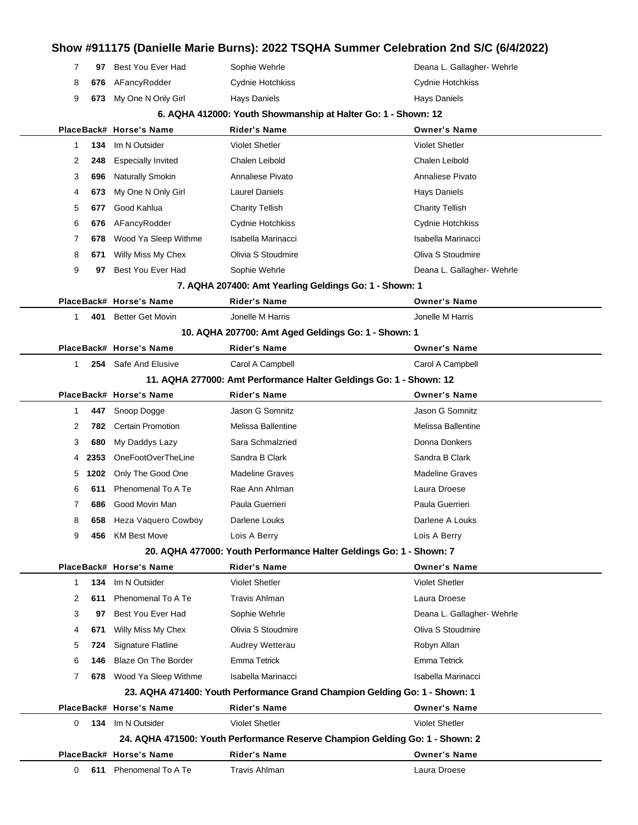## **Show #911175 (Danielle Marie Burns): 2022 TSQHA Summer Celebration 2nd S/C (6/4/2022) 97** Best You Ever Had Sophie Wehrle **Deana L. Gallagher- Wehrle** Deana L. Gallagher- Wehrle **676** AFancyRodder Cydnie Hotchkiss Cydne Cydnie Hotchkiss **673** My One N Only Girl Hays Daniels **Hays Daniels** Hays Daniels Hays Daniels **6. AQHA 412000: Youth Showmanship at Halter Go: 1 - Shown: 12 PlaceBack# Horse's Name Rider's Name Owner's Name 134** Im N Outsider Violet Shetler Violet Shetler **248** Especially Invited Chalen Leibold Chalen Leibold **696** Naturally Smokin **Annaliese Pivato** Annaliese Pivato **Annaliese Pivato** Annaliese Pivato **673** My One N Only Girl **Laurel Daniels Hays Daniels** Hays Daniels **677** Good Kahlua Charity Tellish Charity Tellish **676** AFancyRodder Cydnie Hotchkiss Cydnie Hotchkiss **678** Wood Ya Sleep Withme Isabella Marinacci **Isabella Marinacci** Isabella Marinacci **671** Willy Miss My Chex **Olivia S Stoudmire Constant Collivant Coliva** S Stoudmire **97** Best You Ever Had Sophie Wehrle **Communist Communist Communist Communist Communist Communist Communist Communist Communist Communist Communist Communist Communist Communist Communist Communist Communist Communist Co 7. AQHA 207400: Amt Yearling Geldings Go: 1 - Shown: 1 PlaceBack# Horse's Name Rider's Name Owner's Name 401** Better Get Movin Jonelle M Harris Jonelle M Harris **10. AQHA 207700: Amt Aged Geldings Go: 1 - Shown: 1 PlaceBack# Horse's Name Rider's Name Owner's Name 254** Safe And Elusive Carol A Campbell Carol A Campbell **11. AQHA 277000: Amt Performance Halter Geldings Go: 1 - Shown: 12 PlaceBack# Horse's Name Rider's Name Owner's Name 447** Snoop Dogge **Access Jason G Somnitz** Jason G Somnitz Jason G Somnitz **782** Certain Promotion **Melissa Ballentine** Melissa Ballentine Melissa Ballentine **680** My Daddys Lazy Sara Schmalzried **Communist Connaint Donna Donkers** Donna Donkers **2353** OneFootOverTheLine Sandra B Clark Sandra B Clark Sandra B Clark **1202** Only The Good One Madeline Graves Madeline Graves **611** Phenomenal To A Te Rae Ann Ahlman Laura Droese **686** Good Movin Man Paula Guerrieri Paula Guerrieri **658** Heza Vaquero Cowboy Darlene Louks **Darlene A Louks** Darlene A Louks **456** KM Best Move Lois A Berry Lois A Berry **20. AQHA 477000: Youth Performance Halter Geldings Go: 1 - Shown: 7 PlaceBack# Horse's Name Rider's Name Owner's Name 134** Im N Outsider Violet Shetler Violet Shetler **611** Phenomenal To A Te Travis Ahlman Laura Droese Laura Droese 3 97 Best You Ever Had Sophie Wehrle **Sophie Had Sophie Hadden Communist Callagher- Wehrle** Deana L. Gallagher- Wehrle **671** Willy Miss My Chex **Olivia S Stoudmire Oliva S Stoudmire** Oliva S Stoudmire **724** Signature Flatline **Audrey Wetterau Audrey Wetterau Robyn Allan 146** Blaze On The Border Emma Tetrick Emma Tetrick **678** Wood Ya Sleep Withme Isabella Marinacci **Isabella Marinacci** Isabella Marinacci **23. AQHA 471400: Youth Performance Grand Champion Gelding Go: 1 - Shown: 1 PlaceBack# Horse's Name Rider's Name Owner's Name**

 **134** Im N Outsider Violet Shetler Violet Shetler **24. AQHA 471500: Youth Performance Reserve Champion Gelding Go: 1 - Shown: 2 PlaceBack# Horse's Name Rider's Name Owner's Name 611** Phenomenal To A Te Travis Ahlman Laura Droese Laura Droese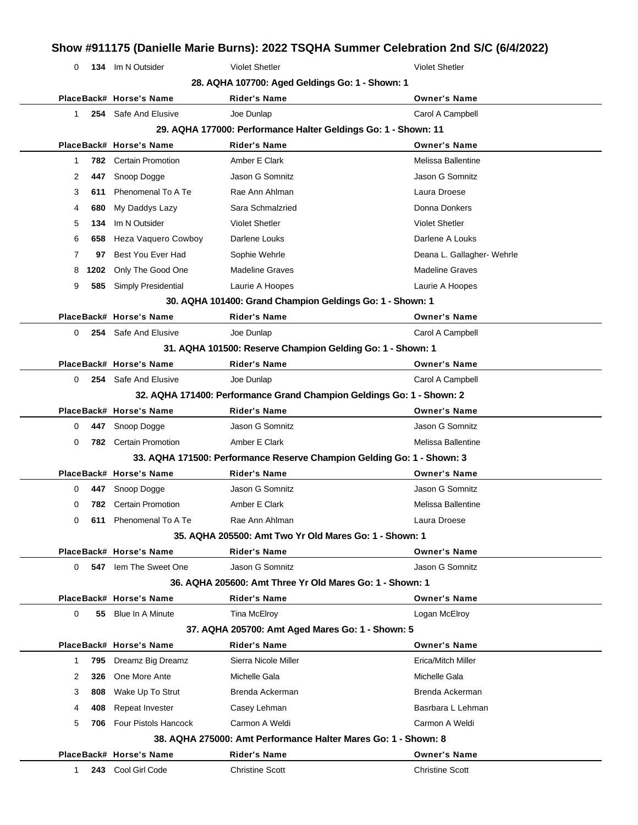| 0            |      | 134 Im N Outsider            | <b>Violet Shetler</b>                                                  | <b>Violet Shetler</b>      |
|--------------|------|------------------------------|------------------------------------------------------------------------|----------------------------|
|              |      |                              | 28. AQHA 107700: Aged Geldings Go: 1 - Shown: 1                        |                            |
|              |      | PlaceBack# Horse's Name      | <b>Rider's Name</b>                                                    | <b>Owner's Name</b>        |
| $\mathbf{1}$ |      | 254 Safe And Elusive         | Joe Dunlap                                                             | Carol A Campbell           |
|              |      |                              | 29. AQHA 177000: Performance Halter Geldings Go: 1 - Shown: 11         |                            |
|              |      | PlaceBack# Horse's Name      | <b>Rider's Name</b>                                                    | <b>Owner's Name</b>        |
| -1           |      | <b>782</b> Certain Promotion | Amber E Clark                                                          | Melissa Ballentine         |
| 2            | 447  | Snoop Dogge                  | Jason G Somnitz                                                        | Jason G Somnitz            |
| 3            | 611  | Phenomenal To A Te           | Rae Ann Ahlman                                                         | Laura Droese               |
| 4            | 680  | My Daddys Lazy               | Sara Schmalzried                                                       | Donna Donkers              |
| 5            | 134  | Im N Outsider                | <b>Violet Shetler</b>                                                  | <b>Violet Shetler</b>      |
| 6            | 658  | Heza Vaquero Cowboy          | Darlene Louks                                                          | Darlene A Louks            |
| 7            | 97   | Best You Ever Had            | Sophie Wehrle                                                          | Deana L. Gallagher- Wehrle |
| 8            | 1202 | Only The Good One            | <b>Madeline Graves</b>                                                 | <b>Madeline Graves</b>     |
| 9            | 585  | Simply Presidential          | Laurie A Hoopes                                                        | Laurie A Hoopes            |
|              |      |                              | 30. AQHA 101400: Grand Champion Geldings Go: 1 - Shown: 1              |                            |
|              |      | PlaceBack# Horse's Name      | <b>Rider's Name</b>                                                    | <b>Owner's Name</b>        |
| 0            |      | 254 Safe And Elusive         | Joe Dunlap                                                             | Carol A Campbell           |
|              |      |                              | 31. AQHA 101500: Reserve Champion Gelding Go: 1 - Shown: 1             |                            |
|              |      | PlaceBack# Horse's Name      | <b>Rider's Name</b>                                                    | <b>Owner's Name</b>        |
| 0            |      | 254 Safe And Elusive         | Joe Dunlap                                                             | Carol A Campbell           |
|              |      |                              | 32. AQHA 171400: Performance Grand Champion Geldings Go: 1 - Shown: 2  |                            |
|              |      | PlaceBack# Horse's Name      | Rider's Name                                                           | <b>Owner's Name</b>        |
| 0            | 447  | Snoop Dogge                  | Jason G Somnitz                                                        | Jason G Somnitz            |
| 0            |      | 782 Certain Promotion        | Amber E Clark                                                          | Melissa Ballentine         |
|              |      |                              | 33. AQHA 171500: Performance Reserve Champion Gelding Go: 1 - Shown: 3 |                            |
|              |      | PlaceBack# Horse's Name      | Rider's Name                                                           | <b>Owner's Name</b>        |
| 0            |      | 447 Snoop Dogge              | Jason G Somnitz                                                        | Jason G Somnitz            |
|              |      | 782 Certain Promotion        | Amber E Clark                                                          | Melissa Ballentine         |
| 0            | 611  | Phenomenal To A Te           | Rae Ann Ahlman                                                         | Laura Droese               |
|              |      |                              | 35. AQHA 205500: Amt Two Yr Old Mares Go: 1 - Shown: 1                 |                            |
|              |      | PlaceBack# Horse's Name      | <b>Rider's Name</b>                                                    | <b>Owner's Name</b>        |
| 0            |      | 547 Iem The Sweet One        | Jason G Somnitz                                                        | Jason G Somnitz            |
|              |      |                              | 36. AQHA 205600: Amt Three Yr Old Mares Go: 1 - Shown: 1               |                            |
|              |      | PlaceBack# Horse's Name      | Rider's Name                                                           | <b>Owner's Name</b>        |
| 0            | 55   | <b>Blue In A Minute</b>      | Tina McElroy                                                           | Logan McElroy              |
|              |      |                              | 37. AQHA 205700: Amt Aged Mares Go: 1 - Shown: 5                       |                            |
|              |      | PlaceBack# Horse's Name      | <b>Rider's Name</b>                                                    | <b>Owner's Name</b>        |
|              | 795  | Dreamz Big Dreamz            | Sierra Nicole Miller                                                   | Erica/Mitch Miller         |
| -1           | 326  | One More Ante                | Michelle Gala                                                          | Michelle Gala              |
| 2            |      | Wake Up To Strut             | Brenda Ackerman                                                        | Brenda Ackerman            |
| 3            | 808  |                              |                                                                        |                            |
| 4            | 408  | Repeat Invester              | Casey Lehman                                                           | Basrbara L Lehman          |

**PlaceBack# Horse's Name Rider's Name Owner's Name** 1 **243** Cool Girl Code Christine Scott Christine Scott Christine Scott

 $\overline{a}$ 

 $\overline{a}$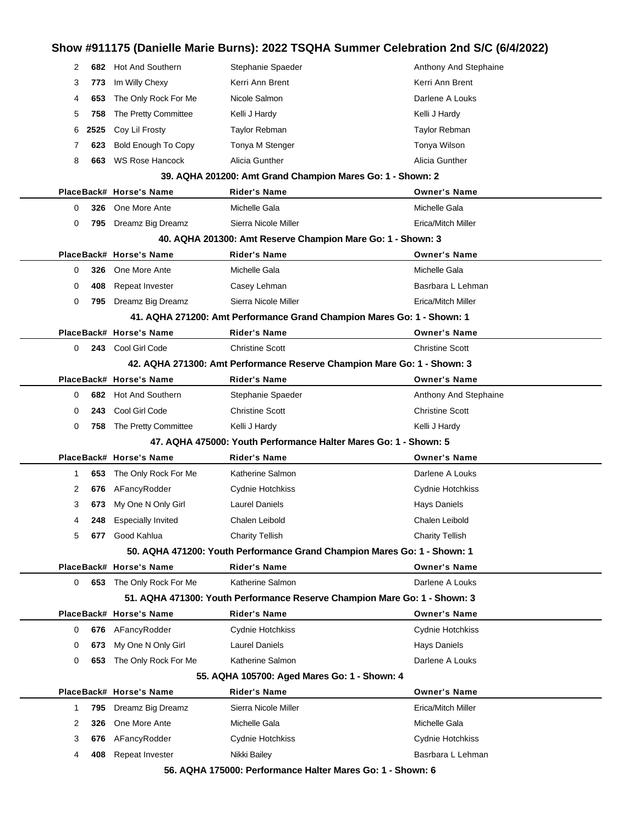| 2  | 682  | <b>Hot And Southern</b>    | Stephanie Spaeder                                                         | Anthony And Stephaine  |
|----|------|----------------------------|---------------------------------------------------------------------------|------------------------|
| 3  | 773  | Im Willy Chexy             | Kerri Ann Brent                                                           | Kerri Ann Brent        |
| 4  | 653  | The Only Rock For Me       | Nicole Salmon                                                             | Darlene A Louks        |
| 5  | 758  | The Pretty Committee       | Kelli J Hardy                                                             | Kelli J Hardy          |
| 6  | 2525 | Coy Lil Frosty             | <b>Taylor Rebman</b>                                                      | Taylor Rebman          |
| 7  | 623  | <b>Bold Enough To Copy</b> | Tonya M Stenger                                                           | Tonya Wilson           |
| 8  | 663  | <b>WS Rose Hancock</b>     | Alicia Gunther                                                            | Alicia Gunther         |
|    |      |                            | 39. AQHA 201200: Amt Grand Champion Mares Go: 1 - Shown: 2                |                        |
|    |      | PlaceBack# Horse's Name    | <b>Rider's Name</b>                                                       | <b>Owner's Name</b>    |
| 0  | 326  | One More Ante              | Michelle Gala                                                             | Michelle Gala          |
| 0  | 795  | Dreamz Big Dreamz          | Sierra Nicole Miller                                                      | Erica/Mitch Miller     |
|    |      |                            | 40. AQHA 201300: Amt Reserve Champion Mare Go: 1 - Shown: 3               |                        |
|    |      | PlaceBack# Horse's Name    | <b>Rider's Name</b>                                                       | <b>Owner's Name</b>    |
| 0  | 326  | One More Ante              | Michelle Gala                                                             | Michelle Gala          |
| 0  | 408  | Repeat Invester            | Casey Lehman                                                              | Basrbara L Lehman      |
| 0  | 795  | Dreamz Big Dreamz          | Sierra Nicole Miller                                                      | Erica/Mitch Miller     |
|    |      |                            | 41. AQHA 271200: Amt Performance Grand Champion Mares Go: 1 - Shown: 1    |                        |
|    |      | PlaceBack# Horse's Name    | <b>Rider's Name</b>                                                       | <b>Owner's Name</b>    |
| 0  |      | 243 Cool Girl Code         | <b>Christine Scott</b>                                                    | <b>Christine Scott</b> |
|    |      |                            | 42. AQHA 271300: Amt Performance Reserve Champion Mare Go: 1 - Shown: 3   |                        |
|    |      | PlaceBack# Horse's Name    | <b>Rider's Name</b>                                                       | <b>Owner's Name</b>    |
| 0  |      | 682 Hot And Southern       | Stephanie Spaeder                                                         | Anthony And Stephaine  |
| 0  | 243  | Cool Girl Code             | <b>Christine Scott</b>                                                    | <b>Christine Scott</b> |
| 0  | 758  | The Pretty Committee       | Kelli J Hardy                                                             | Kelli J Hardy          |
|    |      |                            | 47. AQHA 475000: Youth Performance Halter Mares Go: 1 - Shown: 5          |                        |
|    |      | PlaceBack# Horse's Name    | Rider's Name                                                              | <b>Owner's Name</b>    |
| 1  | 653  | The Only Rock For Me       | Katherine Salmon                                                          | Darlene A Louks        |
| 2  | 676  | AFancyRodder               | Cydnie Hotchkiss                                                          | Cydnie Hotchkiss       |
| 3  | 673  | My One N Only Girl         | Laurel Daniels                                                            | Hays Daniels           |
| 4  | 248  | <b>Especially Invited</b>  | Chalen Leibold                                                            | Chalen Leibold         |
| 5  |      | 677 Good Kahlua            | <b>Charity Tellish</b>                                                    | <b>Charity Tellish</b> |
|    |      |                            | 50. AQHA 471200: Youth Performance Grand Champion Mares Go: 1 - Shown: 1  |                        |
|    |      | PlaceBack# Horse's Name    | <b>Rider's Name</b>                                                       | <b>Owner's Name</b>    |
| 0  |      | 653 The Only Rock For Me   | Katherine Salmon                                                          | Darlene A Louks        |
|    |      |                            | 51. AQHA 471300: Youth Performance Reserve Champion Mare Go: 1 - Shown: 3 |                        |
|    |      | PlaceBack# Horse's Name    | <b>Rider's Name</b>                                                       | <b>Owner's Name</b>    |
| 0  |      | 676 AFancyRodder           | Cydnie Hotchkiss                                                          | Cydnie Hotchkiss       |
| 0  | 673  | My One N Only Girl         | <b>Laurel Daniels</b>                                                     | Hays Daniels           |
| 0  | 653  | The Only Rock For Me       | Katherine Salmon                                                          | Darlene A Louks        |
|    |      |                            | 55. AQHA 105700: Aged Mares Go: 1 - Shown: 4                              |                        |
|    |      | PlaceBack# Horse's Name    | <b>Rider's Name</b>                                                       | <b>Owner's Name</b>    |
| -1 | 795  | Dreamz Big Dreamz          | Sierra Nicole Miller                                                      | Erica/Mitch Miller     |
| 2  | 326  | One More Ante              | Michelle Gala                                                             | Michelle Gala          |
| 3  | 676  | AFancyRodder               | Cydnie Hotchkiss                                                          | Cydnie Hotchkiss       |
| 4  | 408  | Repeat Invester            | Nikki Bailey                                                              | Basrbara L Lehman      |
|    |      |                            | 56 AOHA 175000: Performance Halter Mares Go: 1 - Shown: 6                 |                        |

**56. AQHA 175000: Performance Halter Mares Go: 1 - Shown: 6**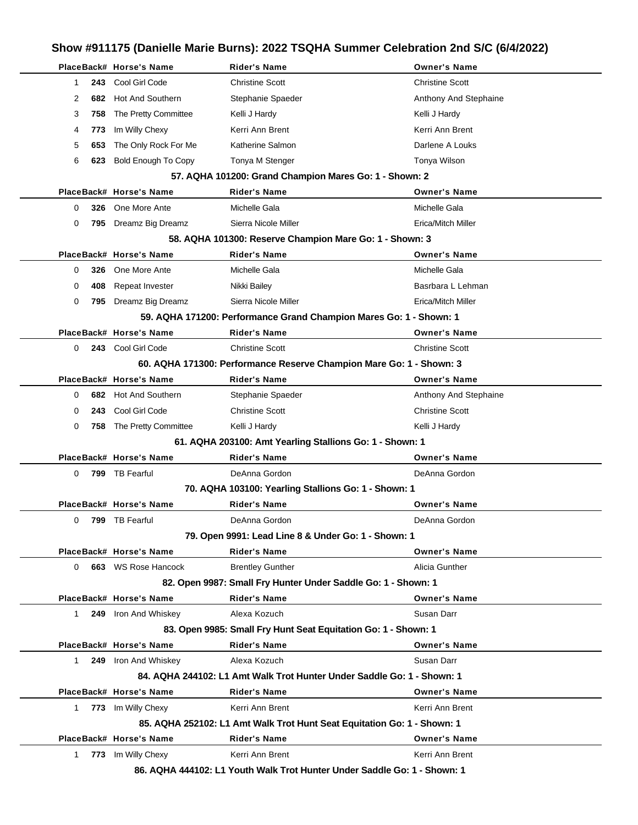|           |     | PlaceBack# Horse's Name                    | Rider's Name                                                            | <b>Owner's Name</b>    |
|-----------|-----|--------------------------------------------|-------------------------------------------------------------------------|------------------------|
| 1         |     | 243 Cool Girl Code<br>682 Hot And Southern | <b>Christine Scott</b>                                                  | <b>Christine Scott</b> |
| 2         |     |                                            | Stephanie Spaeder                                                       | Anthony And Stephaine  |
| 3         | 758 | The Pretty Committee                       | Kelli J Hardy                                                           | Kelli J Hardy          |
| 4         | 773 | Im Willy Chexy                             | Kerri Ann Brent                                                         | Kerri Ann Brent        |
| 5         | 653 | The Only Rock For Me                       | Katherine Salmon                                                        | Darlene A Louks        |
| 6         |     | 623 Bold Enough To Copy                    | Tonya M Stenger                                                         | Tonya Wilson           |
|           |     |                                            | 57. AQHA 101200: Grand Champion Mares Go: 1 - Shown: 2                  |                        |
|           |     | PlaceBack# Horse's Name                    | <b>Rider's Name</b>                                                     | <b>Owner's Name</b>    |
| 0         |     | 326 One More Ante                          | Michelle Gala                                                           | Michelle Gala          |
| 0         |     | 795 Dreamz Big Dreamz                      | Sierra Nicole Miller                                                    | Erica/Mitch Miller     |
|           |     |                                            | 58. AQHA 101300: Reserve Champion Mare Go: 1 - Shown: 3                 |                        |
|           |     | PlaceBack# Horse's Name                    | <b>Rider's Name</b>                                                     | <b>Owner's Name</b>    |
| 0         |     | 326 One More Ante                          | Michelle Gala                                                           | Michelle Gala          |
| 0         | 408 | Repeat Invester                            | Nikki Bailey                                                            | Basrbara L Lehman      |
| 0         |     | 795 Dreamz Big Dreamz                      | Sierra Nicole Miller                                                    | Erica/Mitch Miller     |
|           |     |                                            | 59. AQHA 171200: Performance Grand Champion Mares Go: 1 - Shown: 1      |                        |
|           |     | PlaceBack# Horse's Name                    | <b>Rider's Name</b>                                                     | <b>Owner's Name</b>    |
| 0         |     | 243 Cool Girl Code                         | <b>Christine Scott</b>                                                  | <b>Christine Scott</b> |
|           |     |                                            | 60. AQHA 171300: Performance Reserve Champion Mare Go: 1 - Shown: 3     |                        |
|           |     | PlaceBack# Horse's Name                    | <b>Rider's Name</b>                                                     | <b>Owner's Name</b>    |
| 0         |     | 682 Hot And Southern                       | Stephanie Spaeder                                                       | Anthony And Stephaine  |
| 0         |     | 243 Cool Girl Code                         | <b>Christine Scott</b>                                                  | <b>Christine Scott</b> |
| 0         |     | 758 The Pretty Committee                   | Kelli J Hardy                                                           | Kelli J Hardy          |
|           |     |                                            | 61. AQHA 203100: Amt Yearling Stallions Go: 1 - Shown: 1                |                        |
|           |     | PlaceBack# Horse's Name                    | <b>Rider's Name</b>                                                     | <b>Owner's Name</b>    |
| 0         |     | 799 TB Fearful                             | DeAnna Gordon                                                           | DeAnna Gordon          |
|           |     |                                            | 70. AQHA 103100: Yearling Stallions Go: 1 - Shown: 1                    |                        |
|           |     | PlaceBack# Horse's Name                    | <b>Rider's Name</b>                                                     | <b>Owner's Name</b>    |
|           |     | 0 799 TB Fearful                           | DeAnna Gordon                                                           | DeAnna Gordon          |
|           |     |                                            | 79. Open 9991: Lead Line 8 & Under Go: 1 - Shown: 1                     |                        |
|           |     | PlaceBack# Horse's Name                    | <b>Rider's Name</b>                                                     | <b>Owner's Name</b>    |
| 0         |     | 663 WS Rose Hancock                        | <b>Brentley Gunther</b>                                                 | Alicia Gunther         |
|           |     |                                            | 82. Open 9987: Small Fry Hunter Under Saddle Go: 1 - Shown: 1           |                        |
|           |     | PlaceBack# Horse's Name                    | <b>Rider's Name</b>                                                     | <b>Owner's Name</b>    |
| $1 \quad$ |     | 249 Iron And Whiskey                       | Alexa Kozuch                                                            | Susan Darr             |
|           |     |                                            | 83. Open 9985: Small Fry Hunt Seat Equitation Go: 1 - Shown: 1          |                        |
|           |     | PlaceBack# Horse's Name                    | <b>Rider's Name</b>                                                     | <b>Owner's Name</b>    |
| $1 \quad$ |     | 249 Iron And Whiskey                       | Alexa Kozuch                                                            | Susan Darr             |
|           |     |                                            | 84. AQHA 244102: L1 Amt Walk Trot Hunter Under Saddle Go: 1 - Shown: 1  |                        |
|           |     | PlaceBack# Horse's Name                    | <b>Rider's Name</b>                                                     | <b>Owner's Name</b>    |
|           |     | 1 773 Im Willy Chexy                       | Kerri Ann Brent                                                         | Kerri Ann Brent        |
|           |     |                                            | 85. AQHA 252102: L1 Amt Walk Trot Hunt Seat Equitation Go: 1 - Shown: 1 |                        |
|           |     | PlaceBack# Horse's Name                    | <b>Rider's Name</b>                                                     | <b>Owner's Name</b>    |
|           |     | 1 773 Im Willy Chexy                       | Kerri Ann Brent                                                         | Kerri Ann Brent        |
|           |     |                                            | 96 AOUA 444402: L4 Vouth Walk Trot Hunter Under Saddle Co. 1 Shown 1    |                        |

**86. AQHA 444102: L1 Youth Walk Trot Hunter Under Saddle Go: 1 - Shown: 1**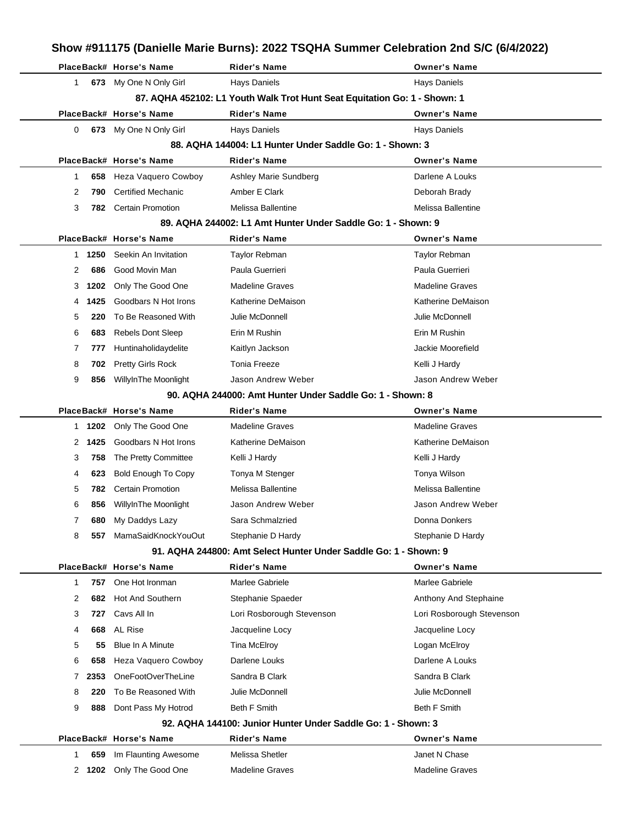|   |        |                            |                                                                           | Show #911175 (Danielle Marie Burns): 2022 TSQHA Summer Celebration 2nd S/C (6/4/2022) |
|---|--------|----------------------------|---------------------------------------------------------------------------|---------------------------------------------------------------------------------------|
|   |        | PlaceBack# Horse's Name    | <b>Rider's Name</b>                                                       | <b>Owner's Name</b>                                                                   |
| 1 |        | 673 My One N Only Girl     | <b>Hays Daniels</b>                                                       | <b>Hays Daniels</b>                                                                   |
|   |        |                            | 87. AQHA 452102: L1 Youth Walk Trot Hunt Seat Equitation Go: 1 - Shown: 1 |                                                                                       |
|   |        | PlaceBack# Horse's Name    | Rider's Name                                                              | <b>Owner's Name</b>                                                                   |
| 0 | 673    | My One N Only Girl         | <b>Hays Daniels</b>                                                       | <b>Hays Daniels</b>                                                                   |
|   |        |                            | 88. AQHA 144004: L1 Hunter Under Saddle Go: 1 - Shown: 3                  |                                                                                       |
|   |        | PlaceBack# Horse's Name    | Rider's Name                                                              | <b>Owner's Name</b>                                                                   |
| 1 | 658    | Heza Vaquero Cowboy        | Ashley Marie Sundberg                                                     | Darlene A Louks                                                                       |
| 2 | 790    | <b>Certified Mechanic</b>  | Amber E Clark                                                             | Deborah Brady                                                                         |
| 3 |        | 782 Certain Promotion      | Melissa Ballentine                                                        | Melissa Ballentine                                                                    |
|   |        |                            | 89. AQHA 244002: L1 Amt Hunter Under Saddle Go: 1 - Shown: 9              |                                                                                       |
|   |        | PlaceBack# Horse's Name    | <b>Rider's Name</b>                                                       | <b>Owner's Name</b>                                                                   |
| 1 | 1250   | Seekin An Invitation       | Taylor Rebman                                                             | <b>Taylor Rebman</b>                                                                  |
| 2 | 686    | Good Movin Man             | Paula Guerrieri                                                           | Paula Guerrieri                                                                       |
| З | 1202   | Only The Good One          | <b>Madeline Graves</b>                                                    | <b>Madeline Graves</b>                                                                |
| 4 | 1425   | Goodbars N Hot Irons       | Katherine DeMaison                                                        | Katherine DeMaison                                                                    |
| 5 | 220    | To Be Reasoned With        | Julie McDonnell                                                           | Julie McDonnell                                                                       |
| 6 | 683    | <b>Rebels Dont Sleep</b>   | Erin M Rushin                                                             | Erin M Rushin                                                                         |
| 7 | 777    | Huntinaholidaydelite       | Kaitlyn Jackson                                                           | Jackie Moorefield                                                                     |
| 8 | 702    | <b>Pretty Girls Rock</b>   | <b>Tonia Freeze</b>                                                       | Kelli J Hardy                                                                         |
| 9 | 856    | WillyInThe Moonlight       | Jason Andrew Weber                                                        | Jason Andrew Weber                                                                    |
|   |        |                            | 90. AQHA 244000: Amt Hunter Under Saddle Go: 1 - Shown: 8                 |                                                                                       |
|   |        | PlaceBack# Horse's Name    | Rider's Name                                                              | <b>Owner's Name</b>                                                                   |
|   | 1 1202 | Only The Good One          | <b>Madeline Graves</b>                                                    | <b>Madeline Graves</b>                                                                |
| 2 | 1425   | Goodbars N Hot Irons       | Katherine DeMaison                                                        | Katherine DeMaison                                                                    |
| 3 | 758    | The Pretty Committee       | Kelli J Hardy                                                             | Kelli J Hardy                                                                         |
| 4 | 623    | <b>Bold Enough To Copy</b> | Tonya M Stenger                                                           | Tonya Wilson                                                                          |
| 5 | 782    | <b>Certain Promotion</b>   | Melissa Ballentine                                                        | Melissa Ballentine                                                                    |
| 6 |        | 856 WillyInThe Moonlight   | Jason Andrew Weber                                                        | Jason Andrew Weber                                                                    |
| 7 | 680    | My Daddys Lazy             | Sara Schmalzried                                                          | Donna Donkers                                                                         |
| 8 | 557    | MamaSaidKnockYouOut        | Stephanie D Hardy                                                         | Stephanie D Hardy                                                                     |
|   |        |                            | 91. AQHA 244800: Amt Select Hunter Under Saddle Go: 1 - Shown: 9          |                                                                                       |
|   |        | PlaceBack# Horse's Name    | Rider's Name                                                              | <b>Owner's Name</b>                                                                   |
| 1 | 757    | One Hot Ironman            | Marlee Gabriele                                                           | Marlee Gabriele                                                                       |
| 2 | 682    | <b>Hot And Southern</b>    | Stephanie Spaeder                                                         | Anthony And Stephaine                                                                 |
| 3 | 727    | Cavs All In                | Lori Rosborough Stevenson                                                 | Lori Rosborough Stevenson                                                             |
| 4 | 668    | <b>AL Rise</b>             | Jacqueline Locy                                                           | Jacqueline Locy                                                                       |
| 5 | 55     | Blue In A Minute           | Tina McElroy                                                              | Logan McElroy                                                                         |
| 6 | 658    | <b>Heza Vaquero Cowboy</b> | Darlene Louks                                                             | Darlene A Louks                                                                       |
| 7 | 2353   | OneFootOverTheLine         | Sandra B Clark                                                            | Sandra B Clark                                                                        |
| 8 | 220    | To Be Reasoned With        | Julie McDonnell                                                           | Julie McDonnell                                                                       |
| 9 | 888    | Dont Pass My Hotrod        | Beth F Smith                                                              | <b>Beth F Smith</b>                                                                   |
|   |        |                            | 92. AQHA 144100: Junior Hunter Under Saddle Go: 1 - Shown: 3              |                                                                                       |
|   |        | PlaceBack# Horse's Name    | <b>Rider's Name</b>                                                       | <b>Owner's Name</b>                                                                   |
| 1 | 659    | Im Flaunting Awesome       | Melissa Shetler                                                           | Janet N Chase                                                                         |
| 2 | 1202   | Only The Good One          | <b>Madeline Graves</b>                                                    | <b>Madeline Graves</b>                                                                |
|   |        |                            |                                                                           |                                                                                       |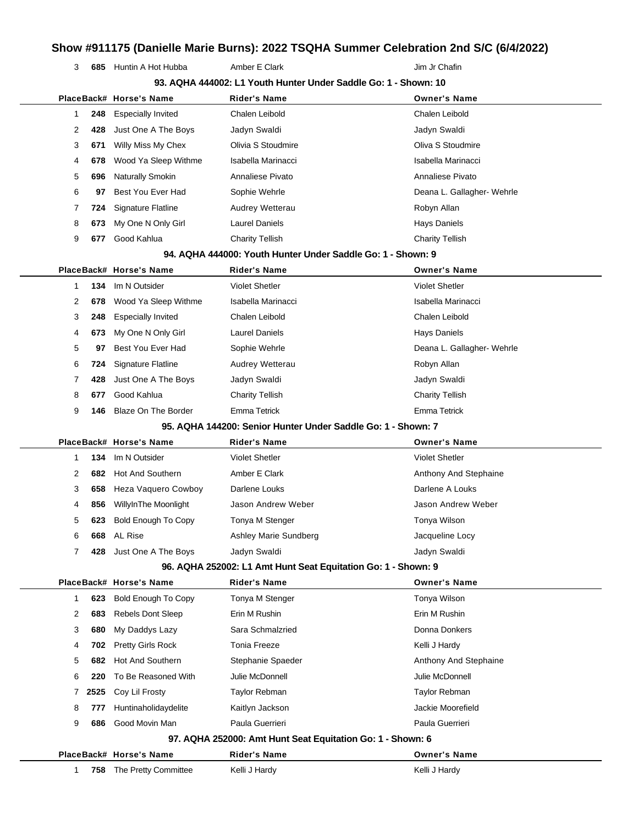**685** Huntin A Hot Hubba **Amber E Clark Amber Hotel Amber Amber Amber Amber Amber Amber Amber Amber Amber Amber Amber Amber Amber Amber Amber Amber Amber Amber Amber Amber Amber Amber Amber Amber Amber Amber Amber Amber** 

|   |      | PlaceBack# Horse's Name    | Rider's Name                                                  | <b>Owner's Name</b>        |
|---|------|----------------------------|---------------------------------------------------------------|----------------------------|
| 1 | 248  | <b>Especially Invited</b>  | Chalen Leibold                                                | Chalen Leibold             |
| 2 | 428  | Just One A The Boys        | Jadyn Swaldi                                                  | Jadyn Swaldi               |
| 3 | 671  | Willy Miss My Chex         | Olivia S Stoudmire                                            | Oliva S Stoudmire          |
| 4 | 678  | Wood Ya Sleep Withme       | Isabella Marinacci                                            | Isabella Marinacci         |
| 5 | 696  | <b>Naturally Smokin</b>    | Annaliese Pivato                                              | Annaliese Pivato           |
| 6 | 97   | Best You Ever Had          | Sophie Wehrle                                                 | Deana L. Gallagher- Wehrle |
| 7 | 724  | Signature Flatline         | Audrey Wetterau                                               | Robyn Allan                |
| 8 | 673  | My One N Only Girl         | <b>Laurel Daniels</b>                                         | <b>Hays Daniels</b>        |
| 9 | 677  | Good Kahlua                | <b>Charity Tellish</b>                                        | <b>Charity Tellish</b>     |
|   |      |                            | 94. AQHA 444000: Youth Hunter Under Saddle Go: 1 - Shown: 9   |                            |
|   |      | PlaceBack# Horse's Name    | <b>Rider's Name</b>                                           | <b>Owner's Name</b>        |
| 1 | 134  | Im N Outsider              | <b>Violet Shetler</b>                                         | <b>Violet Shetler</b>      |
| 2 | 678  | Wood Ya Sleep Withme       | Isabella Marinacci                                            | Isabella Marinacci         |
| 3 | 248  | <b>Especially Invited</b>  | Chalen Leibold                                                | Chalen Leibold             |
| 4 | 673  | My One N Only Girl         | Laurel Daniels                                                | <b>Hays Daniels</b>        |
| 5 | 97   | Best You Ever Had          | Sophie Wehrle                                                 | Deana L. Gallagher- Wehrle |
| 6 | 724  | Signature Flatline         | Audrey Wetterau                                               | Robyn Allan                |
| 7 | 428  | Just One A The Boys        | Jadyn Swaldi                                                  | Jadyn Swaldi               |
| 8 | 677  | Good Kahlua                | Charity Tellish                                               | Charity Tellish            |
| 9 | 146  | Blaze On The Border        | <b>Emma Tetrick</b>                                           | <b>Emma Tetrick</b>        |
|   |      |                            | 95. AQHA 144200: Senior Hunter Under Saddle Go: 1 - Shown: 7  |                            |
|   |      | PlaceBack# Horse's Name    | Rider's Name                                                  | <b>Owner's Name</b>        |
| 1 | 134  | Im N Outsider              | <b>Violet Shetler</b>                                         | <b>Violet Shetler</b>      |
| 2 | 682  | <b>Hot And Southern</b>    | Amber E Clark                                                 | Anthony And Stephaine      |
| 3 | 658  | Heza Vaquero Cowboy        | Darlene Louks                                                 | Darlene A Louks            |
|   |      |                            |                                                               |                            |
| 4 | 856  | WillyInThe Moonlight       | Jason Andrew Weber                                            | Jason Andrew Weber         |
| 5 | 623  | <b>Bold Enough To Copy</b> | Tonya M Stenger                                               | Tonya Wilson               |
| 6 | 668  | <b>AL Rise</b>             | Ashley Marie Sundberg                                         | Jacqueline Locy            |
| 7 | 428  | Just One A The Boys        | Jadyn Swaldi                                                  | Jadyn Swaldi               |
|   |      |                            | 96. AQHA 252002: L1 Amt Hunt Seat Equitation Go: 1 - Shown: 9 |                            |
|   |      | PlaceBack# Horse's Name    | <b>Rider's Name</b>                                           | <b>Owner's Name</b>        |
| 1 | 623  | <b>Bold Enough To Copy</b> | Tonya M Stenger                                               | Tonya Wilson               |
| 2 | 683  | <b>Rebels Dont Sleep</b>   | Erin M Rushin                                                 | Erin M Rushin              |
| 3 | 680  | My Daddys Lazy             | Sara Schmalzried                                              | Donna Donkers              |
| 4 | 702  | Pretty Girls Rock          | Tonia Freeze                                                  | Kelli J Hardy              |
| 5 | 682  | Hot And Southern           | Stephanie Spaeder                                             | Anthony And Stephaine      |
| 6 | 220  | To Be Reasoned With        | Julie McDonnell                                               | Julie McDonnell            |
| 7 | 2525 | Coy Lil Frosty             | Taylor Rebman                                                 | Taylor Rebman              |
| 8 | 777  | Huntinaholidaydelite       | Kaitlyn Jackson                                               | Jackie Moorefield          |
| 9 | 686  | Good Movin Man             | Paula Guerrieri                                               | Paula Guerrieri            |
|   |      |                            | 97. AQHA 252000: Amt Hunt Seat Equitation Go: 1 - Shown: 6    |                            |
|   |      | PlaceBack# Horse's Name    | <b>Rider's Name</b>                                           | <b>Owner's Name</b>        |
| 1 | 758  | The Pretty Committee       | Kelli J Hardy                                                 | Kelli J Hardy              |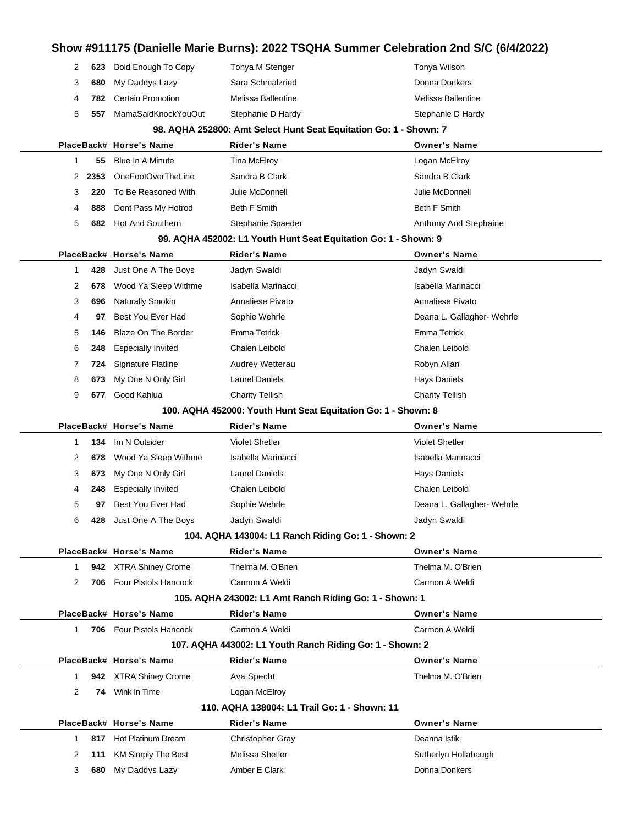## **Show #911175 (Danielle Marie Burns): 2022 TSQHA Summer Celebration 2nd S/C (6/4/2022)** 2 623 Bold Enough To Copy Tonya M Stenger Tonya Mexicon Tonya Wilson **680** My Daddys Lazy Sara Schmalzried **Sara Schmalzried** Donna Donkers **782** Certain Promotion Melissa Ballentine Melissa Ballentine **557** MamaSaidKnockYouOut Stephanie D Hardy Stephanie Stephanie D Hardy **98. AQHA 252800: Amt Select Hunt Seat Equitation Go: 1 - Shown: 7 PlaceBack# Horse's Name Rider's Name Owner's Name 55** Blue In A Minute **Tina McElroy Communist Communist Communist Communist Communist Communist Communist Communist Communist Communist Communist Communist Communist Communist Communist Communist Communist Communist Co 2353** OneFootOverTheLine Sandra B Clark Sandra B Clark Sandra B Clark **220** To Be Reasoned With Julie McDonnell Julie McDonnell **888** Dont Pass My Hotrod Beth F Smith Beth F Smith Beth F Smith **682** Hot And Southern Stephanie Spaeder **Anthony And Stephaine** Anthony And Stephaine **99. AQHA 452002: L1 Youth Hunt Seat Equitation Go: 1 - Shown: 9 PlaceBack# Horse's Name Rider's Name Owner's Name 428** Just One A The Boys Jadyn Swaldi **And Accord Structure Control of Swaldi** Jadyn Swaldi **678** Wood Ya Sleep Withme Isabella Marinacci **Isabella Marinacci** Isabella Marinacci **696** Naturally Smokin **Annaliese Pivato** Annaliese Pivato **Annaliese Pivato** Annaliese Pivato **97** Best You Ever Had Sophie Wehrle **Sophie Hadden Election Control** Deana L. Gallagher- Wehrle **146** Blaze On The Border Emma Tetrick Emma Tetrick **248** Especially Invited Chalen Leibold Chalen Leibold **724** Signature Flatline Audrey Wetterau Robyn Allan **673** My One N Only Girl Laurel Daniels **Hays Daniels** Hays Daniels **677** Good Kahlua Charity Tellish Charity Tellish **100. AQHA 452000: Youth Hunt Seat Equitation Go: 1 - Shown: 8 PlaceBack# Horse's Name Rider's Name Owner's Name 134** Im N Outsider Violet Shetler Violet Shetler

|    | 134 | Im N Outsider            | <b>Violet Shetler</b> | <b>Violet Shetler</b>      |
|----|-----|--------------------------|-----------------------|----------------------------|
| 2  |     | 678 Wood Ya Sleep Withme | Isabella Marinacci    | Isabella Marinacci         |
| 3  |     | 673 My One N Only Girl   | Laurel Daniels        | Hays Daniels               |
| 4  | 248 | Especially Invited       | Chalen Leibold        | Chalen Leibold             |
| 5. | 97  | Best You Ever Had        | Sophie Wehrle         | Deana L. Gallagher- Wehrle |
| 6  | 428 | Just One A The Boys      | Jadyn Swaldi          | Jadyn Swaldi               |

### **104. AQHA 143004: L1 Ranch Riding Go: 1 - Shown: 2**

|                      |                                                          | PlaceBack# Horse's Name     | <b>Rider's Name</b>                                    | <b>Owner's Name</b>  |
|----------------------|----------------------------------------------------------|-----------------------------|--------------------------------------------------------|----------------------|
|                      |                                                          | 942 XTRA Shiney Crome       | Thelma M. O'Brien                                      | Thelma M. O'Brien    |
| 2                    | 706                                                      | <b>Four Pistols Hancock</b> | Carmon A Weldi                                         | Carmon A Weldi       |
|                      |                                                          |                             | 105. AQHA 243002: L1 Amt Ranch Riding Go: 1 - Shown: 1 |                      |
|                      |                                                          | PlaceBack# Horse's Name     | <b>Rider's Name</b>                                    | <b>Owner's Name</b>  |
|                      |                                                          | 706 Four Pistols Hancock    | Carmon A Weldi                                         | Carmon A Weldi       |
|                      | 107. AQHA 443002: L1 Youth Ranch Riding Go: 1 - Shown: 2 |                             |                                                        |                      |
|                      |                                                          | PlaceBack# Horse's Name     | <b>Rider's Name</b>                                    | <b>Owner's Name</b>  |
|                      | 942                                                      | <b>XTRA Shiney Crome</b>    | Ava Specht                                             | Thelma M. O'Brien    |
| $\mathbf{2}^{\circ}$ | 74                                                       | Wink In Time                | Logan McElroy                                          |                      |
|                      |                                                          |                             | 110. AQHA 138004: L1 Trail Go: 1 - Shown: 11           |                      |
|                      |                                                          | PlaceBack# Horse's Name     | <b>Rider's Name</b>                                    | <b>Owner's Name</b>  |
|                      | 817                                                      | Hot Platinum Dream          | <b>Christopher Gray</b>                                | Deanna Istik         |
| 2                    | 111                                                      | KM Simply The Best          | Melissa Shetler                                        | Sutherlyn Hollabaugh |
| 3                    | 680                                                      | My Daddys Lazy              | Amber E Clark                                          | Donna Donkers        |
|                      |                                                          |                             |                                                        |                      |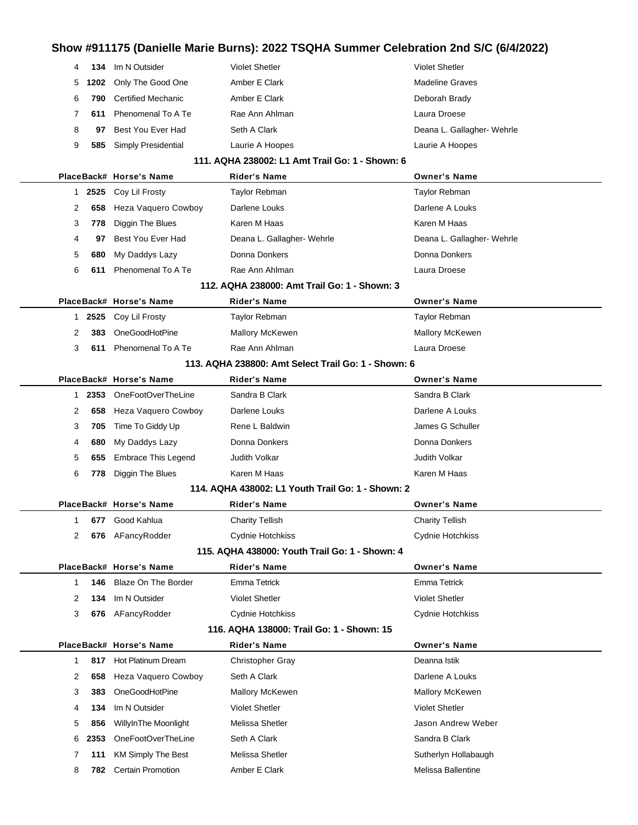| 4            | 134  | Im N Outsider              | <b>Violet Shetler</b>                               | <b>Violet Shetler</b>      |
|--------------|------|----------------------------|-----------------------------------------------------|----------------------------|
| 5            | 1202 | Only The Good One          | Amber E Clark                                       | <b>Madeline Graves</b>     |
| 6            | 790  | <b>Certified Mechanic</b>  | Amber E Clark                                       | Deborah Brady              |
| 7            | 611  | Phenomenal To A Te         | Rae Ann Ahlman                                      | Laura Droese               |
| 8            | 97   | Best You Ever Had          | Seth A Clark                                        | Deana L. Gallagher- Wehrle |
| 9            | 585  | Simply Presidential        | Laurie A Hoopes                                     | Laurie A Hoopes            |
|              |      |                            | 111. AQHA 238002: L1 Amt Trail Go: 1 - Shown: 6     |                            |
|              |      | PlaceBack# Horse's Name    | <b>Rider's Name</b>                                 | <b>Owner's Name</b>        |
| $\mathbf{1}$ | 2525 | Coy Lil Frosty             | <b>Taylor Rebman</b>                                | Taylor Rebman              |
| 2            | 658  | Heza Vaquero Cowboy        | Darlene Louks                                       | Darlene A Louks            |
| 3            | 778  | Diggin The Blues           | Karen M Haas                                        | Karen M Haas               |
| 4            | 97   | Best You Ever Had          | Deana L. Gallagher- Wehrle                          | Deana L. Gallagher- Wehrle |
| 5            | 680  | My Daddys Lazy             | Donna Donkers                                       | Donna Donkers              |
| 6            | 611  | Phenomenal To A Te         | Rae Ann Ahlman                                      | Laura Droese               |
|              |      |                            | 112. AQHA 238000: Amt Trail Go: 1 - Shown: 3        |                            |
|              |      | PlaceBack# Horse's Name    | <b>Rider's Name</b>                                 | <b>Owner's Name</b>        |
| $\mathbf{1}$ | 2525 | Coy Lil Frosty             | Taylor Rebman                                       | Taylor Rebman              |
| 2            | 383  | OneGoodHotPine             | <b>Mallory McKewen</b>                              | Mallory McKewen            |
| 3            | 611  | Phenomenal To A Te         | Rae Ann Ahlman                                      | Laura Droese               |
|              |      |                            | 113. AQHA 238800: Amt Select Trail Go: 1 - Shown: 6 |                            |
|              |      | PlaceBack# Horse's Name    | <b>Rider's Name</b>                                 | <b>Owner's Name</b>        |
| 1            | 2353 | OneFootOverTheLine         | Sandra B Clark                                      | Sandra B Clark             |
| 2            | 658  | Heza Vaquero Cowboy        | Darlene Louks                                       | Darlene A Louks            |
| 3            | 705  | Time To Giddy Up           | Rene L Baldwin                                      | James G Schuller           |
| 4            | 680  | My Daddys Lazy             | Donna Donkers                                       | Donna Donkers              |
| 5            | 655  | Embrace This Legend        | Judith Volkar                                       | <b>Judith Volkar</b>       |
| 6            | 778  | Diggin The Blues           | Karen M Haas                                        | Karen M Haas               |
|              |      |                            | 114. AQHA 438002: L1 Youth Trail Go: 1 - Shown: 2   |                            |
|              |      | PlaceBack# Horse's Name    | <b>Rider's Name</b>                                 | <b>Owner's Name</b>        |
| 1.           |      | 677 Good Kahlua            | <b>Charity Tellish</b>                              | <b>Charity Tellish</b>     |
| 2            |      | 676 AFancyRodder           | Cydnie Hotchkiss                                    | Cydnie Hotchkiss           |
|              |      |                            | 115. AQHA 438000: Youth Trail Go: 1 - Shown: 4      |                            |
|              |      | PlaceBack# Horse's Name    | <b>Rider's Name</b>                                 | <b>Owner's Name</b>        |
| 1            | 146  | <b>Blaze On The Border</b> | Emma Tetrick                                        | <b>Emma Tetrick</b>        |
| 2            | 134  | Im N Outsider              | <b>Violet Shetler</b>                               | <b>Violet Shetler</b>      |
| 3            | 676  | AFancyRodder               | Cydnie Hotchkiss                                    | Cydnie Hotchkiss           |
|              |      |                            | 116. AQHA 138000: Trail Go: 1 - Shown: 15           |                            |
|              |      | PlaceBack# Horse's Name    | <b>Rider's Name</b>                                 | <b>Owner's Name</b>        |
| 1            | 817  | Hot Platinum Dream         | <b>Christopher Gray</b>                             | Deanna Istik               |
| 2            | 658  | Heza Vaquero Cowboy        | Seth A Clark                                        | Darlene A Louks            |
| 3            | 383  | OneGoodHotPine             | Mallory McKewen                                     | Mallory McKewen            |
| 4            | 134  | Im N Outsider              | <b>Violet Shetler</b>                               | <b>Violet Shetler</b>      |
| 5            | 856  | WillyInThe Moonlight       | Melissa Shetler                                     | Jason Andrew Weber         |
| 6            | 2353 | OneFootOverTheLine         | Seth A Clark                                        | Sandra B Clark             |
| 7            | 111  | <b>KM Simply The Best</b>  | Melissa Shetler                                     | Sutherlyn Hollabaugh       |
| 8            | 782  | <b>Certain Promotion</b>   | Amber E Clark                                       | Melissa Ballentine         |
|              |      |                            |                                                     |                            |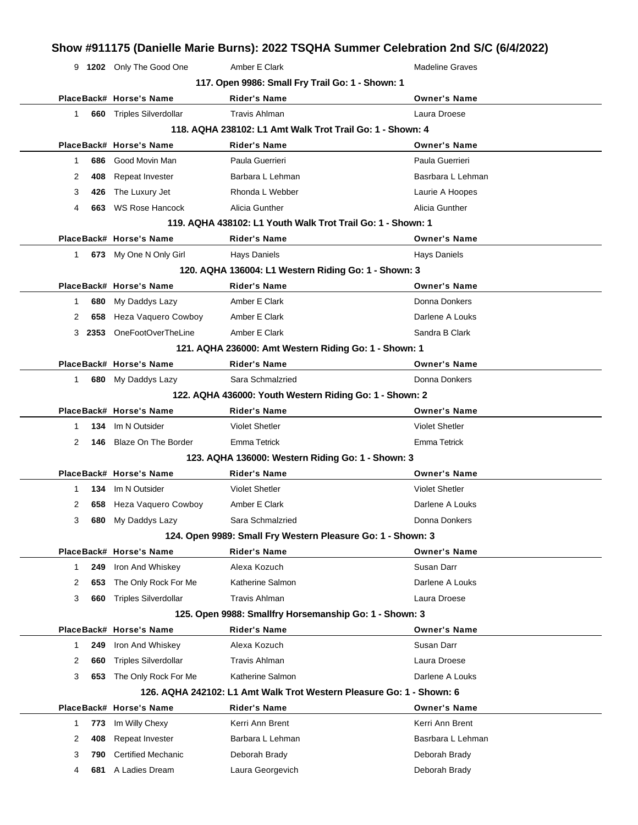9 **1202** Only The Good One Amber E Clark Madeline Graves **117. Open 9986: Small Fry Trail Go: 1 - Shown: 1 PlaceBack# Horse's Name Rider's Name Owner's Name** 1 **660** Triples Silverdollar **Travis Ahlman** Constanting Laura Droese **118. AQHA 238102: L1 Amt Walk Trot Trail Go: 1 - Shown: 4 PlaceBack# Horse's Name Rider's Name Owner's Name** 1 **686** Good Movin Man Paula Guerrieri Paula Guerrieri 2 **408** Repeat Invester **Barbara L Lehman** Basrbara L Lehman Basrbara L Lehman 3 **426** The Luxury Jet **Rhonda L Webber Research Laurie A Hoopes Laurie A Hoopes** 4 **663** WS Rose Hancock Alicia Gunther Alicia Gunther Alicia Gunther **119. AQHA 438102: L1 Youth Walk Trot Trail Go: 1 - Shown: 1**

**PlaceBack# Horse's Name Rider's Name Owner's Name** 1 **673** My One N Only Girl Hays Daniels **Hays Daniels** Hays Daniels **120. AQHA 136004: L1 Western Riding Go: 1 - Shown: 3 PlaceBack# Horse's Name Rider's Name Owner's Name** 1 **680** My Daddys Lazy **Amber E Clark Clark Clark Donna Donkers** 2 **658** Heza Vaquero Cowboy Amber E Clark **Darlene A Louks** Darlene A Louks 3 **2353** OneFootOverTheLine Amber E Clark Amber 2012 Amber 2014 **121. AQHA 236000: Amt Western Riding Go: 1 - Shown: 1 PlaceBack# Horse's Name Rider's Name Owner's Name** 1 **680** My Daddys Lazy Sara Schmalzried **Communist Connains Communist Communist Connains Donna Donkers 122. AQHA 436000: Youth Western Riding Go: 1 - Shown: 2 PlaceBack# Horse's Name Rider's Name Owner's Name** 1 **134** Im N Outsider Violet Shetler Violet Shetler 2 **146** Blaze On The Border Emma Tetrick **Emma Tetrick** Emma Tetrick

#### **123. AQHA 136000: Western Riding Go: 1 - Shown: 3**

| 123. AUMA 130000. WESTEM RIGHTG GO. 1 - SHOWN. 3 |     |                             |                                                                      |                       |  |  |  |
|--------------------------------------------------|-----|-----------------------------|----------------------------------------------------------------------|-----------------------|--|--|--|
|                                                  |     | PlaceBack# Horse's Name     | <b>Rider's Name</b>                                                  | <b>Owner's Name</b>   |  |  |  |
| 1                                                | 134 | Im N Outsider               | <b>Violet Shetler</b>                                                | <b>Violet Shetler</b> |  |  |  |
| 2                                                | 658 | Heza Vaquero Cowboy         | Amber E Clark                                                        | Darlene A Louks       |  |  |  |
| 3                                                | 680 | My Daddys Lazy              | Sara Schmalzried                                                     | Donna Donkers         |  |  |  |
|                                                  |     |                             | 124. Open 9989: Small Fry Western Pleasure Go: 1 - Shown: 3          |                       |  |  |  |
|                                                  |     | PlaceBack# Horse's Name     | <b>Rider's Name</b>                                                  | <b>Owner's Name</b>   |  |  |  |
| 1                                                | 249 | Iron And Whiskey            | Alexa Kozuch                                                         | Susan Darr            |  |  |  |
| 2                                                | 653 | The Only Rock For Me        | Katherine Salmon                                                     | Darlene A Louks       |  |  |  |
| 3                                                | 660 | <b>Triples Silverdollar</b> | <b>Travis Ahlman</b>                                                 | Laura Droese          |  |  |  |
|                                                  |     |                             | 125. Open 9988: Smallfry Horsemanship Go: 1 - Shown: 3               |                       |  |  |  |
|                                                  |     | PlaceBack# Horse's Name     | <b>Rider's Name</b>                                                  | <b>Owner's Name</b>   |  |  |  |
|                                                  | 249 | Iron And Whiskey            | Alexa Kozuch                                                         | Susan Darr            |  |  |  |
| 2                                                | 660 | <b>Triples Silverdollar</b> | <b>Travis Ahlman</b>                                                 | Laura Droese          |  |  |  |
| 3                                                | 653 | The Only Rock For Me        | Katherine Salmon                                                     | Darlene A Louks       |  |  |  |
|                                                  |     |                             | 126. AQHA 242102: L1 Amt Walk Trot Western Pleasure Go: 1 - Shown: 6 |                       |  |  |  |
|                                                  |     | PlaceBack# Horse's Name     | <b>Rider's Name</b>                                                  | <b>Owner's Name</b>   |  |  |  |
| 1                                                | 773 | Im Willy Chexy              | Kerri Ann Brent                                                      | Kerri Ann Brent       |  |  |  |
| 2                                                | 408 | Repeat Invester             | Barbara L Lehman                                                     | Basrbara L Lehman     |  |  |  |
| 3                                                | 790 | <b>Certified Mechanic</b>   | Deborah Brady                                                        | Deborah Brady         |  |  |  |
|                                                  |     |                             |                                                                      |                       |  |  |  |

4 **681** A Ladies Dream Laura Georgevich **Deborah Brady**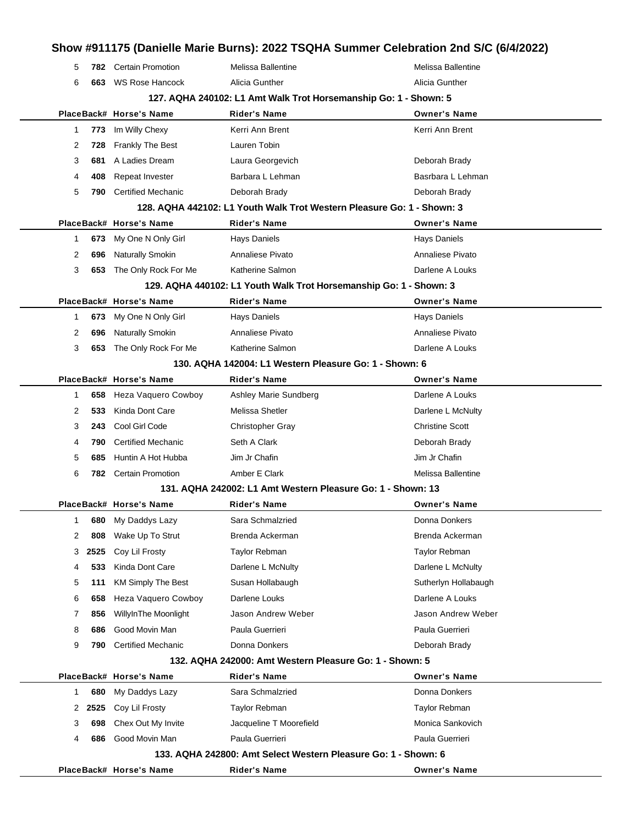|   |        |                                                                  |                                                                        | Show #911175 (Danielle Marie Burns): 2022 TSQHA Summer Celebration 2nd S/C (6/4/2022) |
|---|--------|------------------------------------------------------------------|------------------------------------------------------------------------|---------------------------------------------------------------------------------------|
| 5 | 782    | <b>Certain Promotion</b>                                         | Melissa Ballentine                                                     | Melissa Ballentine                                                                    |
| 6 |        | 663 WS Rose Hancock                                              | Alicia Gunther                                                         | Alicia Gunther                                                                        |
|   |        | 127. AQHA 240102: L1 Amt Walk Trot Horsemanship Go: 1 - Shown: 5 |                                                                        |                                                                                       |
|   |        | PlaceBack# Horse's Name                                          | <b>Rider's Name</b>                                                    | <b>Owner's Name</b>                                                                   |
| 1 | 773    | Im Willy Chexy                                                   | Kerri Ann Brent                                                        | Kerri Ann Brent                                                                       |
| 2 | 728    | <b>Frankly The Best</b>                                          | Lauren Tobin                                                           |                                                                                       |
| 3 | 681    | A Ladies Dream                                                   | Laura Georgevich                                                       | Deborah Brady                                                                         |
| 4 | 408    | Repeat Invester                                                  | Barbara L Lehman                                                       | Basrbara L Lehman                                                                     |
| 5 | 790    | <b>Certified Mechanic</b>                                        | Deborah Brady                                                          | Deborah Brady                                                                         |
|   |        |                                                                  | 128. AQHA 442102: L1 Youth Walk Trot Western Pleasure Go: 1 - Shown: 3 |                                                                                       |
|   |        | PlaceBack# Horse's Name                                          | <b>Rider's Name</b>                                                    | <b>Owner's Name</b>                                                                   |
| 1 | 673    | My One N Only Girl                                               | <b>Hays Daniels</b>                                                    | <b>Hays Daniels</b>                                                                   |
| 2 | 696    | <b>Naturally Smokin</b>                                          | Annaliese Pivato                                                       | Annaliese Pivato                                                                      |
| 3 | 653    | The Only Rock For Me                                             | Katherine Salmon                                                       | Darlene A Louks                                                                       |
|   |        |                                                                  | 129. AQHA 440102: L1 Youth Walk Trot Horsemanship Go: 1 - Shown: 3     |                                                                                       |
|   |        | PlaceBack# Horse's Name                                          | <b>Rider's Name</b>                                                    | <b>Owner's Name</b>                                                                   |
| 1 | 673    | My One N Only Girl                                               | <b>Hays Daniels</b>                                                    | <b>Hays Daniels</b>                                                                   |
| 2 | 696    | Naturally Smokin                                                 | Annaliese Pivato                                                       | Annaliese Pivato                                                                      |
| 3 | 653    | The Only Rock For Me                                             | Katherine Salmon                                                       | Darlene A Louks                                                                       |
|   |        |                                                                  | 130. AQHA 142004: L1 Western Pleasure Go: 1 - Shown: 6                 |                                                                                       |
|   |        | PlaceBack# Horse's Name                                          | Rider's Name                                                           | <b>Owner's Name</b>                                                                   |
| 1 | 658    | Heza Vaquero Cowboy                                              | Ashley Marie Sundberg                                                  | Darlene A Louks                                                                       |
| 2 | 533.   | Kinda Dont Care                                                  | Melissa Shetler                                                        | Darlene L McNulty                                                                     |
| 3 | 243    | Cool Girl Code                                                   | <b>Christopher Gray</b>                                                | <b>Christine Scott</b>                                                                |
| 4 | 790    | <b>Certified Mechanic</b>                                        | Seth A Clark                                                           | Deborah Brady                                                                         |
| 5 | 685    | Huntin A Hot Hubba                                               | Jim Jr Chafin                                                          | Jim Jr Chafin                                                                         |
| 6 | 782    | <b>Certain Promotion</b>                                         | Amber E Clark                                                          | Melissa Ballentine                                                                    |
|   |        |                                                                  | 131. AQHA 242002: L1 Amt Western Pleasure Go: 1 - Shown: 13            |                                                                                       |
|   |        | PlaceBack# Horse's Name                                          | <b>Rider's Name</b>                                                    | <b>Owner's Name</b>                                                                   |
| 1 | 680    | My Daddys Lazy                                                   | Sara Schmalzried                                                       | Donna Donkers                                                                         |
| 2 | 808    | Wake Up To Strut                                                 | Brenda Ackerman                                                        | Brenda Ackerman                                                                       |
| 3 | 2525   | Coy Lil Frosty                                                   | Taylor Rebman                                                          | <b>Taylor Rebman</b>                                                                  |
| 4 | 533.   | Kinda Dont Care                                                  | Darlene L McNulty                                                      | Darlene L McNulty                                                                     |
| 5 | 111    | <b>KM Simply The Best</b>                                        | Susan Hollabaugh                                                       | Sutherlyn Hollabaugh                                                                  |
| 6 | 658    | Heza Vaquero Cowboy                                              | Darlene Louks                                                          | Darlene A Louks                                                                       |
| 7 | 856    | WillyInThe Moonlight                                             | Jason Andrew Weber                                                     | Jason Andrew Weber                                                                    |
| 8 | 686    | Good Movin Man                                                   | Paula Guerrieri                                                        | Paula Guerrieri                                                                       |
| 9 | 790    | <b>Certified Mechanic</b>                                        | Donna Donkers                                                          | Deborah Brady                                                                         |
|   |        |                                                                  | 132. AQHA 242000: Amt Western Pleasure Go: 1 - Shown: 5                |                                                                                       |
|   |        | PlaceBack# Horse's Name                                          | <b>Rider's Name</b>                                                    | <b>Owner's Name</b>                                                                   |
| 1 | 680    | My Daddys Lazy                                                   | Sara Schmalzried                                                       | Donna Donkers                                                                         |
|   | 2 2525 | Coy Lil Frosty                                                   | Taylor Rebman                                                          | Taylor Rebman                                                                         |
| 3 | 698    | Chex Out My Invite                                               | Jacqueline T Moorefield                                                | Monica Sankovich                                                                      |
| 4 | 686    | Good Movin Man                                                   | Paula Guerrieri                                                        | Paula Guerrieri                                                                       |
|   |        |                                                                  | 133. AQHA 242800: Amt Select Western Pleasure Go: 1 - Shown: 6         |                                                                                       |
|   |        | PlaceBack# Horse's Name                                          | Rider's Name                                                           | <b>Owner's Name</b>                                                                   |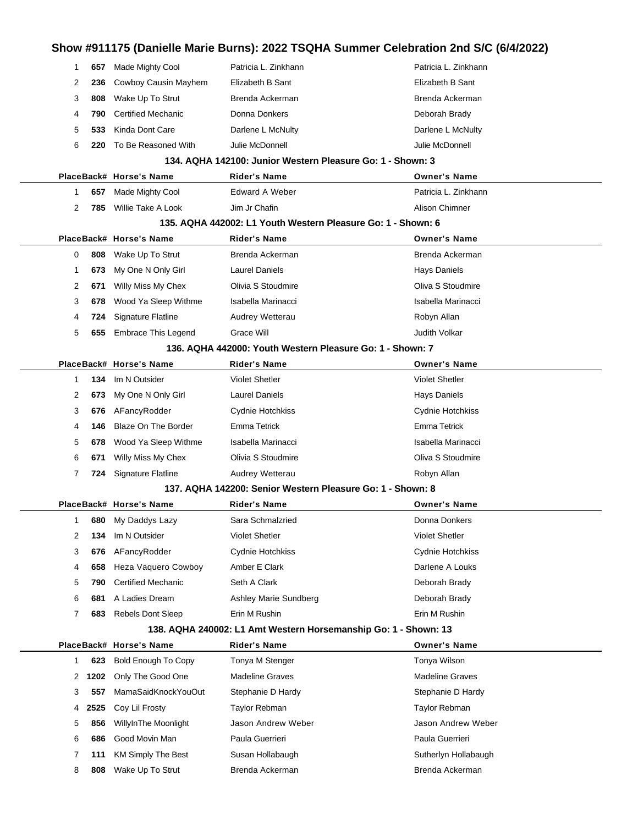|             |      |                            | Show #911175 (Danielle Marie Burns): 2022 TSQHA Summer Celebration 2nd S/C (6/4/2022) |                        |
|-------------|------|----------------------------|---------------------------------------------------------------------------------------|------------------------|
| 1           | 657  | Made Mighty Cool           | Patricia L. Zinkhann                                                                  | Patricia L. Zinkhann   |
| 2           | 236  | Cowboy Causin Mayhem       | Elizabeth B Sant                                                                      | Elizabeth B Sant       |
| 3           | 808  | Wake Up To Strut           | Brenda Ackerman                                                                       | Brenda Ackerman        |
| 4           | 790  | <b>Certified Mechanic</b>  | Donna Donkers                                                                         | Deborah Brady          |
| 5           | 533  | Kinda Dont Care            | Darlene L McNulty                                                                     | Darlene L McNulty      |
| 6           | 220  | To Be Reasoned With        | Julie McDonnell                                                                       | Julie McDonnell        |
|             |      |                            | 134. AQHA 142100: Junior Western Pleasure Go: 1 - Shown: 3                            |                        |
|             |      | PlaceBack# Horse's Name    | <b>Rider's Name</b>                                                                   | <b>Owner's Name</b>    |
| 1           | 657  | Made Mighty Cool           | Edward A Weber                                                                        | Patricia L. Zinkhann   |
| 2           | 785  | Willie Take A Look         | Jim Jr Chafin                                                                         | Alison Chimner         |
|             |      |                            | 135. AQHA 442002: L1 Youth Western Pleasure Go: 1 - Shown: 6                          |                        |
|             |      | PlaceBack# Horse's Name    | <b>Rider's Name</b>                                                                   | <b>Owner's Name</b>    |
| 0           | 808  | Wake Up To Strut           | Brenda Ackerman                                                                       | Brenda Ackerman        |
| 1           | 673  | My One N Only Girl         | <b>Laurel Daniels</b>                                                                 | <b>Hays Daniels</b>    |
| 2           | 671  | Willy Miss My Chex         | Olivia S Stoudmire                                                                    | Oliva S Stoudmire      |
| 3           | 678  | Wood Ya Sleep Withme       | Isabella Marinacci                                                                    | Isabella Marinacci     |
| 4           | 724  | <b>Signature Flatline</b>  | Audrey Wetterau                                                                       | Robyn Allan            |
| 5           | 655  | <b>Embrace This Legend</b> | Grace Will                                                                            | Judith Volkar          |
|             |      |                            | 136. AQHA 442000: Youth Western Pleasure Go: 1 - Shown: 7                             |                        |
|             |      | PlaceBack# Horse's Name    | <b>Rider's Name</b>                                                                   | <b>Owner's Name</b>    |
| 1           | 134  | Im N Outsider              | <b>Violet Shetler</b>                                                                 | <b>Violet Shetler</b>  |
| 2           | 673  | My One N Only Girl         | <b>Laurel Daniels</b>                                                                 | <b>Hays Daniels</b>    |
| 3           | 676  | AFancyRodder               | Cydnie Hotchkiss                                                                      | Cydnie Hotchkiss       |
| 4           | 146  | Blaze On The Border        | Emma Tetrick                                                                          | Emma Tetrick           |
| 5           | 678  | Wood Ya Sleep Withme       | Isabella Marinacci                                                                    | Isabella Marinacci     |
| 6           | 671  | Willy Miss My Chex         | Olivia S Stoudmire                                                                    | Oliva S Stoudmire      |
| 7           | 724  | Signature Flatline         | Audrey Wetterau                                                                       | Robyn Allan            |
|             |      |                            | 137. AQHA 142200: Senior Western Pleasure Go: 1 - Shown: 8                            |                        |
|             |      | PlaceBack# Horse's Name    | Rider's Name                                                                          | <b>Owner's Name</b>    |
| 1           | 680  | My Daddys Lazy             | Sara Schmalzried                                                                      | Donna Donkers          |
| 2           | 134  | Im N Outsider              | <b>Violet Shetler</b>                                                                 | <b>Violet Shetler</b>  |
| 3           | 676  | AFancyRodder               | Cydnie Hotchkiss                                                                      | Cydnie Hotchkiss       |
| 4           | 658  | <b>Heza Vaquero Cowboy</b> | Amber E Clark                                                                         | Darlene A Louks        |
| 5           | 790  | <b>Certified Mechanic</b>  | Seth A Clark                                                                          | Deborah Brady          |
| 6           | 681  | A Ladies Dream             | Ashley Marie Sundberg                                                                 | Deborah Brady          |
| 7           | 683  | <b>Rebels Dont Sleep</b>   | Erin M Rushin                                                                         | Erin M Rushin          |
|             |      |                            | 138. AQHA 240002: L1 Amt Western Horsemanship Go: 1 - Shown: 13                       |                        |
|             |      | PlaceBack# Horse's Name    | <b>Rider's Name</b>                                                                   | <b>Owner's Name</b>    |
| $\mathbf 1$ | 623  | <b>Bold Enough To Copy</b> | Tonya M Stenger                                                                       | Tonya Wilson           |
| 2           | 1202 | Only The Good One          | <b>Madeline Graves</b>                                                                | <b>Madeline Graves</b> |
| 3           | 557  | MamaSaidKnockYouOut        | Stephanie D Hardy                                                                     | Stephanie D Hardy      |
| 4           | 2525 | Coy Lil Frosty             | <b>Taylor Rebman</b>                                                                  | Taylor Rebman          |
| 5           | 856  | WillyInThe Moonlight       | Jason Andrew Weber                                                                    | Jason Andrew Weber     |
| 6           | 686  | Good Movin Man             | Paula Guerrieri                                                                       | Paula Guerrieri        |
| 7           | 111  | <b>KM Simply The Best</b>  | Susan Hollabaugh                                                                      | Sutherlyn Hollabaugh   |
| 8           | 808  | Wake Up To Strut           | Brenda Ackerman                                                                       | Brenda Ackerman        |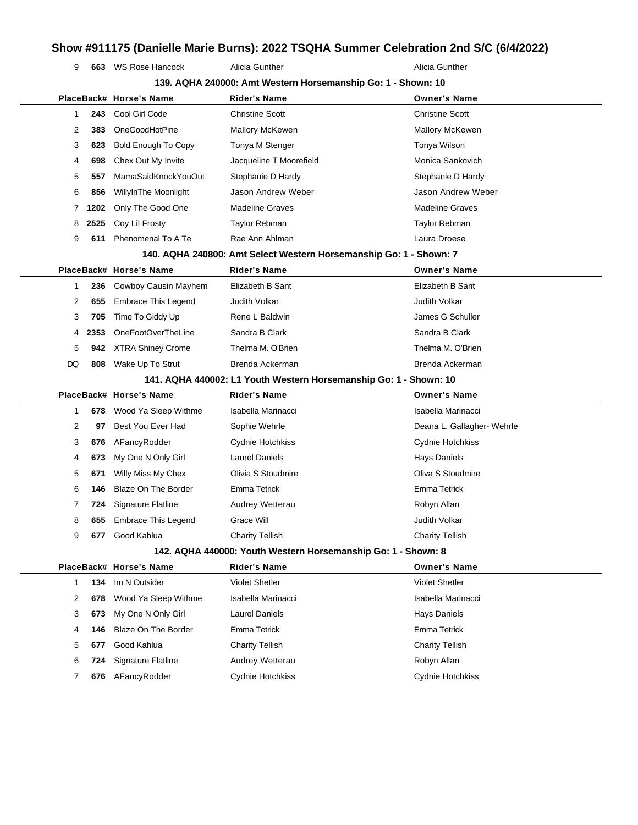**663** WS Rose Hancock Alicia Gunther Alicia Gunther Alicia Gunther

| 139. AQHA 240000: Amt Western Horsemanship Go: 1 - Shown: 10 |      |                                                                   |                                                                    |                            |  |  |
|--------------------------------------------------------------|------|-------------------------------------------------------------------|--------------------------------------------------------------------|----------------------------|--|--|
|                                                              |      | PlaceBack# Horse's Name                                           | Rider's Name                                                       | <b>Owner's Name</b>        |  |  |
| 1                                                            | 243  | Cool Girl Code                                                    | <b>Christine Scott</b>                                             | <b>Christine Scott</b>     |  |  |
| 2                                                            | 383  | OneGoodHotPine                                                    | Mallory McKewen                                                    | <b>Mallory McKewen</b>     |  |  |
| 3                                                            | 623  | <b>Bold Enough To Copy</b>                                        | Tonya M Stenger                                                    | Tonya Wilson               |  |  |
| 4                                                            | 698  | Chex Out My Invite                                                | Jacqueline T Moorefield                                            | Monica Sankovich           |  |  |
| 5                                                            | 557  | MamaSaidKnockYouOut                                               | Stephanie D Hardy                                                  | Stephanie D Hardy          |  |  |
| 6                                                            | 856  | WillyInThe Moonlight                                              | Jason Andrew Weber                                                 | Jason Andrew Weber         |  |  |
| 7                                                            | 1202 | Only The Good One                                                 | <b>Madeline Graves</b>                                             | <b>Madeline Graves</b>     |  |  |
| 8                                                            | 2525 | Coy Lil Frosty                                                    | Taylor Rebman                                                      | Taylor Rebman              |  |  |
| 9                                                            | 611  | Phenomenal To A Te                                                | Rae Ann Ahlman                                                     | Laura Droese               |  |  |
|                                                              |      |                                                                   | 140. AQHA 240800: Amt Select Western Horsemanship Go: 1 - Shown: 7 |                            |  |  |
|                                                              |      | PlaceBack# Horse's Name                                           | <b>Rider's Name</b>                                                | <b>Owner's Name</b>        |  |  |
| 1                                                            | 236  | Cowboy Causin Mayhem                                              | Elizabeth B Sant                                                   | Elizabeth B Sant           |  |  |
| 2                                                            | 655  | Embrace This Legend                                               | Judith Volkar                                                      | Judith Volkar              |  |  |
| 3                                                            | 705  | Time To Giddy Up                                                  | Rene L Baldwin                                                     | James G Schuller           |  |  |
| 4                                                            | 2353 | OneFootOverTheLine                                                | Sandra B Clark                                                     | Sandra B Clark             |  |  |
| 5                                                            | 942  | <b>XTRA Shiney Crome</b>                                          | Thelma M. O'Brien                                                  | Thelma M. O'Brien          |  |  |
| DQ                                                           | 808  | Wake Up To Strut                                                  | Brenda Ackerman                                                    | Brenda Ackerman            |  |  |
|                                                              |      | 141. AQHA 440002: L1 Youth Western Horsemanship Go: 1 - Shown: 10 |                                                                    |                            |  |  |
|                                                              |      | PlaceBack# Horse's Name                                           | <b>Rider's Name</b>                                                | <b>Owner's Name</b>        |  |  |
| 1                                                            | 678  | Wood Ya Sleep Withme                                              | Isabella Marinacci                                                 | Isabella Marinacci         |  |  |
| 2                                                            | 97   | Best You Ever Had                                                 | Sophie Wehrle                                                      | Deana L. Gallagher- Wehrle |  |  |
| 3                                                            | 676  | AFancyRodder                                                      | Cydnie Hotchkiss                                                   | Cydnie Hotchkiss           |  |  |
| 4                                                            | 673  | My One N Only Girl                                                | <b>Laurel Daniels</b>                                              | Hays Daniels               |  |  |
| 5                                                            | 671  | Willy Miss My Chex                                                | Olivia S Stoudmire                                                 | Oliva S Stoudmire          |  |  |
| 6                                                            | 146  | Blaze On The Border                                               | <b>Emma Tetrick</b>                                                | Emma Tetrick               |  |  |
| 7                                                            | 724  | <b>Signature Flatline</b>                                         | Audrey Wetterau                                                    | Robyn Allan                |  |  |
| 8                                                            | 655  | <b>Embrace This Legend</b>                                        | Grace Will                                                         | Judith Volkar              |  |  |
| 9                                                            | 677  | Good Kahlua                                                       | <b>Charity Tellish</b>                                             | <b>Charity Tellish</b>     |  |  |
|                                                              |      |                                                                   | 142. AQHA 440000: Youth Western Horsemanship Go: 1 - Shown: 8      |                            |  |  |
|                                                              |      | PlaceBack# Horse's Name                                           | <b>Rider's Name</b>                                                | <b>Owner's Name</b>        |  |  |
| 1                                                            | 134  | Im N Outsider                                                     | <b>Violet Shetler</b>                                              | <b>Violet Shetler</b>      |  |  |
| 2                                                            | 678  | Wood Ya Sleep Withme                                              | Isabella Marinacci                                                 | Isabella Marinacci         |  |  |
| 3                                                            | 673  | My One N Only Girl                                                | <b>Laurel Daniels</b>                                              | Hays Daniels               |  |  |
| 4                                                            | 146  | Blaze On The Border                                               | Emma Tetrick                                                       | <b>Emma Tetrick</b>        |  |  |
| 5                                                            | 677  | Good Kahlua                                                       | <b>Charity Tellish</b>                                             | <b>Charity Tellish</b>     |  |  |
| 6                                                            | 724  | Signature Flatline                                                | Audrey Wetterau                                                    | Robyn Allan                |  |  |
| 7                                                            | 676  | AFancyRodder                                                      | Cydnie Hotchkiss                                                   | Cydnie Hotchkiss           |  |  |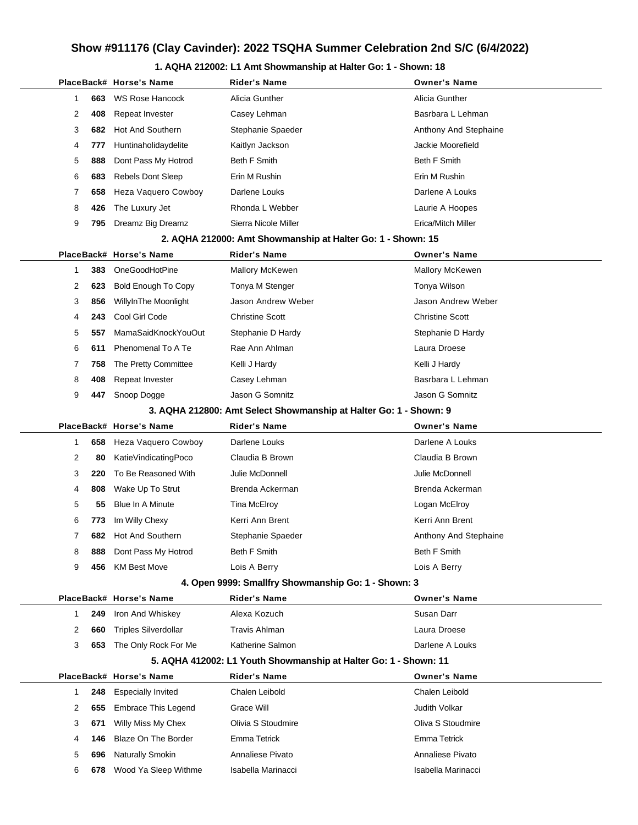### **1. AQHA 212002: L1 Amt Showmanship at Halter Go: 1 - Shown: 18**

|  |              |     | PlaceBack# Horse's Name     | Rider's Name                                                      | <b>Owner's Name</b>    |
|--|--------------|-----|-----------------------------|-------------------------------------------------------------------|------------------------|
|  | 1            | 663 | <b>WS Rose Hancock</b>      | Alicia Gunther                                                    | Alicia Gunther         |
|  | 2            | 408 | Repeat Invester             | Casey Lehman                                                      | Basrbara L Lehman      |
|  | 3            | 682 | Hot And Southern            | Stephanie Spaeder                                                 | Anthony And Stephaine  |
|  | 4            | 777 | Huntinaholidaydelite        | Kaitlyn Jackson                                                   | Jackie Moorefield      |
|  | 5            | 888 | Dont Pass My Hotrod         | Beth F Smith                                                      | Beth F Smith           |
|  | 6            | 683 | <b>Rebels Dont Sleep</b>    | Erin M Rushin                                                     | Erin M Rushin          |
|  | 7            | 658 | Heza Vaquero Cowboy         | Darlene Louks                                                     | Darlene A Louks        |
|  | 8            | 426 | The Luxury Jet              | Rhonda L Webber                                                   | Laurie A Hoopes        |
|  | 9            | 795 | Dreamz Big Dreamz           | Sierra Nicole Miller                                              | Erica/Mitch Miller     |
|  |              |     |                             | 2. AQHA 212000: Amt Showmanship at Halter Go: 1 - Shown: 15       |                        |
|  |              |     | PlaceBack# Horse's Name     | <b>Rider's Name</b>                                               | <b>Owner's Name</b>    |
|  | $\mathbf{1}$ | 383 | OneGoodHotPine              | Mallory McKewen                                                   | Mallory McKewen        |
|  | 2            | 623 | <b>Bold Enough To Copy</b>  | Tonya M Stenger                                                   | Tonya Wilson           |
|  | 3            | 856 | WillyInThe Moonlight        | Jason Andrew Weber                                                | Jason Andrew Weber     |
|  | 4            | 243 | Cool Girl Code              | <b>Christine Scott</b>                                            | <b>Christine Scott</b> |
|  | 5            | 557 | MamaSaidKnockYouOut         | Stephanie D Hardy                                                 | Stephanie D Hardy      |
|  | 6            | 611 | Phenomenal To A Te          | Rae Ann Ahlman                                                    | Laura Droese           |
|  | 7            | 758 | The Pretty Committee        | Kelli J Hardy                                                     | Kelli J Hardy          |
|  | 8            | 408 | Repeat Invester             | Casey Lehman                                                      | Basrbara L Lehman      |
|  | 9            | 447 | Snoop Dogge                 | Jason G Somnitz                                                   | Jason G Somnitz        |
|  |              |     |                             | 3. AQHA 212800: Amt Select Showmanship at Halter Go: 1 - Shown: 9 |                        |
|  |              |     | PlaceBack# Horse's Name     | <b>Rider's Name</b>                                               | <b>Owner's Name</b>    |
|  | $\mathbf{1}$ | 658 | Heza Vaquero Cowboy         | Darlene Louks                                                     | Darlene A Louks        |
|  | 2            | 80  | KatieVindicatingPoco        | Claudia B Brown                                                   | Claudia B Brown        |
|  | 3            | 220 | To Be Reasoned With         | Julie McDonnell                                                   | Julie McDonnell        |
|  | 4            | 808 | Wake Up To Strut            | Brenda Ackerman                                                   | Brenda Ackerman        |
|  | 5            | 55  | <b>Blue In A Minute</b>     | <b>Tina McElroy</b>                                               | Logan McElroy          |
|  | 6            | 773 | Im Willy Chexy              | Kerri Ann Brent                                                   | Kerri Ann Brent        |
|  | 7            | 682 | <b>Hot And Southern</b>     | Stephanie Spaeder                                                 | Anthony And Stephaine  |
|  | 8            | 888 | Dont Pass My Hotrod         | <b>Beth F Smith</b>                                               | Beth F Smith           |
|  | 9            | 456 | <b>KM Best Move</b>         | Lois A Berry                                                      | Lois A Berry           |
|  |              |     |                             | 4. Open 9999: Smallfry Showmanship Go: 1 - Shown: 3               |                        |
|  |              |     | PlaceBack# Horse's Name     | <b>Rider's Name</b>                                               | <b>Owner's Name</b>    |
|  | 1            | 249 | Iron And Whiskey            | Alexa Kozuch                                                      | Susan Darr             |
|  | 2            | 660 | <b>Triples Silverdollar</b> | <b>Travis Ahlman</b>                                              | Laura Droese           |
|  | 3            | 653 | The Only Rock For Me        | Katherine Salmon                                                  | Darlene A Louks        |
|  |              |     |                             | 5. AQHA 412002: L1 Youth Showmanship at Halter Go: 1 - Shown: 11  |                        |
|  |              |     | PlaceBack# Horse's Name     | <b>Rider's Name</b>                                               | <b>Owner's Name</b>    |
|  | $\mathbf{1}$ | 248 | <b>Especially Invited</b>   | Chalen Leibold                                                    | Chalen Leibold         |
|  | 2            | 655 | <b>Embrace This Legend</b>  | Grace Will                                                        | Judith Volkar          |
|  | 3            | 671 | Willy Miss My Chex          | Olivia S Stoudmire                                                | Oliva S Stoudmire      |
|  | 4            | 146 | <b>Blaze On The Border</b>  | Emma Tetrick                                                      | <b>Emma Tetrick</b>    |
|  | 5            | 696 | Naturally Smokin            | Annaliese Pivato                                                  | Annaliese Pivato       |
|  | 6            | 678 | Wood Ya Sleep Withme        | Isabella Marinacci                                                | Isabella Marinacci     |
|  |              |     |                             |                                                                   |                        |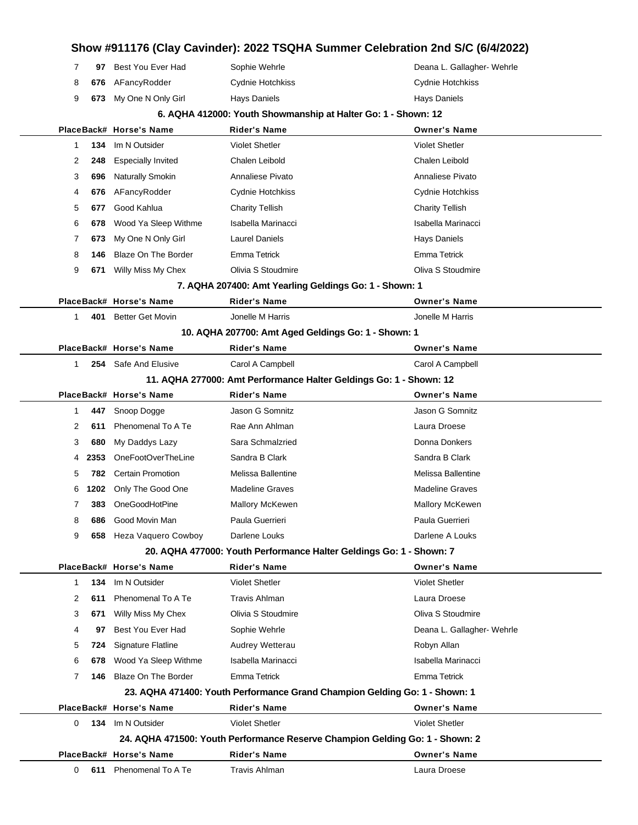## **Show #911176 (Clay Cavinder): 2022 TSQHA Summer Celebration 2nd S/C (6/4/2022) 97** Best You Ever Had Sophie Wehrle **Communist Communist Communist Communist Communist Communist Communist Communist Communist Communist Communist Communist Communist Communist Communist Communist Communist Communist Co 676** AFancyRodder Cydnie Hotchkiss Cydne Cydnie Hotchkiss **673** My One N Only Girl Hays Daniels **Hays Daniels** Hays Daniels Hays Daniels **6. AQHA 412000: Youth Showmanship at Halter Go: 1 - Shown: 12 PlaceBack# Horse's Name Rider's Name Owner's Name 134** Im N Outsider Violet Shetler Violet Shetler **248** Especially Invited Chalen Leibold Chalen Leibold **696** Naturally Smokin **Annaliese Pivato** Annaliese Pivato **Annaliese Pivato** Annaliese Pivato **676** AFancyRodder Cydnie Hotchkiss Cydne Cydne Hotchkiss Cydnie Hotchkiss **677** Good Kahlua Charity Tellish Charity Tellish **678** Wood Ya Sleep Withme Isabella Marinacci Isabella Marinacci **673** My One N Only Girl Laurel Daniels **Hays Daniels** Hays Daniels **146** Blaze On The Border Emma Tetrick **Emma Tetrick** Emma Tetrick **671** Willy Miss My Chex Olivia S Stoudmire Oliva S Stoudmire **7. AQHA 207400: Amt Yearling Geldings Go: 1 - Shown: 1 PlaceBack# Horse's Name Rider's Name Owner's Name 401** Better Get Movin Jonelle M Harris Jonelle M Harris **10. AQHA 207700: Amt Aged Geldings Go: 1 - Shown: 1 PlaceBack# Horse's Name Rider's Name Owner's Name 254** Safe And Elusive Carol A Campbell Carol A Campbell **11. AQHA 277000: Amt Performance Halter Geldings Go: 1 - Shown: 12 PlaceBack# Horse's Name Rider's Name Owner's Name 447** Snoop Dogge Jason G Somnitz Jason G Somnitz **611** Phenomenal To A Te Rae Ann Ahlman Laura Droese **680** My Daddys Lazy Sara Schmalzried **Communist Connaint Donna Donkers** Donna Donkers **2353** OneFootOverTheLine Sandra B Clark Sandra B Clark Sandra B Clark **782** Certain Promotion Melissa Ballentine Melissa Ballentine **1202** Only The Good One Madeline Graves Madeline Graves **383** OneGoodHotPine Mallory McKewen Mallory McKewen **686** Good Movin Man **Paula Guerrieri** Paula Guerrieri Paula Guerrieri **658** Heza Vaquero Cowboy Darlene Louks **Darlene A Louks** Darlene A Louks **20. AQHA 477000: Youth Performance Halter Geldings Go: 1 - Shown: 7 PlaceBack# Horse's Name Rider's Name Owner's Name 134** Im N Outsider Violet Shetler Violet Shetler **611** Phenomenal To A Te Travis Ahlman Laura Droese Laura Droese **671** Willy Miss My Chex Olivia S Stoudmire Oliva S Stoudmire **97** Best You Ever Had Sophie Wehrle **Deana L. Gallagher- Wehrle** Deana L. Gallagher- Wehrle **724** Signature Flatline **Audrey Wetterau Audrey Wetterau Robyn Allan 678** Wood Ya Sleep Withme Isabella Marinacci Isabella Marinacci **146** Blaze On The Border Emma Tetrick Emma Tetrick **23. AQHA 471400: Youth Performance Grand Champion Gelding Go: 1 - Shown: 1 PlaceBack# Horse's Name Rider's Name Owner's Name 134** Im N Outsider Violet Shetler Violet Shetler **24. AQHA 471500: Youth Performance Reserve Champion Gelding Go: 1 - Shown: 2 PlaceBack# Horse's Name Rider's Name Owner's Name 611** Phenomenal To A Te Travis Ahlman Laura Droese Laura Droese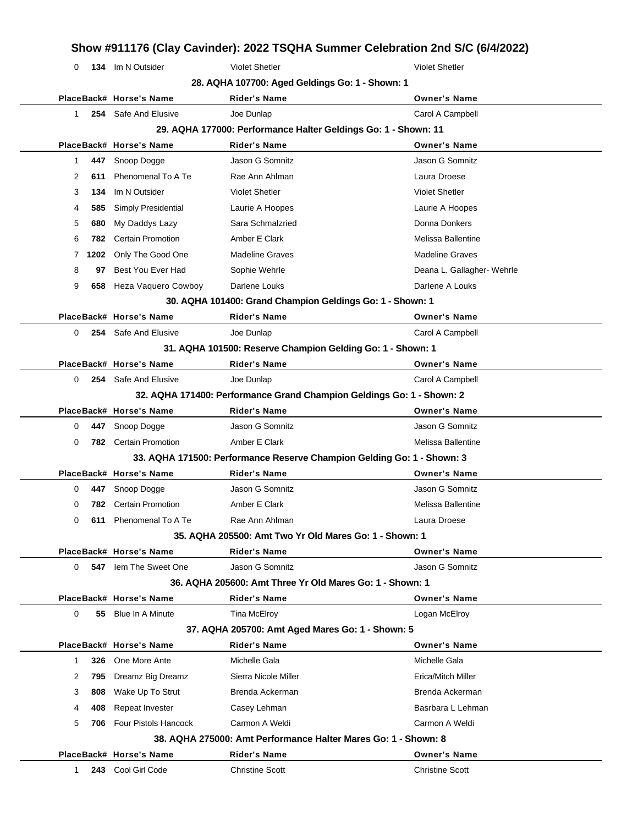| 0                                                                      |      | 134 Im N Outsider        | <b>Violet Shetler</b>                                                 | <b>Violet Shetler</b>      |  |  |  |  |
|------------------------------------------------------------------------|------|--------------------------|-----------------------------------------------------------------------|----------------------------|--|--|--|--|
|                                                                        |      |                          | 28. AQHA 107700: Aged Geldings Go: 1 - Shown: 1                       |                            |  |  |  |  |
|                                                                        |      | PlaceBack# Horse's Name  | <b>Rider's Name</b>                                                   | <b>Owner's Name</b>        |  |  |  |  |
| 1                                                                      |      | 254 Safe And Elusive     | Joe Dunlap                                                            | Carol A Campbell           |  |  |  |  |
| 29. AQHA 177000: Performance Halter Geldings Go: 1 - Shown: 11         |      |                          |                                                                       |                            |  |  |  |  |
|                                                                        |      | PlaceBack# Horse's Name  | <b>Rider's Name</b>                                                   | <b>Owner's Name</b>        |  |  |  |  |
| $\mathbf{1}$                                                           | 447  | Snoop Dogge              | Jason G Somnitz                                                       | Jason G Somnitz            |  |  |  |  |
| 2                                                                      | 611  | Phenomenal To A Te       | Rae Ann Ahlman                                                        | Laura Droese               |  |  |  |  |
| 3                                                                      | 134  | Im N Outsider            | <b>Violet Shetler</b>                                                 | <b>Violet Shetler</b>      |  |  |  |  |
| 4                                                                      | 585  | Simply Presidential      | Laurie A Hoopes                                                       | Laurie A Hoopes            |  |  |  |  |
| 5                                                                      | 680  | My Daddys Lazy           | Sara Schmalzried                                                      | Donna Donkers              |  |  |  |  |
| 6                                                                      | 782  | <b>Certain Promotion</b> | Amber E Clark                                                         | Melissa Ballentine         |  |  |  |  |
| 7                                                                      | 1202 | Only The Good One        | <b>Madeline Graves</b>                                                | <b>Madeline Graves</b>     |  |  |  |  |
| 8                                                                      | 97   | Best You Ever Had        | Sophie Wehrle                                                         | Deana L. Gallagher- Wehrle |  |  |  |  |
| 9                                                                      |      | 658 Heza Vaquero Cowboy  | Darlene Louks                                                         | Darlene A Louks            |  |  |  |  |
|                                                                        |      |                          | 30. AQHA 101400: Grand Champion Geldings Go: 1 - Shown: 1             |                            |  |  |  |  |
|                                                                        |      | PlaceBack# Horse's Name  | <b>Rider's Name</b>                                                   | <b>Owner's Name</b>        |  |  |  |  |
| 0                                                                      |      | 254 Safe And Elusive     | Joe Dunlap                                                            | Carol A Campbell           |  |  |  |  |
|                                                                        |      |                          | 31. AQHA 101500: Reserve Champion Gelding Go: 1 - Shown: 1            |                            |  |  |  |  |
|                                                                        |      | PlaceBack# Horse's Name  | <b>Rider's Name</b>                                                   | <b>Owner's Name</b>        |  |  |  |  |
| 0                                                                      |      | 254 Safe And Elusive     | Joe Dunlap                                                            | Carol A Campbell           |  |  |  |  |
|                                                                        |      |                          | 32. AQHA 171400: Performance Grand Champion Geldings Go: 1 - Shown: 2 |                            |  |  |  |  |
|                                                                        |      | PlaceBack# Horse's Name  | <b>Rider's Name</b>                                                   | <b>Owner's Name</b>        |  |  |  |  |
| 0                                                                      | 447  | Snoop Dogge              | Jason G Somnitz                                                       | Jason G Somnitz            |  |  |  |  |
| 0                                                                      | 782  | <b>Certain Promotion</b> | Amber E Clark                                                         | Melissa Ballentine         |  |  |  |  |
| 33. AQHA 171500: Performance Reserve Champion Gelding Go: 1 - Shown: 3 |      |                          |                                                                       |                            |  |  |  |  |
|                                                                        |      |                          | <b>Rider's Name</b>                                                   | <b>Owner's Name</b>        |  |  |  |  |
|                                                                        |      | PlaceBack# Horse's Name  |                                                                       |                            |  |  |  |  |
| 0                                                                      | 447  | Snoop Dogge              | Jason G Somnitz                                                       | Jason G Somnitz            |  |  |  |  |
| 0                                                                      | 782  | <b>Certain Promotion</b> | Amber E Clark                                                         | Melissa Ballentine         |  |  |  |  |
| O                                                                      | 611  | Phenomenal To A Te       | Rae Ann Ahlman                                                        | Laura Droese               |  |  |  |  |
|                                                                        |      |                          | 35. AQHA 205500: Amt Two Yr Old Mares Go: 1 - Shown: 1                |                            |  |  |  |  |
|                                                                        |      | PlaceBack# Horse's Name  | <b>Rider's Name</b>                                                   | <b>Owner's Name</b>        |  |  |  |  |
| 0                                                                      | 547  | lem The Sweet One        | Jason G Somnitz                                                       | Jason G Somnitz            |  |  |  |  |
|                                                                        |      |                          | 36. AQHA 205600: Amt Three Yr Old Mares Go: 1 - Shown: 1              |                            |  |  |  |  |
|                                                                        |      | PlaceBack# Horse's Name  | <b>Rider's Name</b>                                                   | <b>Owner's Name</b>        |  |  |  |  |
| 0                                                                      |      | 55 Blue In A Minute      | Tina McElroy                                                          | Logan McElroy              |  |  |  |  |
|                                                                        |      |                          | 37. AQHA 205700: Amt Aged Mares Go: 1 - Shown: 5                      |                            |  |  |  |  |
|                                                                        |      | PlaceBack# Horse's Name  | <b>Rider's Name</b>                                                   | <b>Owner's Name</b>        |  |  |  |  |
| $\mathbf{1}$                                                           | 326  | One More Ante            | Michelle Gala                                                         | Michelle Gala              |  |  |  |  |
| 2                                                                      | 795  | Dreamz Big Dreamz        | Sierra Nicole Miller                                                  | Erica/Mitch Miller         |  |  |  |  |
| 3                                                                      | 808  | Wake Up To Strut         | Brenda Ackerman                                                       | Brenda Ackerman            |  |  |  |  |

**38. AQHA 275000: Amt Performance Halter Mares Go: 1 - Shown: 8**

**PlaceBack# Horse's Name Rider's Name Owner's Name** 1 **243** Cool Girl Code Christine Scott Christine Scott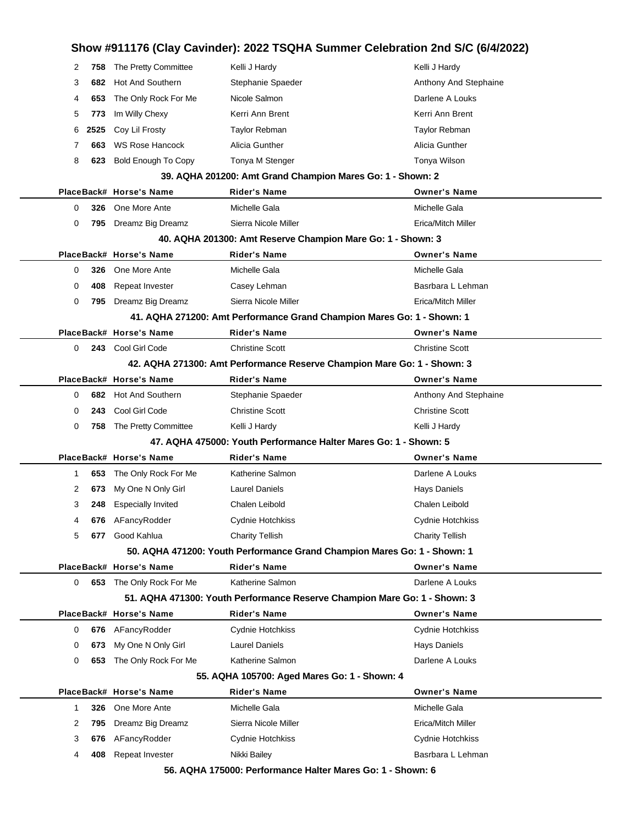## **Show #911176 (Clay Cavinder): 2022 TSQHA Summer Celebration 2nd S/C (6/4/2022)** 2 758 The Pretty Committee Kelli J Hardy Kelli and the Kelli J Hardy Kelli J Hardy 3 **682** Hot And Southern Stephanie Spaeder **Anthony And Stephaine** Anthony And Stephaine 4 **653** The Only Rock For Me Nicole Salmon **Data Louks** Darlene A Louks 5 773 Im Willy Chexy **Kerri Ann Brent** Kerri Ann Brent Kerri Ann Brent 6 **2525** Coy Lil Frosty Taylor Rebman Taylor Rebman 7 **663** WS Rose Hancock Alicia Gunther Alicia Gunther 8 **623** Bold Enough To Copy Tonya M Stenger To Tomya Wilson **39. AQHA 201200: Amt Grand Champion Mares Go: 1 - Shown: 2 PlaceBack# Horse's Name Rider's Name Owner's Name** 0 **326** One More Ante **Michelle Gala** Michelle Gala Michelle Gala 0 795 Dreamz Big Dreamz Sierra Nicole Miller **Example 20 Sierra 1996** Erica/Mitch Miller **40. AQHA 201300: Amt Reserve Champion Mare Go: 1 - Shown: 3 PlaceBack# Horse's Name Rider's Name Owner's Name** 0 **326** One More Ante **Michelle Gala** Michelle Gala Michelle Gala 0 **408** Repeat Invester Casey Lehman Basrbara L Lehman 0 **795** Dreamz Big Dreamz Sierra Nicole Miller Erica/Mitch Miller **41. AQHA 271200: Amt Performance Grand Champion Mares Go: 1 - Shown: 1 PlaceBack# Horse's Name Rider's Name Owner's Name** 0 **243** Cool Girl Code Christine Scott Christine Scott **42. AQHA 271300: Amt Performance Reserve Champion Mare Go: 1 - Shown: 3 PlaceBack# Horse's Name Rider's Name Owner's Name** 0 **682** Hot And Southern Stephanie Spaeder Spaeder Anthony And Stephaine 0 **243** Cool Girl Code Christine Scott Christine Scott 0 758 The Pretty Committee Kelli J Hardy Kelli and young Kelli J Hardy Kelli J Hardy **47. AQHA 475000: Youth Performance Halter Mares Go: 1 - Shown: 5 PlaceBack# Horse's Name Rider's Name Owner's Name** 1 **653** The Only Rock For Me Katherine Salmon National Barlene A Louks 2 **673** My One N Only Girl Laurel Daniels **Hays Daniels** Hays Daniels 3 **248** Especially Invited Chalen Leibold Chalen Leibold 4 **676** AFancyRodder Cydnie Hotchkiss Cydnie Hotchkiss 5 **677** Good Kahlua Charity Tellish Charity Tellish **50. AQHA 471200: Youth Performance Grand Champion Mares Go: 1 - Shown: 1 PlaceBack# Horse's Name Rider's Name Owner's Name** 0 **653** The Only Rock For Me Katherine Salmon National Barlene A Louks **51. AQHA 471300: Youth Performance Reserve Champion Mare Go: 1 - Shown: 3 PlaceBack# Horse's Name Rider's Name Owner's Name** 0 **676** AFancyRodder Cydnie Hotchkiss Cydnie Hotchkiss 0 **673** My One N Only Girl Laurel Daniels **Hays Daniels** Hays Daniels 0 **653** The Only Rock For Me Katherine Salmon National Darlene A Louks **55. AQHA 105700: Aged Mares Go: 1 - Shown: 4 PlaceBack# Horse's Name Rider's Name Owner's Name** 1 **326** One More Ante **Michelle Gala** Michelle Gala Michelle Gala 2 795 Dreamz Big Dreamz Sierra Nicole Miller **Example 2 1995** Erica/Mitch Miller 3 **676** AFancyRodder Cydnie Hotchkiss Cydnie Hotchkiss 4 **408** Repeat Invester **Nikki Bailey Basrbara L Lehman**

**56. AQHA 175000: Performance Halter Mares Go: 1 - Shown: 6**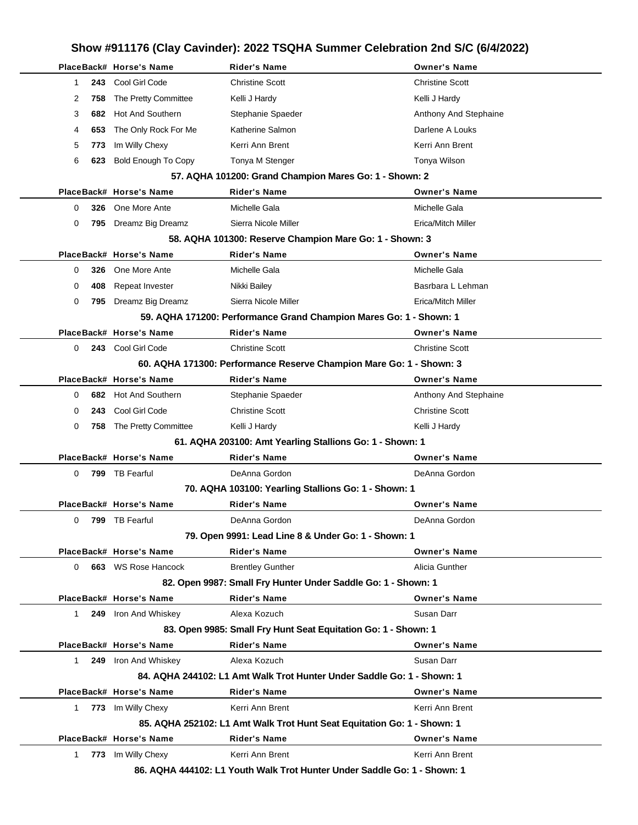## **Show #911176 (Clay Cavinder): 2022 TSQHA Summer Celebration 2nd S/C (6/4/2022) PlaceBack# Horse's Name Rider's Name Owner's Name** 1 **243** Cool Girl Code Christine Scott Christine Scott 2 758 The Pretty Committee Kelli J Hardy Kelli J Hardy Kelli J Hardy Kelli J Hardy 3 **682** Hot And Southern Stephanie Spaeder **Anthony And Stephaine** Anthony And Stephaine 4 **653** The Only Rock For Me Katherine Salmon **Constructs Darlene A Louks** 5 773 Im Willy Chexy **Kerri Ann Brent Kerri Ann Brent** Kerri Ann Brent 6 623 Bold Enough To Copy Tonya M Stenger Tomya Tomya Wilson **57. AQHA 101200: Grand Champion Mares Go: 1 - Shown: 2 PlaceBack# Horse's Name Rider's Name Owner's Name** 0 **326** One More Ante Michelle Gala Michelle Gala 0 795 Dreamz Big Dreamz Sierra Nicole Miller **Example 20 Sierra 1996** Erica/Mitch Miller **58. AQHA 101300: Reserve Champion Mare Go: 1 - Shown: 3 PlaceBack# Horse's Name Rider's Name Owner's Name** 0 **326** One More Ante **Michelle Gala** Michelle Gala Michelle Gala 0 **408** Repeat Invester **Nikki Bailey Basrbara L Lehman** Basrbara L Lehman 0 **795** Dreamz Big Dreamz Sierra Nicole Miller Erica/Mitch Miller **59. AQHA 171200: Performance Grand Champion Mares Go: 1 - Shown: 1 PlaceBack# Horse's Name Rider's Name Owner's Name** 0 **243** Cool Girl Code Christine Scott Christine Scott **60. AQHA 171300: Performance Reserve Champion Mare Go: 1 - Shown: 3 PlaceBack# Horse's Name Rider's Name Owner's Name** 0 **682** Hot And Southern Stephanie Spaeder **Anthony And Stephaine** Anthony And Stephaine 0 **243** Cool Girl Code Christine Scott Christine Scott 0 758 The Pretty Committee Kelli J Hardy Kelli and young Kelli J Hardy Kelli J Hardy **61. AQHA 203100: Amt Yearling Stallions Go: 1 - Shown: 1 PlaceBack# Horse's Name Rider's Name Owner's Name** 0 **799** TB Fearful DeAnna Gordon DeAnna Gordon **70. AQHA 103100: Yearling Stallions Go: 1 - Shown: 1 PlaceBack# Horse's Name Rider's Name Owner's Name** 0 **799** TB Fearful DeAnna Gordon DeAnna Gordon **79. Open 9991: Lead Line 8 & Under Go: 1 - Shown: 1 PlaceBack# Horse's Name Rider's Name Owner's Name** 0 **663** WS Rose Hancock **Brentley Gunther Alicia Gunther Alicia Gunther** Alicia Gunther **82. Open 9987: Small Fry Hunter Under Saddle Go: 1 - Shown: 1 PlaceBack# Horse's Name Rider's Name Owner's Name** 1 **249** Iron And Whiskey **Alexa Kozuch Susan Darr** Susan Darr **83. Open 9985: Small Fry Hunt Seat Equitation Go: 1 - Shown: 1 PlaceBack# Horse's Name Rider's Name Owner's Name** 1 **249** Iron And Whiskey **Alexa Kozuch Susan Darr** Susan Darr **84. AQHA 244102: L1 Amt Walk Trot Hunter Under Saddle Go: 1 - Shown: 1 PlaceBack# Horse's Name Rider's Name Owner's Name** 1 773 Im Willy Chexy **Kerri Ann Brent** Kerri Ann Brent Kerri Ann Brent **85. AQHA 252102: L1 Amt Walk Trot Hunt Seat Equitation Go: 1 - Shown: 1 PlaceBack# Horse's Name Rider's Name Owner's Name** 1 773 Im Willy Chexy **Kerri Ann Brent Kerri Ann Brent** Kerri Ann Brent

**86. AQHA 444102: L1 Youth Walk Trot Hunter Under Saddle Go: 1 - Shown: 1**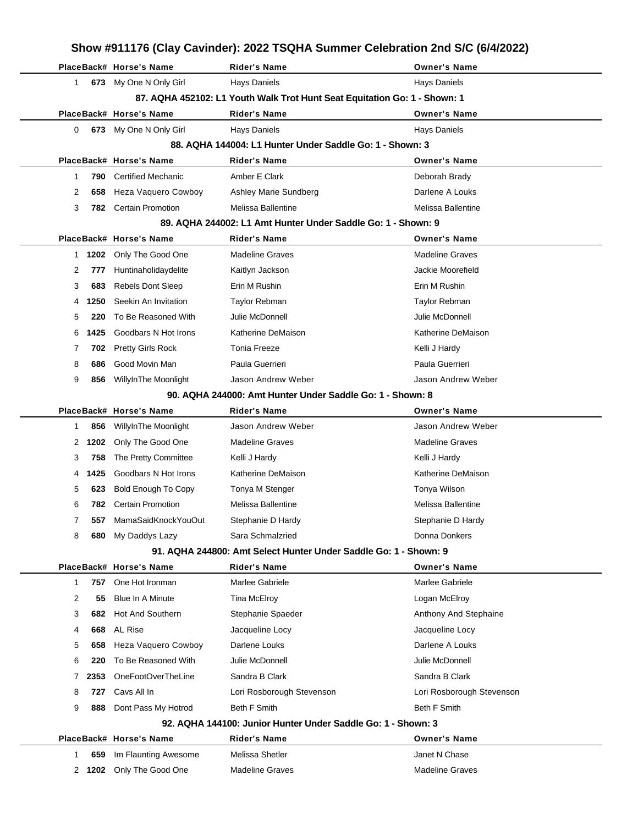|                                                                  |               | PlaceBack# Horse's Name                   | <b>Rider's Name</b>                                                       | <b>Owner's Name</b>                     |  |  |  |
|------------------------------------------------------------------|---------------|-------------------------------------------|---------------------------------------------------------------------------|-----------------------------------------|--|--|--|
| 1                                                                |               | 673 My One N Only Girl                    | Hays Daniels                                                              | <b>Hays Daniels</b>                     |  |  |  |
|                                                                  |               |                                           | 87. AQHA 452102: L1 Youth Walk Trot Hunt Seat Equitation Go: 1 - Shown: 1 |                                         |  |  |  |
|                                                                  |               | PlaceBack# Horse's Name                   | <b>Rider's Name</b>                                                       | <b>Owner's Name</b>                     |  |  |  |
| 0                                                                |               | 673 My One N Only Girl                    | <b>Hays Daniels</b>                                                       | <b>Hays Daniels</b>                     |  |  |  |
|                                                                  |               |                                           | 88. AQHA 144004: L1 Hunter Under Saddle Go: 1 - Shown: 3                  |                                         |  |  |  |
|                                                                  |               | PlaceBack# Horse's Name                   | <b>Rider's Name</b>                                                       | <b>Owner's Name</b>                     |  |  |  |
| 1                                                                | 790           | <b>Certified Mechanic</b>                 | Amber E Clark                                                             | Deborah Brady                           |  |  |  |
| 2                                                                | 658           | Heza Vaquero Cowboy                       | Ashley Marie Sundberg                                                     | Darlene A Louks                         |  |  |  |
| 3                                                                | 782           | <b>Certain Promotion</b>                  | Melissa Ballentine                                                        | Melissa Ballentine                      |  |  |  |
|                                                                  |               |                                           | 89. AQHA 244002: L1 Amt Hunter Under Saddle Go: 1 - Shown: 9              |                                         |  |  |  |
|                                                                  |               | PlaceBack# Horse's Name                   | Rider's Name                                                              | <b>Owner's Name</b>                     |  |  |  |
| 1.                                                               | 1202          | Only The Good One                         | <b>Madeline Graves</b>                                                    | <b>Madeline Graves</b>                  |  |  |  |
| 2                                                                | 777           | Huntinaholidaydelite                      | Kaitlyn Jackson                                                           | Jackie Moorefield                       |  |  |  |
| 3                                                                | 683           | <b>Rebels Dont Sleep</b>                  | Erin M Rushin                                                             | Erin M Rushin                           |  |  |  |
| 4                                                                | 1250          | Seekin An Invitation                      | Taylor Rebman                                                             | Taylor Rebman                           |  |  |  |
| 5                                                                | 220           | To Be Reasoned With                       | Julie McDonnell                                                           | Julie McDonnell                         |  |  |  |
| 6                                                                | 1425          | Goodbars N Hot Irons                      | Katherine DeMaison                                                        | Katherine DeMaison                      |  |  |  |
| 7                                                                | 702           | <b>Pretty Girls Rock</b>                  | <b>Tonia Freeze</b>                                                       | Kelli J Hardy                           |  |  |  |
| 8                                                                | 686           | Good Movin Man                            | Paula Guerrieri                                                           | Paula Guerrieri                         |  |  |  |
| 9                                                                | 856           | WillyInThe Moonlight                      | Jason Andrew Weber                                                        | Jason Andrew Weber                      |  |  |  |
|                                                                  |               |                                           | 90. AQHA 244000: Amt Hunter Under Saddle Go: 1 - Shown: 8                 |                                         |  |  |  |
|                                                                  |               | PlaceBack# Horse's Name                   | <b>Rider's Name</b>                                                       | <b>Owner's Name</b>                     |  |  |  |
| 1                                                                | 856           | WillyInThe Moonlight                      | Jason Andrew Weber                                                        | Jason Andrew Weber                      |  |  |  |
| 2                                                                | 1202          | Only The Good One                         | <b>Madeline Graves</b>                                                    | <b>Madeline Graves</b>                  |  |  |  |
| 3                                                                | 758           | The Pretty Committee                      | Kelli J Hardy                                                             | Kelli J Hardy                           |  |  |  |
| 4                                                                | 1425          | Goodbars N Hot Irons                      | Katherine DeMaison                                                        | Katherine DeMaison                      |  |  |  |
| 5                                                                | 623           | <b>Bold Enough To Copy</b>                | Tonya M Stenger                                                           | Tonya Wilson                            |  |  |  |
| 6                                                                | 782           | <b>Certain Promotion</b>                  | Melissa Ballentine                                                        | Melissa Ballentine                      |  |  |  |
| 7                                                                | 557           | MamaSaidKnockYouOut                       | Stephanie D Hardy                                                         | Stephanie D Hardy                       |  |  |  |
| 8                                                                | 680           | My Daddys Lazy                            | Sara Schmalzried                                                          | Donna Donkers                           |  |  |  |
| 91. AQHA 244800: Amt Select Hunter Under Saddle Go: 1 - Shown: 9 |               |                                           |                                                                           |                                         |  |  |  |
|                                                                  |               |                                           |                                                                           |                                         |  |  |  |
|                                                                  |               | PlaceBack# Horse's Name                   | <b>Rider's Name</b>                                                       | <b>Owner's Name</b>                     |  |  |  |
| 1                                                                | 757           | One Hot Ironman                           | Marlee Gabriele                                                           | Marlee Gabriele                         |  |  |  |
| 2                                                                | 55            | Blue In A Minute                          | Tina McElroy                                                              | Logan McElroy                           |  |  |  |
| 3                                                                | 682           | Hot And Southern                          | Stephanie Spaeder                                                         | Anthony And Stephaine                   |  |  |  |
| 4                                                                | 668           | AL Rise                                   | Jacqueline Locy                                                           | Jacqueline Locy                         |  |  |  |
| 5                                                                | 658           | Heza Vaquero Cowboy                       | Darlene Louks                                                             | Darlene A Louks                         |  |  |  |
| 6                                                                | 220           | To Be Reasoned With                       | Julie McDonnell                                                           | Julie McDonnell                         |  |  |  |
| 7                                                                | 2353          | OneFootOverTheLine                        | Sandra B Clark                                                            | Sandra B Clark                          |  |  |  |
| 8                                                                | 727           | Cavs All In                               | Lori Rosborough Stevenson                                                 | Lori Rosborough Stevenson               |  |  |  |
| 9                                                                | 888           | Dont Pass My Hotrod                       | Beth F Smith                                                              | <b>Beth F Smith</b>                     |  |  |  |
|                                                                  |               |                                           | 92. AQHA 144100: Junior Hunter Under Saddle Go: 1 - Shown: 3              |                                         |  |  |  |
|                                                                  |               | PlaceBack# Horse's Name                   | Rider's Name                                                              | <b>Owner's Name</b>                     |  |  |  |
| 1                                                                | 659<br>2 1202 | Im Flaunting Awesome<br>Only The Good One | Melissa Shetler<br><b>Madeline Graves</b>                                 | Janet N Chase<br><b>Madeline Graves</b> |  |  |  |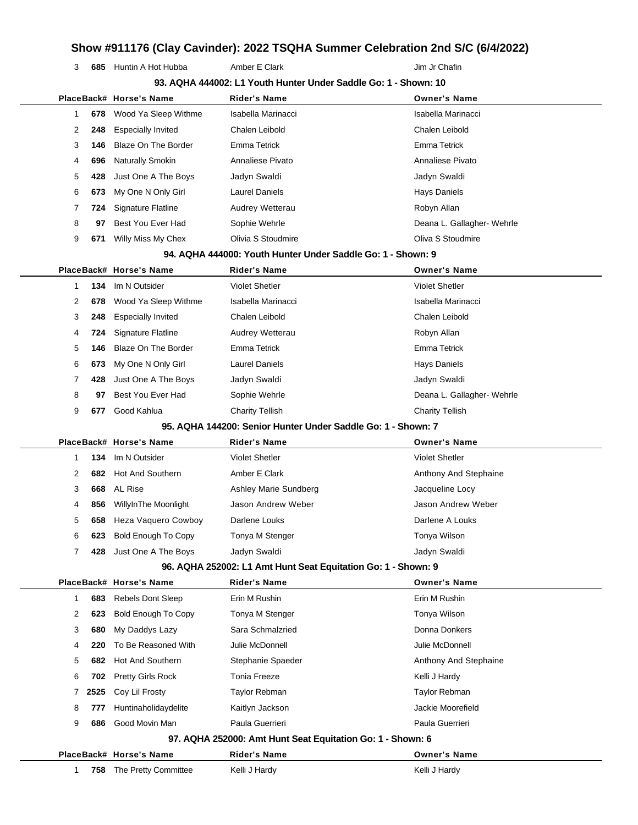3 685 Huntin A Hot Hubba **Amber E Clark** Amber 1 Amber 1 Amber 1 Amber 1 Amber 1 Amber 1 Amber 1 Amber 1 Amber 1 Amber 1 Amber 1 Amber 1 Amber 1 Amber 1 Amber 1 Amber 1 Amber 1 Amber 1 Amber 1 Amber 1 Amber 1 Amber 1 Amber

| 93. AQHA 444002: L1 Youth Hunter Under Saddle Go: 1 - Shown: 10 |      |                            |                                                               |                            |  |  |
|-----------------------------------------------------------------|------|----------------------------|---------------------------------------------------------------|----------------------------|--|--|
|                                                                 |      | PlaceBack# Horse's Name    | <b>Rider's Name</b>                                           | <b>Owner's Name</b>        |  |  |
| $\mathbf{1}$                                                    | 678  | Wood Ya Sleep Withme       | Isabella Marinacci                                            | Isabella Marinacci         |  |  |
| 2                                                               | 248  | <b>Especially Invited</b>  | Chalen Leibold                                                | Chalen Leibold             |  |  |
| 3                                                               | 146  | Blaze On The Border        | Emma Tetrick                                                  | Emma Tetrick               |  |  |
| 4                                                               | 696  | Naturally Smokin           | Annaliese Pivato                                              | Annaliese Pivato           |  |  |
| 5                                                               | 428  | Just One A The Boys        | Jadyn Swaldi                                                  | Jadyn Swaldi               |  |  |
| 6                                                               | 673  | My One N Only Girl         | <b>Laurel Daniels</b>                                         | Hays Daniels               |  |  |
| 7                                                               | 724  | Signature Flatline         | Audrey Wetterau                                               | Robyn Allan                |  |  |
| 8                                                               | 97   | Best You Ever Had          | Sophie Wehrle                                                 | Deana L. Gallagher- Wehrle |  |  |
| 9                                                               | 671  | Willy Miss My Chex         | Olivia S Stoudmire                                            | Oliva S Stoudmire          |  |  |
|                                                                 |      |                            | 94. AQHA 444000: Youth Hunter Under Saddle Go: 1 - Shown: 9   |                            |  |  |
|                                                                 |      | PlaceBack# Horse's Name    | <b>Rider's Name</b>                                           | <b>Owner's Name</b>        |  |  |
| $\mathbf{1}$                                                    | 134  | Im N Outsider              | <b>Violet Shetler</b>                                         | <b>Violet Shetler</b>      |  |  |
| 2                                                               | 678  | Wood Ya Sleep Withme       | Isabella Marinacci                                            | Isabella Marinacci         |  |  |
| 3                                                               | 248  | <b>Especially Invited</b>  | Chalen Leibold                                                | Chalen Leibold             |  |  |
| 4                                                               | 724  | Signature Flatline         | Audrey Wetterau                                               | Robyn Allan                |  |  |
| 5                                                               | 146  | Blaze On The Border        | Emma Tetrick                                                  | Emma Tetrick               |  |  |
| 6                                                               | 673  | My One N Only Girl         | <b>Laurel Daniels</b>                                         | Hays Daniels               |  |  |
| 7                                                               | 428  | Just One A The Boys        | Jadyn Swaldi                                                  | Jadyn Swaldi               |  |  |
| 8                                                               | 97   | Best You Ever Had          | Sophie Wehrle                                                 | Deana L. Gallagher- Wehrle |  |  |
| 9                                                               | 677  | Good Kahlua                | <b>Charity Tellish</b>                                        | <b>Charity Tellish</b>     |  |  |
|                                                                 |      |                            | 95. AQHA 144200: Senior Hunter Under Saddle Go: 1 - Shown: 7  |                            |  |  |
|                                                                 |      | PlaceBack# Horse's Name    | <b>Rider's Name</b>                                           | <b>Owner's Name</b>        |  |  |
| $\mathbf 1$                                                     | 134  | Im N Outsider              | <b>Violet Shetler</b>                                         | <b>Violet Shetler</b>      |  |  |
| 2                                                               | 682  | <b>Hot And Southern</b>    | Amber E Clark                                                 | Anthony And Stephaine      |  |  |
| 3                                                               | 668  | <b>AL Rise</b>             | Ashley Marie Sundberg                                         | Jacqueline Locy            |  |  |
| 4                                                               | 856  | WillyInThe Moonlight       | Jason Andrew Weber                                            | Jason Andrew Weber         |  |  |
| 5                                                               | 658  | Heza Vaquero Cowboy        | Darlene Louks                                                 | Darlene A Louks            |  |  |
| 6                                                               | 623  | <b>Bold Enough To Copy</b> | Tonya M Stenger                                               | Tonya Wilson               |  |  |
| 7                                                               | 428  | Just One A The Boys        | Jadyn Swaldi                                                  | Jadyn Swaldi               |  |  |
|                                                                 |      |                            | 96. AQHA 252002: L1 Amt Hunt Seat Equitation Go: 1 - Shown: 9 |                            |  |  |
|                                                                 |      | PlaceBack# Horse's Name    | <b>Rider's Name</b>                                           | <b>Owner's Name</b>        |  |  |
| $\mathbf 1$                                                     | 683  | Rebels Dont Sleep          | Erin M Rushin                                                 | Erin M Rushin              |  |  |
| 2                                                               | 623  | <b>Bold Enough To Copy</b> | Tonya M Stenger                                               | Tonya Wilson               |  |  |
| 3                                                               | 680  | My Daddys Lazy             | Sara Schmalzried                                              | Donna Donkers              |  |  |
| 4                                                               | 220  | To Be Reasoned With        | Julie McDonnell                                               | Julie McDonnell            |  |  |
| 5                                                               | 682  | <b>Hot And Southern</b>    | Stephanie Spaeder                                             | Anthony And Stephaine      |  |  |
| 6                                                               | 702  | <b>Pretty Girls Rock</b>   | <b>Tonia Freeze</b>                                           | Kelli J Hardy              |  |  |
| 7                                                               | 2525 | Coy Lil Frosty             | Taylor Rebman                                                 | Taylor Rebman              |  |  |
| 8                                                               | 777  | Huntinaholidaydelite       | Kaitlyn Jackson                                               | Jackie Moorefield          |  |  |
| 9                                                               | 686  | Good Movin Man             | Paula Guerrieri                                               | Paula Guerrieri            |  |  |
|                                                                 |      |                            | 97. AQHA 252000: Amt Hunt Seat Equitation Go: 1 - Shown: 6    |                            |  |  |
|                                                                 |      | PlaceBack# Horse's Name    | <b>Rider's Name</b>                                           | <b>Owner's Name</b>        |  |  |
| $\mathbf{1}$                                                    | 758  | The Pretty Committee       | Kelli J Hardy                                                 | Kelli J Hardy              |  |  |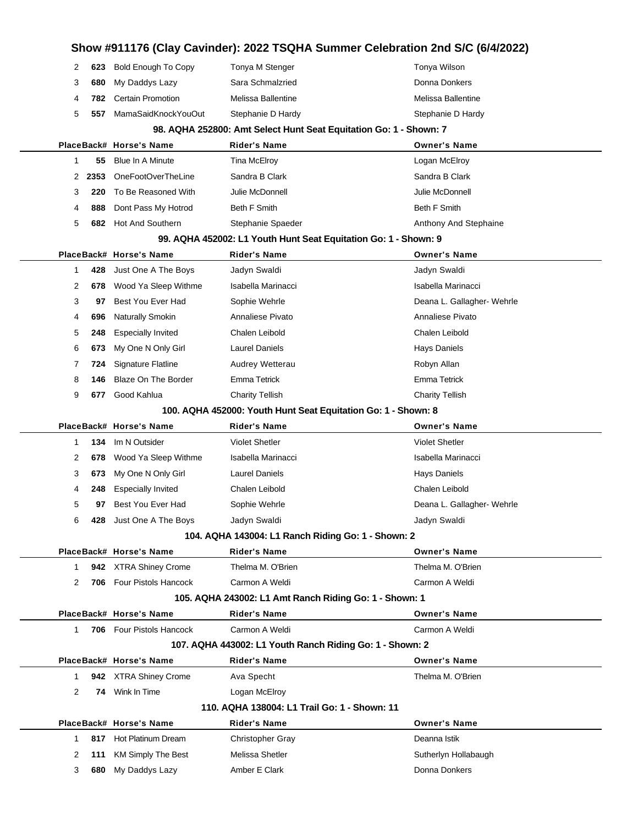|                                                                   |   |      |                                                  | Show #911176 (Clay Cavinder): 2022 TSQHA Summer Celebration 2nd S/C (6/4/2022) |                                      |  |  |  |  |
|-------------------------------------------------------------------|---|------|--------------------------------------------------|--------------------------------------------------------------------------------|--------------------------------------|--|--|--|--|
|                                                                   | 2 | 623  | <b>Bold Enough To Copy</b>                       | Tonya M Stenger                                                                | Tonya Wilson                         |  |  |  |  |
|                                                                   | 3 | 680  | My Daddys Lazy                                   | Sara Schmalzried                                                               | Donna Donkers                        |  |  |  |  |
|                                                                   | 4 | 782  | <b>Certain Promotion</b>                         | Melissa Ballentine                                                             | Melissa Ballentine                   |  |  |  |  |
|                                                                   | 5 | 557  | MamaSaidKnockYouOut                              | Stephanie D Hardy                                                              | Stephanie D Hardy                    |  |  |  |  |
| 98. AQHA 252800: Amt Select Hunt Seat Equitation Go: 1 - Shown: 7 |   |      |                                                  |                                                                                |                                      |  |  |  |  |
|                                                                   |   |      | PlaceBack# Horse's Name                          | <b>Rider's Name</b>                                                            | <b>Owner's Name</b>                  |  |  |  |  |
|                                                                   | 1 | 55   | <b>Blue In A Minute</b>                          | <b>Tina McElroy</b>                                                            | Logan McElroy                        |  |  |  |  |
|                                                                   | 2 | 2353 | OneFootOverTheLine                               | Sandra B Clark                                                                 | Sandra B Clark                       |  |  |  |  |
|                                                                   | 3 | 220  | To Be Reasoned With                              | Julie McDonnell                                                                | Julie McDonnell                      |  |  |  |  |
|                                                                   | 4 | 888  | Dont Pass My Hotrod                              | <b>Beth F Smith</b>                                                            | Beth F Smith                         |  |  |  |  |
|                                                                   | 5 |      | 682 Hot And Southern                             | Stephanie Spaeder                                                              | Anthony And Stephaine                |  |  |  |  |
|                                                                   |   |      |                                                  | 99. AQHA 452002: L1 Youth Hunt Seat Equitation Go: 1 - Shown: 9                |                                      |  |  |  |  |
|                                                                   |   |      | PlaceBack# Horse's Name                          | <b>Rider's Name</b>                                                            | <b>Owner's Name</b>                  |  |  |  |  |
|                                                                   | 1 | 428  | Just One A The Boys                              | Jadyn Swaldi                                                                   | Jadyn Swaldi                         |  |  |  |  |
|                                                                   | 2 | 678  | Wood Ya Sleep Withme                             | Isabella Marinacci                                                             | Isabella Marinacci                   |  |  |  |  |
|                                                                   | 3 | 97   | Best You Ever Had                                | Sophie Wehrle                                                                  | Deana L. Gallagher- Wehrle           |  |  |  |  |
|                                                                   | 4 | 696  | <b>Naturally Smokin</b>                          | Annaliese Pivato                                                               | Annaliese Pivato                     |  |  |  |  |
|                                                                   | 5 | 248  | <b>Especially Invited</b>                        | Chalen Leibold                                                                 | Chalen Leibold                       |  |  |  |  |
|                                                                   | 6 | 673  | My One N Only Girl                               | <b>Laurel Daniels</b>                                                          | <b>Hays Daniels</b>                  |  |  |  |  |
|                                                                   | 7 | 724  | <b>Signature Flatline</b>                        | Audrey Wetterau                                                                | Robyn Allan                          |  |  |  |  |
|                                                                   | 8 | 146  | <b>Blaze On The Border</b>                       | Emma Tetrick                                                                   | Emma Tetrick                         |  |  |  |  |
|                                                                   | 9 | 677  | Good Kahlua                                      | <b>Charity Tellish</b>                                                         | <b>Charity Tellish</b>               |  |  |  |  |
| 100. AQHA 452000: Youth Hunt Seat Equitation Go: 1 - Shown: 8     |   |      |                                                  |                                                                                |                                      |  |  |  |  |
|                                                                   |   |      |                                                  |                                                                                |                                      |  |  |  |  |
|                                                                   |   |      | PlaceBack# Horse's Name                          | <b>Rider's Name</b>                                                            | <b>Owner's Name</b>                  |  |  |  |  |
|                                                                   | 1 | 134  | Im N Outsider                                    | <b>Violet Shetler</b>                                                          | <b>Violet Shetler</b>                |  |  |  |  |
|                                                                   | 2 | 678  | Wood Ya Sleep Withme                             | Isabella Marinacci                                                             | Isabella Marinacci                   |  |  |  |  |
|                                                                   | 3 | 673  | My One N Only Girl                               | <b>Laurel Daniels</b>                                                          | <b>Hays Daniels</b>                  |  |  |  |  |
|                                                                   | 4 | 248  | <b>Especially Invited</b>                        | Chalen Leibold                                                                 | Chalen Leibold                       |  |  |  |  |
|                                                                   | 5 | 97   | Best You Ever Had                                | Sophie Wehrle                                                                  | Deana L. Gallagher- Wehrle           |  |  |  |  |
|                                                                   | 6 |      | 428 Just One A The Boys                          | Jadyn Swaldi                                                                   | Jadyn Swaldi                         |  |  |  |  |
|                                                                   |   |      |                                                  | 104. AQHA 143004: L1 Ranch Riding Go: 1 - Shown: 2                             |                                      |  |  |  |  |
|                                                                   |   |      | PlaceBack# Horse's Name                          | <b>Rider's Name</b>                                                            | <b>Owner's Name</b>                  |  |  |  |  |
|                                                                   | 1 |      | 942 XTRA Shiney Crome                            | Thelma M. O'Brien                                                              | Thelma M. O'Brien                    |  |  |  |  |
|                                                                   | 2 |      | 706 Four Pistols Hancock                         | Carmon A Weldi                                                                 | Carmon A Weldi                       |  |  |  |  |
|                                                                   |   |      |                                                  | 105. AQHA 243002: L1 Amt Ranch Riding Go: 1 - Shown: 1                         |                                      |  |  |  |  |
|                                                                   |   |      | PlaceBack# Horse's Name                          | <b>Rider's Name</b>                                                            | <b>Owner's Name</b>                  |  |  |  |  |
|                                                                   | 1 |      | <b>706</b> Four Pistols Hancock                  | Carmon A Weldi                                                                 | Carmon A Weldi                       |  |  |  |  |
|                                                                   |   |      |                                                  | 107. AQHA 443002: L1 Youth Ranch Riding Go: 1 - Shown: 2                       |                                      |  |  |  |  |
|                                                                   |   |      | PlaceBack# Horse's Name                          | <b>Rider's Name</b>                                                            | <b>Owner's Name</b>                  |  |  |  |  |
|                                                                   | 1 |      | 942 XTRA Shiney Crome                            | Ava Specht                                                                     | Thelma M. O'Brien                    |  |  |  |  |
|                                                                   | 2 |      | 74 Wink In Time                                  | Logan McElroy                                                                  |                                      |  |  |  |  |
|                                                                   |   |      |                                                  | 110. AQHA 138004: L1 Trail Go: 1 - Shown: 11                                   |                                      |  |  |  |  |
|                                                                   |   |      | PlaceBack# Horse's Name                          | <b>Rider's Name</b>                                                            | <b>Owner's Name</b>                  |  |  |  |  |
|                                                                   | 1 |      | 817 Hot Platinum Dream<br>111 KM Simply The Best | <b>Christopher Gray</b><br>Melissa Shetler                                     | Deanna Istik<br>Sutherlyn Hollabaugh |  |  |  |  |

**680** My Daddys Lazy **Amber E Clark Communist Communist Clark** Donna Donkers

 $\overline{\phantom{a}}$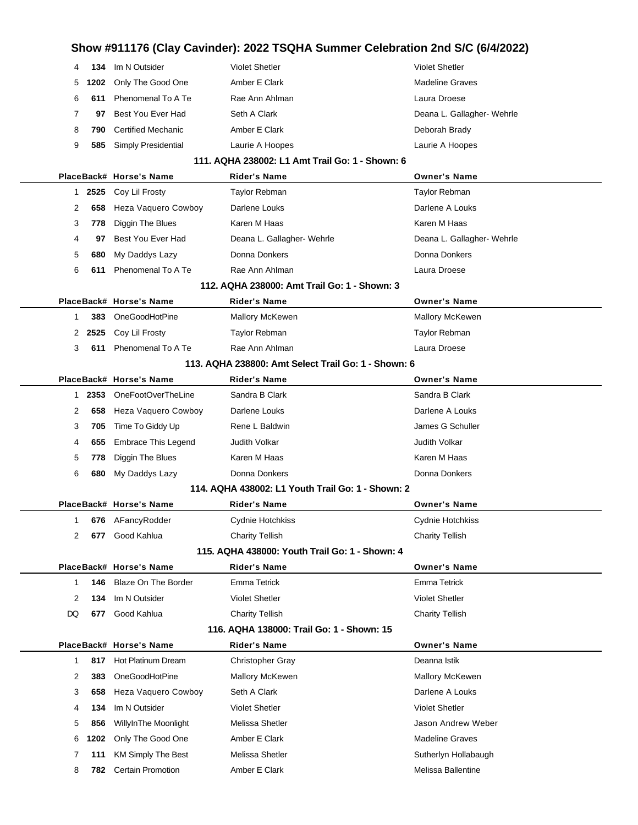| 134<br>4             | Im N Outsider              | <b>Violet Shetler</b>                               | <b>Violet Shetler</b>      |
|----------------------|----------------------------|-----------------------------------------------------|----------------------------|
| 5<br>1202            | Only The Good One          | Amber E Clark                                       | <b>Madeline Graves</b>     |
| 6<br>611             | Phenomenal To A Te         | Rae Ann Ahlman                                      | Laura Droese               |
| 7<br>97              | Best You Ever Had          | Seth A Clark                                        | Deana L. Gallagher- Wehrle |
| 8<br>790             | <b>Certified Mechanic</b>  | Amber E Clark                                       | Deborah Brady              |
| 9<br>585             | Simply Presidential        | Laurie A Hoopes                                     | Laurie A Hoopes            |
|                      |                            | 111. AQHA 238002: L1 Amt Trail Go: 1 - Shown: 6     |                            |
|                      | PlaceBack# Horse's Name    | <b>Rider's Name</b>                                 | <b>Owner's Name</b>        |
| 2525<br>$\mathbf{1}$ | Coy Lil Frosty             | <b>Taylor Rebman</b>                                | Taylor Rebman              |
| 2<br>658             | Heza Vaquero Cowboy        | Darlene Louks                                       | Darlene A Louks            |
| 3<br>778             | Diggin The Blues           | Karen M Haas                                        | Karen M Haas               |
| 4<br>97              | Best You Ever Had          | Deana L. Gallagher- Wehrle                          | Deana L. Gallagher- Wehrle |
| 5<br>680             | My Daddys Lazy             | Donna Donkers                                       | Donna Donkers              |
| 6<br>611             | Phenomenal To A Te         | Rae Ann Ahlman                                      | Laura Droese               |
|                      |                            | 112. AQHA 238000: Amt Trail Go: 1 - Shown: 3        |                            |
|                      | PlaceBack# Horse's Name    | <b>Rider's Name</b>                                 | <b>Owner's Name</b>        |
| 383<br>1             | OneGoodHotPine             | Mallory McKewen                                     | Mallory McKewen            |
| 2525<br>2            | Coy Lil Frosty             | <b>Taylor Rebman</b>                                | Taylor Rebman              |
| 3<br>611             | Phenomenal To A Te         | Rae Ann Ahlman                                      | Laura Droese               |
|                      |                            | 113. AQHA 238800: Amt Select Trail Go: 1 - Shown: 6 |                            |
|                      | PlaceBack# Horse's Name    | Rider's Name                                        | <b>Owner's Name</b>        |
| 2353<br>1            | OneFootOverTheLine         | Sandra B Clark                                      | Sandra B Clark             |
| 2<br>658             | Heza Vaquero Cowboy        | Darlene Louks                                       | Darlene A Louks            |
| 3<br>705             | Time To Giddy Up           | Rene L Baldwin                                      | James G Schuller           |
| 4<br>655             | <b>Embrace This Legend</b> | Judith Volkar                                       | Judith Volkar              |
| 5<br>778             | Diggin The Blues           | Karen M Haas                                        | Karen M Haas               |
| 6<br>680             | My Daddys Lazy             | Donna Donkers                                       | Donna Donkers              |
|                      |                            | 114. AQHA 438002: L1 Youth Trail Go: 1 - Shown: 2   |                            |
|                      | PlaceBack# Horse's Name    | <b>Rider's Name</b>                                 | <b>Owner's Name</b>        |
|                      | 676 AFancyRodder           | Cydnie Hotchkiss                                    | Cydnie Hotchkiss           |
| 2<br>677             | Good Kahlua                | <b>Charity Tellish</b>                              | Charity Tellish            |
|                      |                            | 115. AQHA 438000: Youth Trail Go: 1 - Shown: 4      |                            |
|                      | PlaceBack# Horse's Name    | <b>Rider's Name</b>                                 | <b>Owner's Name</b>        |
| 146<br>1             | <b>Blaze On The Border</b> | <b>Emma Tetrick</b>                                 | <b>Emma Tetrick</b>        |
| 2<br>134             | Im N Outsider              | <b>Violet Shetler</b>                               | <b>Violet Shetler</b>      |
| DQ<br>677            | Good Kahlua                | <b>Charity Tellish</b>                              | <b>Charity Tellish</b>     |
|                      |                            | 116. AQHA 138000: Trail Go: 1 - Shown: 15           |                            |
|                      | PlaceBack# Horse's Name    | <b>Rider's Name</b>                                 | <b>Owner's Name</b>        |
| 1<br>817             | Hot Platinum Dream         | <b>Christopher Gray</b>                             | Deanna Istik               |
| 2<br>383             | OneGoodHotPine             | <b>Mallory McKewen</b>                              | Mallory McKewen            |
| 3<br>658             | Heza Vaquero Cowboy        | Seth A Clark                                        | Darlene A Louks            |
| 134<br>4             | Im N Outsider              | <b>Violet Shetler</b>                               | <b>Violet Shetler</b>      |
| 5<br>856             | WillyInThe Moonlight       | Melissa Shetler                                     | Jason Andrew Weber         |
| 6<br>1202            | Only The Good One          | Amber E Clark                                       | <b>Madeline Graves</b>     |
| 7<br>111             | <b>KM Simply The Best</b>  | Melissa Shetler                                     | Sutherlyn Hollabaugh       |
| 8<br>782             | <b>Certain Promotion</b>   | Amber E Clark                                       | Melissa Ballentine         |
|                      |                            |                                                     |                            |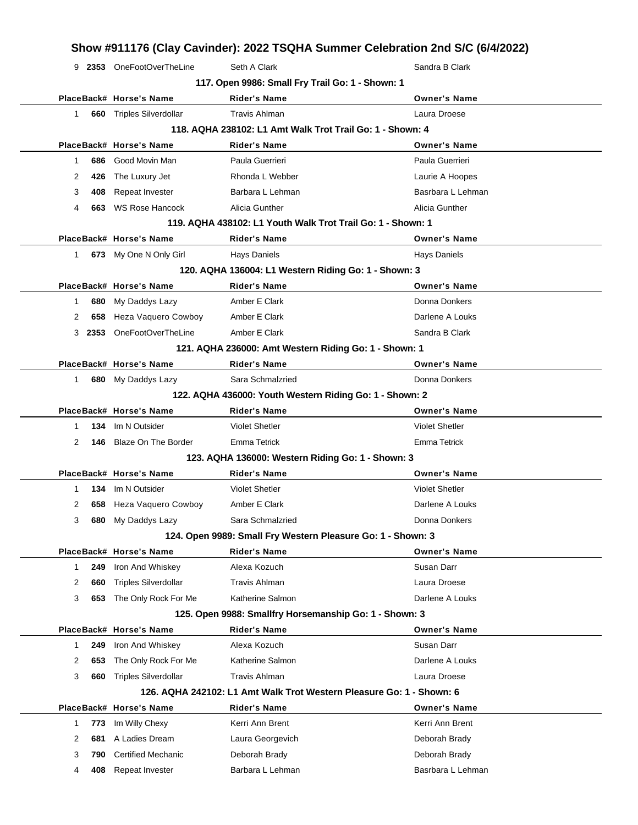9 **2353** OneFootOverTheLine Seth A Clark Sandra B Clark Sandra B Clark

| 117. Open 9986: Small Fry Trail Go: 1 - Shown: 1            |      |                                                             |                                                                      |                                   |  |  |  |  |
|-------------------------------------------------------------|------|-------------------------------------------------------------|----------------------------------------------------------------------|-----------------------------------|--|--|--|--|
|                                                             |      | PlaceBack# Horse's Name                                     | <b>Rider's Name</b>                                                  | <b>Owner's Name</b>               |  |  |  |  |
| $\mathbf{1}$                                                | 660  | <b>Triples Silverdollar</b>                                 | <b>Travis Ahlman</b>                                                 | Laura Droese                      |  |  |  |  |
| 118. AQHA 238102: L1 Amt Walk Trot Trail Go: 1 - Shown: 4   |      |                                                             |                                                                      |                                   |  |  |  |  |
|                                                             |      | PlaceBack# Horse's Name                                     | <b>Rider's Name</b>                                                  | <b>Owner's Name</b>               |  |  |  |  |
| 1                                                           | 686  | Good Movin Man                                              | Paula Guerrieri                                                      | Paula Guerrieri                   |  |  |  |  |
| 2                                                           | 426  | The Luxury Jet                                              | Rhonda L Webber                                                      | Laurie A Hoopes                   |  |  |  |  |
| 3                                                           | 408  | Repeat Invester                                             | Barbara L Lehman                                                     | Basrbara L Lehman                 |  |  |  |  |
| 4                                                           | 663  | <b>WS Rose Hancock</b>                                      | Alicia Gunther                                                       | Alicia Gunther                    |  |  |  |  |
| 119. AQHA 438102: L1 Youth Walk Trot Trail Go: 1 - Shown: 1 |      |                                                             |                                                                      |                                   |  |  |  |  |
|                                                             |      | PlaceBack# Horse's Name                                     | <b>Rider's Name</b>                                                  | <b>Owner's Name</b>               |  |  |  |  |
| $\mathbf{1}$                                                |      | 673 My One N Only Girl                                      | Hays Daniels                                                         | <b>Hays Daniels</b>               |  |  |  |  |
|                                                             |      |                                                             | 120. AQHA 136004: L1 Western Riding Go: 1 - Shown: 3                 |                                   |  |  |  |  |
|                                                             |      | PlaceBack# Horse's Name                                     | <b>Rider's Name</b>                                                  | <b>Owner's Name</b>               |  |  |  |  |
| $\mathbf{1}$                                                | 680  | My Daddys Lazy                                              | Amber E Clark                                                        | Donna Donkers                     |  |  |  |  |
| 2                                                           | 658  | Heza Vaquero Cowboy                                         | Amber E Clark                                                        | Darlene A Louks                   |  |  |  |  |
| 3                                                           | 2353 | OneFootOverTheLine                                          | Amber E Clark                                                        | Sandra B Clark                    |  |  |  |  |
|                                                             |      |                                                             | 121. AQHA 236000: Amt Western Riding Go: 1 - Shown: 1                |                                   |  |  |  |  |
|                                                             |      | PlaceBack# Horse's Name                                     | <b>Rider's Name</b>                                                  | <b>Owner's Name</b>               |  |  |  |  |
| $\mathbf{1}$                                                | 680  | My Daddys Lazy                                              | Sara Schmalzried                                                     | Donna Donkers                     |  |  |  |  |
|                                                             |      |                                                             | 122. AQHA 436000: Youth Western Riding Go: 1 - Shown: 2              |                                   |  |  |  |  |
|                                                             |      | PlaceBack# Horse's Name                                     | <b>Rider's Name</b>                                                  | <b>Owner's Name</b>               |  |  |  |  |
| 1                                                           | 134  | Im N Outsider                                               | <b>Violet Shetler</b>                                                | <b>Violet Shetler</b>             |  |  |  |  |
| 2                                                           | 146  | <b>Blaze On The Border</b>                                  | <b>Emma Tetrick</b>                                                  | Emma Tetrick                      |  |  |  |  |
|                                                             |      |                                                             | 123. AQHA 136000: Western Riding Go: 1 - Shown: 3                    |                                   |  |  |  |  |
|                                                             |      | PlaceBack# Horse's Name<br>Im N Outsider                    | <b>Rider's Name</b>                                                  | <b>Owner's Name</b>               |  |  |  |  |
| 1                                                           | 134  |                                                             | <b>Violet Shetler</b>                                                | <b>Violet Shetler</b>             |  |  |  |  |
| 2                                                           | 658  | Heza Vaquero Cowboy                                         | Amber E Clark                                                        | Darlene A Louks                   |  |  |  |  |
| 3                                                           | 680  | My Daddys Lazy                                              | Sara Schmalzried                                                     | Donna Donkers                     |  |  |  |  |
|                                                             |      | 124. Open 9989: Small Fry Western Pleasure Go: 1 - Shown: 3 |                                                                      |                                   |  |  |  |  |
| 1                                                           | 249  | PlaceBack# Horse's Name<br>Iron And Whiskey                 | <b>Rider's Name</b><br>Alexa Kozuch                                  | <b>Owner's Name</b><br>Susan Darr |  |  |  |  |
| 2                                                           | 660  | <b>Triples Silverdollar</b>                                 | <b>Travis Ahlman</b>                                                 | Laura Droese                      |  |  |  |  |
| 3                                                           | 653  |                                                             | Katherine Salmon                                                     | Darlene A Louks                   |  |  |  |  |
|                                                             |      | The Only Rock For Me                                        | 125. Open 9988: Smallfry Horsemanship Go: 1 - Shown: 3               |                                   |  |  |  |  |
|                                                             |      | PlaceBack# Horse's Name                                     | <b>Rider's Name</b>                                                  | <b>Owner's Name</b>               |  |  |  |  |
| $\mathbf{1}$                                                | 249  | Iron And Whiskey                                            | Alexa Kozuch                                                         | Susan Darr                        |  |  |  |  |
| 2                                                           | 653  | The Only Rock For Me                                        | Katherine Salmon                                                     | Darlene A Louks                   |  |  |  |  |
| 3                                                           | 660  | <b>Triples Silverdollar</b>                                 | <b>Travis Ahlman</b>                                                 | Laura Droese                      |  |  |  |  |
|                                                             |      |                                                             | 126, AQHA 242102: L1 Amt Walk Trot Western Pleasure Go: 1 - Shown: 6 |                                   |  |  |  |  |
|                                                             |      | PlaceBack# Horse's Name                                     | <b>Rider's Name</b>                                                  | <b>Owner's Name</b>               |  |  |  |  |
| $\mathbf{1}$                                                | 773  | Im Willy Chexy                                              | Kerri Ann Brent                                                      | Kerri Ann Brent                   |  |  |  |  |
| 2                                                           | 681  | A Ladies Dream                                              | Laura Georgevich                                                     | Deborah Brady                     |  |  |  |  |
| 3                                                           | 790  | <b>Certified Mechanic</b>                                   | Deborah Brady                                                        | Deborah Brady                     |  |  |  |  |
| 4                                                           | 408  | Repeat Invester                                             | Barbara L Lehman                                                     | Basrbara L Lehman                 |  |  |  |  |
|                                                             |      |                                                             |                                                                      |                                   |  |  |  |  |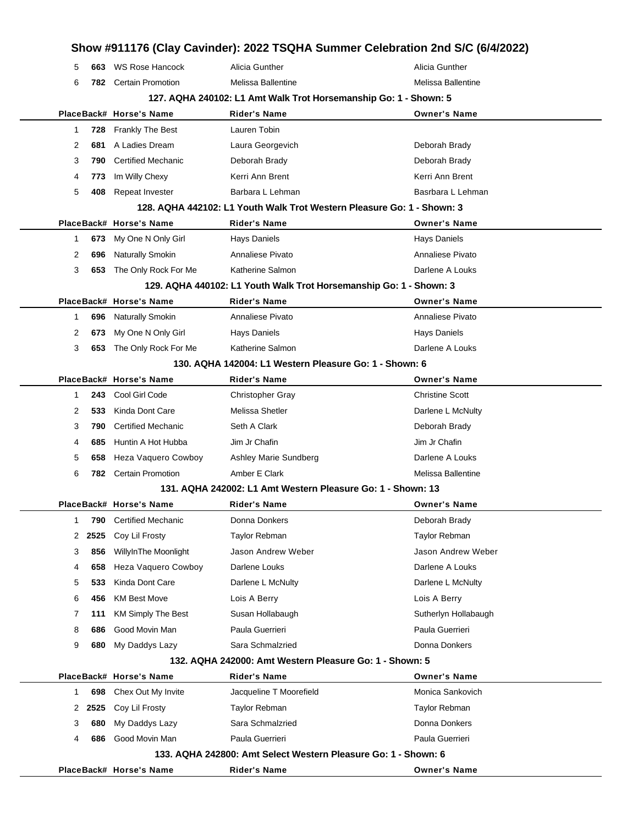|   |        |                                                                  | Show #911176 (Clay Cavinder): 2022 TSQHA Summer Celebration 2nd S/C (6/4/2022) |                        |  |  |
|---|--------|------------------------------------------------------------------|--------------------------------------------------------------------------------|------------------------|--|--|
| 5 | 663    | <b>WS Rose Hancock</b>                                           | Alicia Gunther                                                                 | Alicia Gunther         |  |  |
| 6 |        | 782 Certain Promotion                                            | Melissa Ballentine                                                             | Melissa Ballentine     |  |  |
|   |        | 127. AQHA 240102: L1 Amt Walk Trot Horsemanship Go: 1 - Shown: 5 |                                                                                |                        |  |  |
|   |        | PlaceBack# Horse's Name                                          | Rider's Name                                                                   | <b>Owner's Name</b>    |  |  |
| 1 | 728    | <b>Frankly The Best</b>                                          | Lauren Tobin                                                                   |                        |  |  |
| 2 | 681    | A Ladies Dream                                                   | Laura Georgevich                                                               | Deborah Brady          |  |  |
| 3 | 790    | <b>Certified Mechanic</b>                                        | Deborah Brady                                                                  | Deborah Brady          |  |  |
| 4 | 773    | Im Willy Chexy                                                   | Kerri Ann Brent                                                                | Kerri Ann Brent        |  |  |
| 5 | 408    | Repeat Invester                                                  | Barbara L Lehman                                                               | Basrbara L Lehman      |  |  |
|   |        |                                                                  | 128. AQHA 442102: L1 Youth Walk Trot Western Pleasure Go: 1 - Shown: 3         |                        |  |  |
|   |        | PlaceBack# Horse's Name                                          | <b>Rider's Name</b>                                                            | <b>Owner's Name</b>    |  |  |
| 1 | 673    | My One N Only Girl                                               | <b>Hays Daniels</b>                                                            | Hays Daniels           |  |  |
| 2 | 696    | <b>Naturally Smokin</b>                                          | Annaliese Pivato                                                               | Annaliese Pivato       |  |  |
| 3 | 653    | The Only Rock For Me                                             | Katherine Salmon                                                               | Darlene A Louks        |  |  |
|   |        |                                                                  | 129. AQHA 440102: L1 Youth Walk Trot Horsemanship Go: 1 - Shown: 3             |                        |  |  |
|   |        | PlaceBack# Horse's Name                                          | Rider's Name                                                                   | <b>Owner's Name</b>    |  |  |
| 1 | 696    | <b>Naturally Smokin</b>                                          | Annaliese Pivato                                                               | Annaliese Pivato       |  |  |
| 2 | 673    | My One N Only Girl                                               | <b>Hays Daniels</b>                                                            | <b>Hays Daniels</b>    |  |  |
| 3 |        | 653 The Only Rock For Me                                         | Katherine Salmon                                                               | Darlene A Louks        |  |  |
|   |        |                                                                  | 130. AQHA 142004: L1 Western Pleasure Go: 1 - Shown: 6                         |                        |  |  |
|   |        | PlaceBack# Horse's Name                                          | Rider's Name                                                                   | <b>Owner's Name</b>    |  |  |
| 1 | 243    | Cool Girl Code                                                   | <b>Christopher Gray</b>                                                        | <b>Christine Scott</b> |  |  |
| 2 | 533    | Kinda Dont Care                                                  | Melissa Shetler                                                                | Darlene L McNulty      |  |  |
| 3 | 790    | <b>Certified Mechanic</b>                                        | Seth A Clark                                                                   | Deborah Brady          |  |  |
| 4 | 685    | Huntin A Hot Hubba                                               | Jim Jr Chafin                                                                  | Jim Jr Chafin          |  |  |
| 5 | 658    | Heza Vaquero Cowboy                                              | Ashley Marie Sundberg                                                          | Darlene A Louks        |  |  |
| 6 |        | 782 Certain Promotion                                            | Amber E Clark                                                                  | Melissa Ballentine     |  |  |
|   |        |                                                                  | 131. AQHA 242002: L1 Amt Western Pleasure Go: 1 - Shown: 13                    |                        |  |  |
|   |        | PlaceBack# Horse's Name                                          | <b>Rider's Name</b>                                                            | <b>Owner's Name</b>    |  |  |
| 1 | 790    | <b>Certified Mechanic</b>                                        | Donna Donkers                                                                  | Deborah Brady          |  |  |
| 2 | 2525   | Coy Lil Frosty                                                   | <b>Taylor Rebman</b>                                                           | <b>Taylor Rebman</b>   |  |  |
| 3 | 856    | WillyInThe Moonlight                                             | Jason Andrew Weber                                                             | Jason Andrew Weber     |  |  |
| 4 | 658    | Heza Vaquero Cowboy                                              | Darlene Louks                                                                  | Darlene A Louks        |  |  |
| 5 | 533    | Kinda Dont Care                                                  | Darlene L McNulty                                                              | Darlene L McNulty      |  |  |
| 6 | 456    | <b>KM Best Move</b>                                              | Lois A Berry                                                                   | Lois A Berry           |  |  |
| 7 | 111    | <b>KM Simply The Best</b>                                        | Susan Hollabaugh                                                               | Sutherlyn Hollabaugh   |  |  |
| 8 | 686    | Good Movin Man                                                   | Paula Guerrieri                                                                | Paula Guerrieri        |  |  |
| 9 | 680    | My Daddys Lazy                                                   | Sara Schmalzried                                                               | Donna Donkers          |  |  |
|   |        |                                                                  | 132. AQHA 242000: Amt Western Pleasure Go: 1 - Shown: 5                        |                        |  |  |
|   |        | PlaceBack# Horse's Name                                          | Rider's Name                                                                   | <b>Owner's Name</b>    |  |  |
| 1 | 698    | Chex Out My Invite                                               | Jacqueline T Moorefield                                                        | Monica Sankovich       |  |  |
|   | 2 2525 | Coy Lil Frosty                                                   | Taylor Rebman                                                                  | Taylor Rebman          |  |  |
| 3 | 680    | My Daddys Lazy                                                   | Sara Schmalzried                                                               | Donna Donkers          |  |  |
| 4 | 686    | Good Movin Man                                                   | Paula Guerrieri                                                                | Paula Guerrieri        |  |  |
|   |        |                                                                  | 133. AQHA 242800: Amt Select Western Pleasure Go: 1 - Shown: 6                 |                        |  |  |
|   |        | PlaceBack# Horse's Name                                          | Rider's Name                                                                   | <b>Owner's Name</b>    |  |  |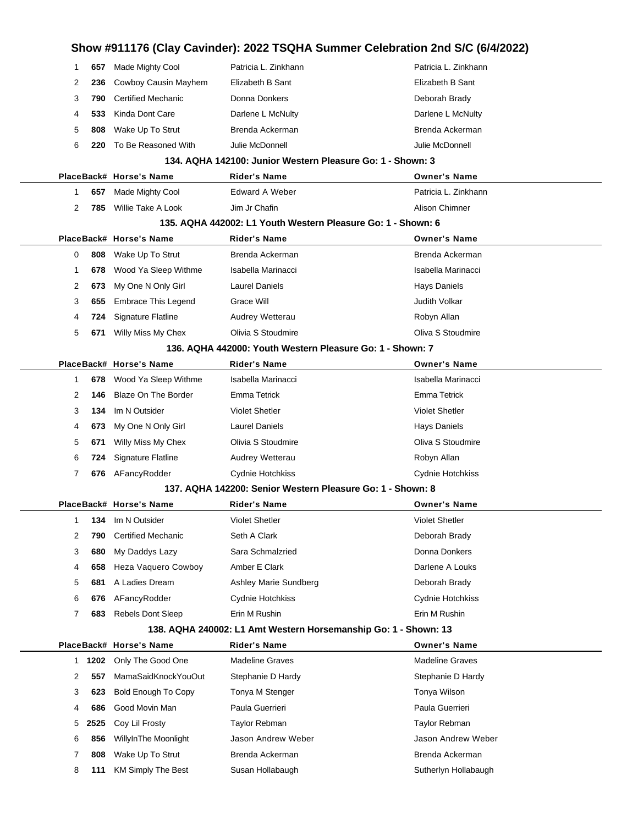| Show #911176 (Clay Cavinder): 2022 TSQHA Summer Celebration 2nd S/C (6/4/2022) |        |                                                            |                                                              |                                                                 |  |  |
|--------------------------------------------------------------------------------|--------|------------------------------------------------------------|--------------------------------------------------------------|-----------------------------------------------------------------|--|--|
| 1                                                                              | 657    | Made Mighty Cool                                           | Patricia L. Zinkhann                                         | Patricia L. Zinkhann                                            |  |  |
| 2                                                                              | 236    | Cowboy Causin Mayhem                                       | Elizabeth B Sant                                             | Elizabeth B Sant                                                |  |  |
| 3                                                                              | 790    | <b>Certified Mechanic</b>                                  | Donna Donkers                                                | Deborah Brady                                                   |  |  |
| 4                                                                              | 533    | Kinda Dont Care                                            | Darlene L McNulty                                            | Darlene L McNulty                                               |  |  |
| 5                                                                              | 808    | Wake Up To Strut                                           | Brenda Ackerman                                              | Brenda Ackerman                                                 |  |  |
| 6                                                                              | 220    | To Be Reasoned With                                        | Julie McDonnell                                              | Julie McDonnell                                                 |  |  |
|                                                                                |        | 134. AQHA 142100: Junior Western Pleasure Go: 1 - Shown: 3 |                                                              |                                                                 |  |  |
|                                                                                |        | PlaceBack# Horse's Name                                    | <b>Rider's Name</b>                                          | <b>Owner's Name</b>                                             |  |  |
| 1                                                                              | 657    | Made Mighty Cool                                           | Edward A Weber                                               | Patricia L. Zinkhann                                            |  |  |
| 2                                                                              | 785    | Willie Take A Look                                         | Jim Jr Chafin                                                | Alison Chimner                                                  |  |  |
|                                                                                |        |                                                            | 135. AQHA 442002: L1 Youth Western Pleasure Go: 1 - Shown: 6 |                                                                 |  |  |
|                                                                                |        | PlaceBack# Horse's Name                                    | Rider's Name                                                 | <b>Owner's Name</b>                                             |  |  |
| 0                                                                              | 808    | Wake Up To Strut                                           | Brenda Ackerman                                              | Brenda Ackerman                                                 |  |  |
| 1                                                                              | 678    | Wood Ya Sleep Withme                                       | Isabella Marinacci                                           | Isabella Marinacci                                              |  |  |
| 2                                                                              | 673    | My One N Only Girl                                         | Laurel Daniels                                               | <b>Hays Daniels</b>                                             |  |  |
| 3                                                                              | 655    | <b>Embrace This Legend</b>                                 | Grace Will                                                   | Judith Volkar                                                   |  |  |
| 4                                                                              | 724    | Signature Flatline                                         | Audrey Wetterau                                              | Robyn Allan                                                     |  |  |
| 5                                                                              | 671    | Willy Miss My Chex                                         | Olivia S Stoudmire                                           | Oliva S Stoudmire                                               |  |  |
|                                                                                |        |                                                            | 136. AQHA 442000: Youth Western Pleasure Go: 1 - Shown: 7    |                                                                 |  |  |
|                                                                                |        | PlaceBack# Horse's Name                                    | Rider's Name                                                 | <b>Owner's Name</b>                                             |  |  |
| 1                                                                              | 678    | Wood Ya Sleep Withme                                       | Isabella Marinacci                                           | Isabella Marinacci                                              |  |  |
| 2                                                                              | 146    | <b>Blaze On The Border</b>                                 | Emma Tetrick                                                 | <b>Emma Tetrick</b>                                             |  |  |
| 3                                                                              | 134    | Im N Outsider                                              | <b>Violet Shetler</b>                                        | <b>Violet Shetler</b>                                           |  |  |
| 4                                                                              | 673    | My One N Only Girl                                         | <b>Laurel Daniels</b>                                        | <b>Hays Daniels</b>                                             |  |  |
| 5                                                                              | 671    | Willy Miss My Chex                                         | Olivia S Stoudmire                                           | Oliva S Stoudmire                                               |  |  |
| 6                                                                              | 724    | <b>Signature Flatline</b>                                  | Audrey Wetterau                                              | Robyn Allan                                                     |  |  |
| 7                                                                              | 676    | AFancyRodder                                               | Cydnie Hotchkiss                                             | Cydnie Hotchkiss                                                |  |  |
|                                                                                |        |                                                            | 137. AQHA 142200: Senior Western Pleasure Go: 1 - Shown: 8   |                                                                 |  |  |
|                                                                                |        | PlaceBack# Horse's Name                                    | Rider's Name                                                 | <b>Owner's Name</b>                                             |  |  |
| 1                                                                              | 134    | Im N Outsider                                              | <b>Violet Shetler</b>                                        | <b>Violet Shetler</b>                                           |  |  |
| 2                                                                              | 790    | <b>Certified Mechanic</b>                                  | Seth A Clark                                                 | Deborah Brady                                                   |  |  |
| 3                                                                              | 680    | My Daddys Lazy                                             | Sara Schmalzried                                             | Donna Donkers                                                   |  |  |
| 4                                                                              | 658    | Heza Vaquero Cowboy                                        | Amber E Clark                                                | Darlene A Louks                                                 |  |  |
| 5                                                                              | 681    | A Ladies Dream                                             | Ashley Marie Sundberg                                        | Deborah Brady                                                   |  |  |
| 6                                                                              | 676    | AFancyRodder                                               | Cydnie Hotchkiss                                             | Cydnie Hotchkiss                                                |  |  |
| 7                                                                              | 683    | <b>Rebels Dont Sleep</b>                                   | Erin M Rushin                                                | Erin M Rushin                                                   |  |  |
|                                                                                |        |                                                            |                                                              | 138. AQHA 240002: L1 Amt Western Horsemanship Go: 1 - Shown: 13 |  |  |
|                                                                                |        | PlaceBack# Horse's Name                                    | <b>Rider's Name</b>                                          | <b>Owner's Name</b>                                             |  |  |
|                                                                                | 1 1202 | Only The Good One                                          | <b>Madeline Graves</b>                                       | <b>Madeline Graves</b>                                          |  |  |
| 2                                                                              | 557    | MamaSaidKnockYouOut                                        | Stephanie D Hardy                                            | Stephanie D Hardy                                               |  |  |
| 3                                                                              | 623    | Bold Enough To Copy                                        | Tonya M Stenger                                              | Tonya Wilson                                                    |  |  |
| 4                                                                              | 686    | Good Movin Man                                             | Paula Guerrieri                                              | Paula Guerrieri                                                 |  |  |
| 5                                                                              | 2525   | Coy Lil Frosty                                             | Taylor Rebman                                                | Taylor Rebman                                                   |  |  |
| 6                                                                              | 856    | WillyInThe Moonlight                                       | Jason Andrew Weber                                           | Jason Andrew Weber                                              |  |  |
| 7                                                                              | 808    | Wake Up To Strut                                           | Brenda Ackerman                                              | Brenda Ackerman                                                 |  |  |
| 8                                                                              | 111    | <b>KM Simply The Best</b>                                  | Susan Hollabaugh                                             | Sutherlyn Hollabaugh                                            |  |  |